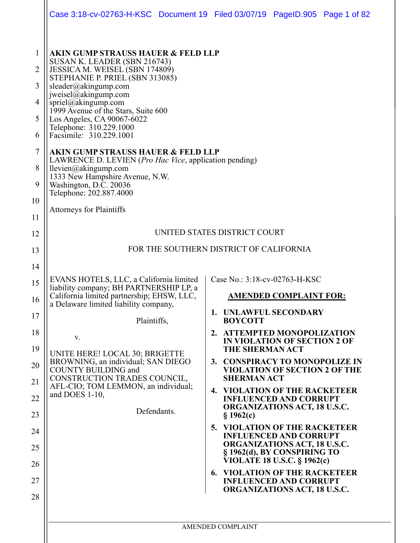|                                                       |                                                                                                                                                                                                                                                                                                                                                                                                                                                                                                                                                                                                                             | Case 3:18-cv-02763-H-KSC Document 19 Filed 03/07/19 PageID.905 Page 1 of 82                                             |
|-------------------------------------------------------|-----------------------------------------------------------------------------------------------------------------------------------------------------------------------------------------------------------------------------------------------------------------------------------------------------------------------------------------------------------------------------------------------------------------------------------------------------------------------------------------------------------------------------------------------------------------------------------------------------------------------------|-------------------------------------------------------------------------------------------------------------------------|
| 1<br>2<br>3<br>4<br>5<br>6<br>7<br>8<br>9<br>10<br>11 | <b>AKIN GUMP STRAUSS HAUER &amp; FELD LLP</b><br>SUSAN K. LEADER (SBN 216743)<br>JESSICA M. WEISEL (SBN 174809)<br>STEPHANIE P. PRIEL (SBN 313085)<br>sleader@akingump.com<br>jweisel@akingump.com<br>spriel@akingump.com<br>1999 Avenue of the Stars, Suite 600<br>Los Angeles, CA 90067-6022<br>Telephone: 310.229.1000<br>Facsimile: 310.229.1001<br><b>AKIN GUMP STRAUSS HAUER &amp; FELD LLP</b><br>LAWRENCE D. LEVIEN ( <i>Pro Hac Vice</i> , application pending)<br>llevien@akingump.com<br>1333 New Hampshire Avenue, N.W.<br>Washington, D.C. 20036<br>Telephone: 202.887.4000<br><b>Attorneys for Plaintiffs</b> |                                                                                                                         |
| 12                                                    | UNITED STATES DISTRICT COURT                                                                                                                                                                                                                                                                                                                                                                                                                                                                                                                                                                                                |                                                                                                                         |
| 13                                                    | FOR THE SOUTHERN DISTRICT OF CALIFORNIA                                                                                                                                                                                                                                                                                                                                                                                                                                                                                                                                                                                     |                                                                                                                         |
| 14                                                    |                                                                                                                                                                                                                                                                                                                                                                                                                                                                                                                                                                                                                             |                                                                                                                         |
| 15                                                    | EVANS HOTELS, LLC, a California limited<br>liability company; BH PARTNERSHIP LP, a                                                                                                                                                                                                                                                                                                                                                                                                                                                                                                                                          | Case No.: 3:18-cv-02763-H-KSC                                                                                           |
| 16                                                    | California limited partnership; EHSW, LLC,<br>a Delaware limited liability company,                                                                                                                                                                                                                                                                                                                                                                                                                                                                                                                                         | <b>AMENDED COMPLAINT FOR:</b>                                                                                           |
| 17                                                    | Plaintiffs,                                                                                                                                                                                                                                                                                                                                                                                                                                                                                                                                                                                                                 | 1. UNLAWFUL SECONDARY<br><b>BOYCOTT</b>                                                                                 |
| 18<br>19<br>20                                        | V.<br>UNITE HERE! LOCAL 30; BRIGETTE<br>BROWNING, an individual; SAN DIEGO                                                                                                                                                                                                                                                                                                                                                                                                                                                                                                                                                  | 2. ATTEMPTED MONOPOLIZATION<br>IN VIOLATION OF SECTION 2 OF<br><b>THE SHERMAN ACT</b><br>3. CONSPIRACY TO MONOPOLIZE IN |
| 21                                                    | <b>COUNTY BUILDING and</b><br>CONSTRUCTION TRADES COUNCIL,                                                                                                                                                                                                                                                                                                                                                                                                                                                                                                                                                                  | <b>VIOLATION OF SECTION 2 OF THE</b><br><b>SHERMAN ACT</b>                                                              |
| 22                                                    | AFL-CIO; TOM LEMMON, an individual;<br>and DOES 1-10,                                                                                                                                                                                                                                                                                                                                                                                                                                                                                                                                                                       | <b>4. VIOLATION OF THE RACKETEER</b><br><b>INFLUENCED AND CORRUPT</b><br><b>ORGANIZATIONS ACT, 18 U.S.C.</b>            |
| 23                                                    | Defendants.                                                                                                                                                                                                                                                                                                                                                                                                                                                                                                                                                                                                                 | \$1962(c)                                                                                                               |
| 24                                                    |                                                                                                                                                                                                                                                                                                                                                                                                                                                                                                                                                                                                                             | 5. VIOLATION OF THE RACKETEER<br><b>INFLUENCED AND CORRUPT</b>                                                          |
| 25<br>26                                              |                                                                                                                                                                                                                                                                                                                                                                                                                                                                                                                                                                                                                             | <b>ORGANIZATIONS ACT, 18 U.S.C.</b><br>§ 1962(d), BY CONSPIRING TO<br><b>VIOLATE 18 U.S.C. § 1962(c)</b>                |
| 27                                                    |                                                                                                                                                                                                                                                                                                                                                                                                                                                                                                                                                                                                                             | <b>6. VIOLATION OF THE RACKETEER</b><br><b>INFLUENCED AND CORRUPT</b>                                                   |
| 28                                                    |                                                                                                                                                                                                                                                                                                                                                                                                                                                                                                                                                                                                                             | <b>ORGANIZATIONS ACT, 18 U.S.C.</b>                                                                                     |
|                                                       |                                                                                                                                                                                                                                                                                                                                                                                                                                                                                                                                                                                                                             | AMENDED COMPLAINT                                                                                                       |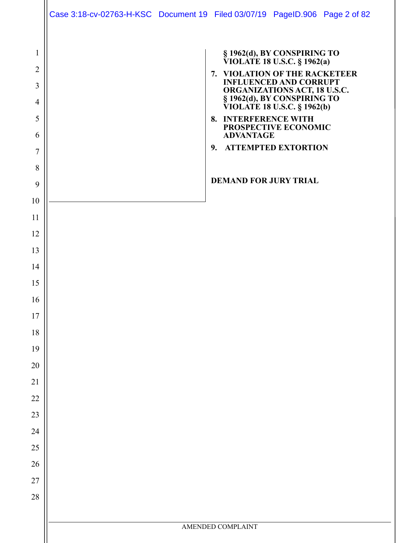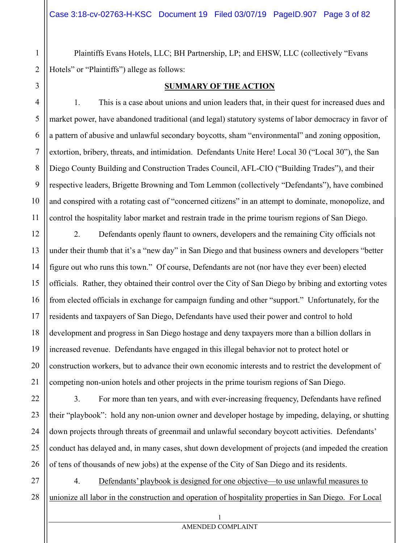Plaintiffs Evans Hotels, LLC; BH Partnership, LP; and EHSW, LLC (collectively "Evans Hotels" or "Plaintiffs") allege as follows:

#### **SUMMARY OF THE ACTION**

1. This is a case about unions and union leaders that, in their quest for increased dues and market power, have abandoned traditional (and legal) statutory systems of labor democracy in favor of a pattern of abusive and unlawful secondary boycotts, sham "environmental" and zoning opposition, extortion, bribery, threats, and intimidation. Defendants Unite Here! Local 30 ("Local 30"), the San Diego County Building and Construction Trades Council, AFL-CIO ("Building Trades"), and their respective leaders, Brigette Browning and Tom Lemmon (collectively "Defendants"), have combined and conspired with a rotating cast of "concerned citizens" in an attempt to dominate, monopolize, and control the hospitality labor market and restrain trade in the prime tourism regions of San Diego.

2. Defendants openly flaunt to owners, developers and the remaining City officials not under their thumb that it's a "new day" in San Diego and that business owners and developers "better figure out who runs this town." Of course, Defendants are not (nor have they ever been) elected officials. Rather, they obtained their control over the City of San Diego by bribing and extorting votes from elected officials in exchange for campaign funding and other "support." Unfortunately, for the residents and taxpayers of San Diego, Defendants have used their power and control to hold development and progress in San Diego hostage and deny taxpayers more than a billion dollars in increased revenue. Defendants have engaged in this illegal behavior not to protect hotel or construction workers, but to advance their own economic interests and to restrict the development of competing non-union hotels and other projects in the prime tourism regions of San Diego.

3. For more than ten years, and with ever-increasing frequency, Defendants have refined their "playbook": hold any non-union owner and developer hostage by impeding, delaying, or shutting down projects through threats of greenmail and unlawful secondary boycott activities. Defendants' conduct has delayed and, in many cases, shut down development of projects (and impeded the creation of tens of thousands of new jobs) at the expense of the City of San Diego and its residents.

27 28 4. Defendants' playbook is designed for one objective—to use unlawful measures to unionize all labor in the construction and operation of hospitality properties in San Diego. For Local

1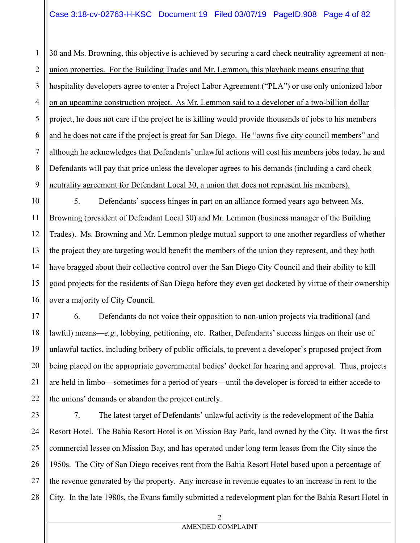## Case 3:18-cv-02763-H-KSC Document 19 Filed 03/07/19 PageID.908 Page 4 of 82

1 2 3 4 5 6 7 8 9 30 and Ms. Browning, this objective is achieved by securing a card check neutrality agreement at nonunion properties. For the Building Trades and Mr. Lemmon, this playbook means ensuring that hospitality developers agree to enter a Project Labor Agreement ("PLA") or use only unionized labor on an upcoming construction project. As Mr. Lemmon said to a developer of a two-billion dollar project, he does not care if the project he is killing would provide thousands of jobs to his members and he does not care if the project is great for San Diego. He "owns five city council members" and although he acknowledges that Defendants' unlawful actions will cost his members jobs today, he and Defendants will pay that price unless the developer agrees to his demands (including a card check neutrality agreement for Defendant Local 30, a union that does not represent his members).

10 14 15 16 5. Defendants' success hinges in part on an alliance formed years ago between Ms. Browning (president of Defendant Local 30) and Mr. Lemmon (business manager of the Building Trades). Ms. Browning and Mr. Lemmon pledge mutual support to one another regardless of whether the project they are targeting would benefit the members of the union they represent, and they both have bragged about their collective control over the San Diego City Council and their ability to kill good projects for the residents of San Diego before they even get docketed by virtue of their ownership over a majority of City Council.

11

12

13

17

18

19

20

21

22

6. Defendants do not voice their opposition to non-union projects via traditional (and lawful) means—*e.g.*, lobbying, petitioning, etc. Rather, Defendants' success hinges on their use of unlawful tactics, including bribery of public officials, to prevent a developer's proposed project from being placed on the appropriate governmental bodies' docket for hearing and approval. Thus, projects are held in limbo—sometimes for a period of years—until the developer is forced to either accede to the unions' demands or abandon the project entirely.

23 24 25 26 27 28 7. The latest target of Defendants' unlawful activity is the redevelopment of the Bahia Resort Hotel. The Bahia Resort Hotel is on Mission Bay Park, land owned by the City. It was the first commercial lessee on Mission Bay, and has operated under long term leases from the City since the 1950s. The City of San Diego receives rent from the Bahia Resort Hotel based upon a percentage of the revenue generated by the property. Any increase in revenue equates to an increase in rent to the City. In the late 1980s, the Evans family submitted a redevelopment plan for the Bahia Resort Hotel in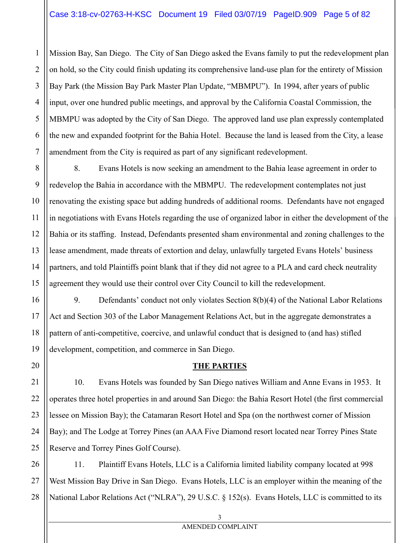Mission Bay, San Diego. The City of San Diego asked the Evans family to put the redevelopment plan on hold, so the City could finish updating its comprehensive land-use plan for the entirety of Mission Bay Park (the Mission Bay Park Master Plan Update, "MBMPU"). In 1994, after years of public input, over one hundred public meetings, and approval by the California Coastal Commission, the MBMPU was adopted by the City of San Diego. The approved land use plan expressly contemplated the new and expanded footprint for the Bahia Hotel. Because the land is leased from the City, a lease amendment from the City is required as part of any significant redevelopment.

8. Evans Hotels is now seeking an amendment to the Bahia lease agreement in order to redevelop the Bahia in accordance with the MBMPU. The redevelopment contemplates not just renovating the existing space but adding hundreds of additional rooms. Defendants have not engaged in negotiations with Evans Hotels regarding the use of organized labor in either the development of the Bahia or its staffing. Instead, Defendants presented sham environmental and zoning challenges to the lease amendment, made threats of extortion and delay, unlawfully targeted Evans Hotels' business partners, and told Plaintiffs point blank that if they did not agree to a PLA and card check neutrality agreement they would use their control over City Council to kill the redevelopment.

9. Defendants' conduct not only violates Section 8(b)(4) of the National Labor Relations Act and Section 303 of the Labor Management Relations Act, but in the aggregate demonstrates a pattern of anti-competitive, coercive, and unlawful conduct that is designed to (and has) stifled development, competition, and commerce in San Diego.

## **THE PARTIES**

10. Evans Hotels was founded by San Diego natives William and Anne Evans in 1953. It operates three hotel properties in and around San Diego: the Bahia Resort Hotel (the first commercial lessee on Mission Bay); the Catamaran Resort Hotel and Spa (on the northwest corner of Mission Bay); and The Lodge at Torrey Pines (an AAA Five Diamond resort located near Torrey Pines State Reserve and Torrey Pines Golf Course).

11. Plaintiff Evans Hotels, LLC is a California limited liability company located at 998 West Mission Bay Drive in San Diego. Evans Hotels, LLC is an employer within the meaning of the National Labor Relations Act ("NLRA"), 29 U.S.C. § 152(s). Evans Hotels, LLC is committed to its

1

2

3

3 AMENDED COMPLAINT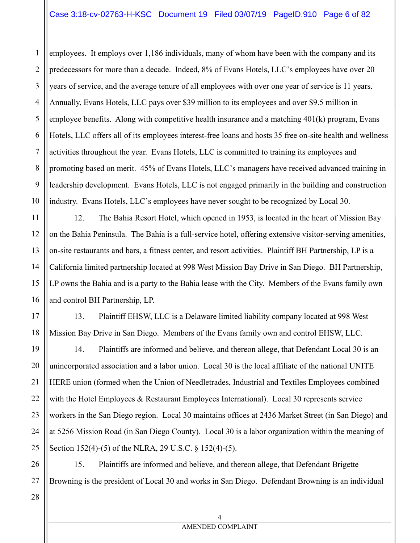# Case 3:18-cv-02763-H-KSC Document 19 Filed 03/07/19 PageID.910 Page 6 of 82

2 3 4 5 6 7 8 9 10 employees. It employs over 1,186 individuals, many of whom have been with the company and its predecessors for more than a decade. Indeed, 8% of Evans Hotels, LLC's employees have over 20 years of service, and the average tenure of all employees with over one year of service is 11 years. Annually, Evans Hotels, LLC pays over \$39 million to its employees and over \$9.5 million in employee benefits. Along with competitive health insurance and a matching 401(k) program, Evans Hotels, LLC offers all of its employees interest-free loans and hosts 35 free on-site health and wellness activities throughout the year. Evans Hotels, LLC is committed to training its employees and promoting based on merit. 45% of Evans Hotels, LLC's managers have received advanced training in leadership development. Evans Hotels, LLC is not engaged primarily in the building and construction industry. Evans Hotels, LLC's employees have never sought to be recognized by Local 30.

12. The Bahia Resort Hotel, which opened in 1953, is located in the heart of Mission Bay on the Bahia Peninsula. The Bahia is a full-service hotel, offering extensive visitor-serving amenities, on-site restaurants and bars, a fitness center, and resort activities. Plaintiff BH Partnership, LP is a California limited partnership located at 998 West Mission Bay Drive in San Diego. BH Partnership, LP owns the Bahia and is a party to the Bahia lease with the City. Members of the Evans family own and control BH Partnership, LP.

18 13. Plaintiff EHSW, LLC is a Delaware limited liability company located at 998 West Mission Bay Drive in San Diego. Members of the Evans family own and control EHSW, LLC.

14. Plaintiffs are informed and believe, and thereon allege, that Defendant Local 30 is an unincorporated association and a labor union. Local 30 is the local affiliate of the national UNITE HERE union (formed when the Union of Needletrades, Industrial and Textiles Employees combined with the Hotel Employees & Restaurant Employees International). Local 30 represents service workers in the San Diego region. Local 30 maintains offices at 2436 Market Street (in San Diego) and at 5256 Mission Road (in San Diego County). Local 30 is a labor organization within the meaning of Section 152(4)-(5) of the NLRA, 29 U.S.C. § 152(4)-(5).

26 27 15. Plaintiffs are informed and believe, and thereon allege, that Defendant Brigette Browning is the president of Local 30 and works in San Diego. Defendant Browning is an individual

28

1

11

12

13

14

15

16

17

19

20

21

22

23

24

25

#### 4 AMENDED COMPLAINT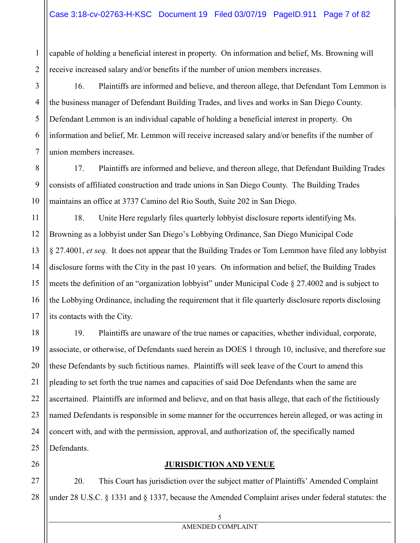capable of holding a beneficial interest in property. On information and belief, Ms. Browning will receive increased salary and/or benefits if the number of union members increases.

16. Plaintiffs are informed and believe, and thereon allege, that Defendant Tom Lemmon is the business manager of Defendant Building Trades, and lives and works in San Diego County. Defendant Lemmon is an individual capable of holding a beneficial interest in property. On information and belief, Mr. Lemmon will receive increased salary and/or benefits if the number of union members increases.

17. Plaintiffs are informed and believe, and thereon allege, that Defendant Building Trades consists of affiliated construction and trade unions in San Diego County. The Building Trades maintains an office at 3737 Camino del Rio South, Suite 202 in San Diego.

18. Unite Here regularly files quarterly lobbyist disclosure reports identifying Ms. Browning as a lobbyist under San Diego's Lobbying Ordinance, San Diego Municipal Code § 27.4001, *et seq.* It does not appear that the Building Trades or Tom Lemmon have filed any lobbyist disclosure forms with the City in the past 10 years. On information and belief, the Building Trades meets the definition of an "organization lobbyist" under Municipal Code § 27.4002 and is subject to the Lobbying Ordinance, including the requirement that it file quarterly disclosure reports disclosing its contacts with the City.

19. Plaintiffs are unaware of the true names or capacities, whether individual, corporate, associate, or otherwise, of Defendants sued herein as DOES 1 through 10, inclusive, and therefore sue these Defendants by such fictitious names. Plaintiffs will seek leave of the Court to amend this pleading to set forth the true names and capacities of said Doe Defendants when the same are ascertained. Plaintiffs are informed and believe, and on that basis allege, that each of the fictitiously named Defendants is responsible in some manner for the occurrences herein alleged, or was acting in concert with, and with the permission, approval, and authorization of, the specifically named Defendants.

### **JURISDICTION AND VENUE**

20. This Court has jurisdiction over the subject matter of Plaintiffs' Amended Complaint under 28 U.S.C. § 1331 and § 1337, because the Amended Complaint arises under federal statutes: the

1

5 AMENDED COMPLAINT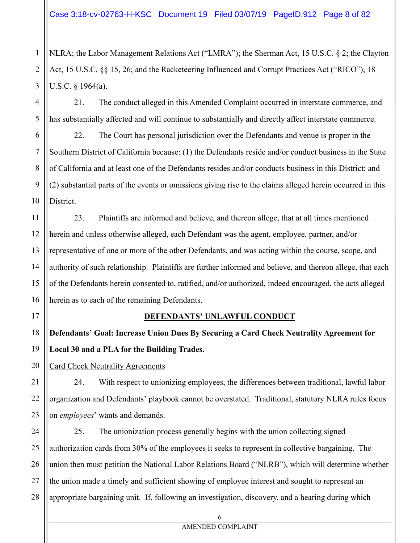NLRA; the Labor Management Relations Act ("LMRA"); the Sherman Act, 15 U.S.C. § 2; the Clayton Act, 15 U.S.C. §§ 15, 26; and the Racketeering Influenced and Corrupt Practices Act ("RICO"), 18 U.S.C. § 1964(a).

21. The conduct alleged in this Amended Complaint occurred in interstate commerce, and has substantially affected and will continue to substantially and directly affect interstate commerce.

6 7 8 9 10 22. The Court has personal jurisdiction over the Defendants and venue is proper in the Southern District of California because: (1) the Defendants reside and/or conduct business in the State of California and at least one of the Defendants resides and/or conducts business in this District; and (2) substantial parts of the events or omissions giving rise to the claims alleged herein occurred in this District.

23. Plaintiffs are informed and believe, and thereon allege, that at all times mentioned herein and unless otherwise alleged, each Defendant was the agent, employee, partner, and/or representative of one or more of the other Defendants, and was acting within the course, scope, and authority of such relationship. Plaintiffs are further informed and believe, and thereon allege, that each of the Defendants herein consented to, ratified, and/or authorized, indeed encouraged, the acts alleged herein as to each of the remaining Defendants.

17

1

2

3

4

5

11

12

13

14

15

16

20

21

22

23

## **DEFENDANTS' UNLAWFUL CONDUCT**

18 19 **Defendants' Goal: Increase Union Dues By Securing a Card Check Neutrality Agreement for Local 30 and a PLA for the Building Trades.** 

Card Check Neutrality Agreements

24. With respect to unionizing employees, the differences between traditional, lawful labor organization and Defendants' playbook cannot be overstated. Traditional, statutory NLRA rules focus on *employees*' wants and demands.

24 25 26 27 28 25. The unionization process generally begins with the union collecting signed authorization cards from 30% of the employees it seeks to represent in collective bargaining. The union then must petition the National Labor Relations Board ("NLRB"), which will determine whether the union made a timely and sufficient showing of employee interest and sought to represent an appropriate bargaining unit. If, following an investigation, discovery, and a hearing during which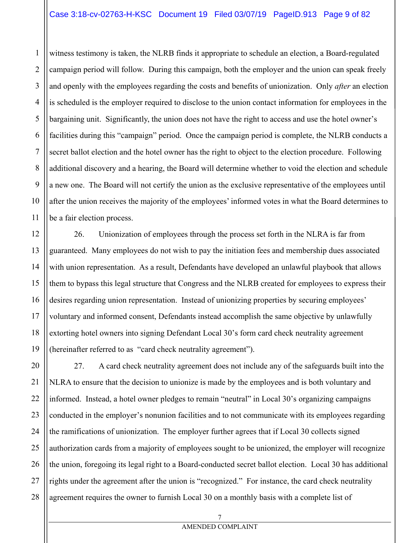### Case 3:18-cv-02763-H-KSC Document 19 Filed 03/07/19 PageID.913 Page 9 of 82

1

2

3

5

6

7

9

11

4 8 10 witness testimony is taken, the NLRB finds it appropriate to schedule an election, a Board-regulated campaign period will follow. During this campaign, both the employer and the union can speak freely and openly with the employees regarding the costs and benefits of unionization. Only *after* an election is scheduled is the employer required to disclose to the union contact information for employees in the bargaining unit. Significantly, the union does not have the right to access and use the hotel owner's facilities during this "campaign" period. Once the campaign period is complete, the NLRB conducts a secret ballot election and the hotel owner has the right to object to the election procedure. Following additional discovery and a hearing, the Board will determine whether to void the election and schedule a new one. The Board will not certify the union as the exclusive representative of the employees until after the union receives the majority of the employees' informed votes in what the Board determines to be a fair election process.

12 13 14 15 16 17 18 19 26. Unionization of employees through the process set forth in the NLRA is far from guaranteed. Many employees do not wish to pay the initiation fees and membership dues associated with union representation. As a result, Defendants have developed an unlawful playbook that allows them to bypass this legal structure that Congress and the NLRB created for employees to express their desires regarding union representation. Instead of unionizing properties by securing employees' voluntary and informed consent, Defendants instead accomplish the same objective by unlawfully extorting hotel owners into signing Defendant Local 30's form card check neutrality agreement (hereinafter referred to as "card check neutrality agreement").

20 21 22 23 24 25 26 27 28 27. A card check neutrality agreement does not include any of the safeguards built into the NLRA to ensure that the decision to unionize is made by the employees and is both voluntary and informed. Instead, a hotel owner pledges to remain "neutral" in Local 30's organizing campaigns conducted in the employer's nonunion facilities and to not communicate with its employees regarding the ramifications of unionization. The employer further agrees that if Local 30 collects signed authorization cards from a majority of employees sought to be unionized, the employer will recognize the union, foregoing its legal right to a Board-conducted secret ballot election. Local 30 has additional rights under the agreement after the union is "recognized." For instance, the card check neutrality agreement requires the owner to furnish Local 30 on a monthly basis with a complete list of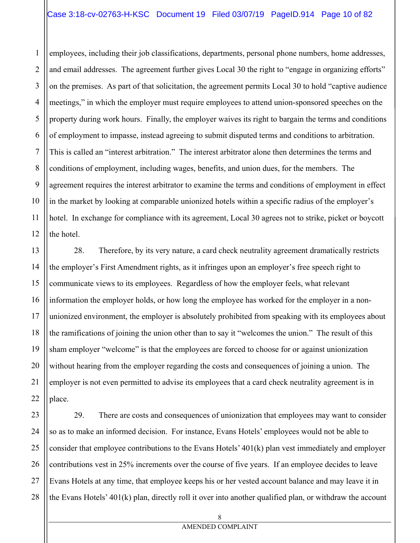## Case 3:18-cv-02763-H-KSC Document 19 Filed 03/07/19 PageID.914 Page 10 of 82

1

2

11

3 4 5 6 7 8 9 10 12 employees, including their job classifications, departments, personal phone numbers, home addresses, and email addresses. The agreement further gives Local 30 the right to "engage in organizing efforts" on the premises. As part of that solicitation, the agreement permits Local 30 to hold "captive audience meetings," in which the employer must require employees to attend union-sponsored speeches on the property during work hours. Finally, the employer waives its right to bargain the terms and conditions of employment to impasse, instead agreeing to submit disputed terms and conditions to arbitration. This is called an "interest arbitration." The interest arbitrator alone then determines the terms and conditions of employment, including wages, benefits, and union dues, for the members. The agreement requires the interest arbitrator to examine the terms and conditions of employment in effect in the market by looking at comparable unionized hotels within a specific radius of the employer's hotel. In exchange for compliance with its agreement, Local 30 agrees not to strike, picket or boycott the hotel.

13 14 15 16 17 18 19 20 21 22 28. Therefore, by its very nature, a card check neutrality agreement dramatically restricts the employer's First Amendment rights, as it infringes upon an employer's free speech right to communicate views to its employees. Regardless of how the employer feels, what relevant information the employer holds, or how long the employee has worked for the employer in a nonunionized environment, the employer is absolutely prohibited from speaking with its employees about the ramifications of joining the union other than to say it "welcomes the union." The result of this sham employer "welcome" is that the employees are forced to choose for or against unionization without hearing from the employer regarding the costs and consequences of joining a union. The employer is not even permitted to advise its employees that a card check neutrality agreement is in place.

23 24 25 26 27 28 29. There are costs and consequences of unionization that employees may want to consider so as to make an informed decision. For instance, Evans Hotels' employees would not be able to consider that employee contributions to the Evans Hotels' 401(k) plan vest immediately and employer contributions vest in 25% increments over the course of five years. If an employee decides to leave Evans Hotels at any time, that employee keeps his or her vested account balance and may leave it in the Evans Hotels' 401(k) plan, directly roll it over into another qualified plan, or withdraw the account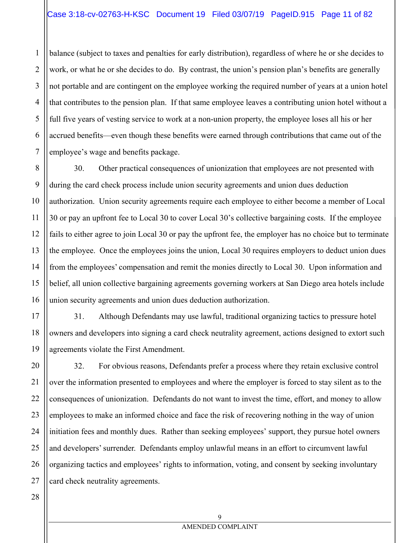balance (subject to taxes and penalties for early distribution), regardless of where he or she decides to work, or what he or she decides to do. By contrast, the union's pension plan's benefits are generally not portable and are contingent on the employee working the required number of years at a union hotel that contributes to the pension plan. If that same employee leaves a contributing union hotel without a full five years of vesting service to work at a non-union property, the employee loses all his or her accrued benefits—even though these benefits were earned through contributions that came out of the employee's wage and benefits package.

30. Other practical consequences of unionization that employees are not presented with during the card check process include union security agreements and union dues deduction authorization. Union security agreements require each employee to either become a member of Local 30 or pay an upfront fee to Local 30 to cover Local 30's collective bargaining costs. If the employee fails to either agree to join Local 30 or pay the upfront fee, the employer has no choice but to terminate the employee. Once the employees joins the union, Local 30 requires employers to deduct union dues from the employees' compensation and remit the monies directly to Local 30. Upon information and belief, all union collective bargaining agreements governing workers at San Diego area hotels include union security agreements and union dues deduction authorization.

31. Although Defendants may use lawful, traditional organizing tactics to pressure hotel owners and developers into signing a card check neutrality agreement, actions designed to extort such agreements violate the First Amendment.

32. For obvious reasons, Defendants prefer a process where they retain exclusive control over the information presented to employees and where the employer is forced to stay silent as to the consequences of unionization. Defendants do not want to invest the time, effort, and money to allow employees to make an informed choice and face the risk of recovering nothing in the way of union initiation fees and monthly dues. Rather than seeking employees' support, they pursue hotel owners and developers' surrender. Defendants employ unlawful means in an effort to circumvent lawful organizing tactics and employees' rights to information, voting, and consent by seeking involuntary card check neutrality agreements.

1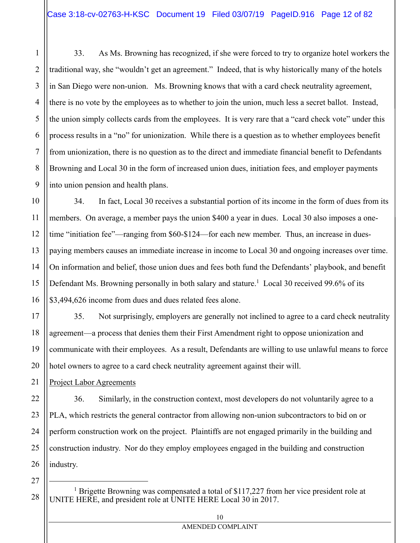3 4 7 8 9 33. As Ms. Browning has recognized, if she were forced to try to organize hotel workers the traditional way, she "wouldn't get an agreement." Indeed, that is why historically many of the hotels in San Diego were non-union. Ms. Browning knows that with a card check neutrality agreement, there is no vote by the employees as to whether to join the union, much less a secret ballot. Instead, the union simply collects cards from the employees. It is very rare that a "card check vote" under this process results in a "no" for unionization. While there is a question as to whether employees benefit from unionization, there is no question as to the direct and immediate financial benefit to Defendants Browning and Local 30 in the form of increased union dues, initiation fees, and employer payments into union pension and health plans.

10 11 12 13 14 15 16 34. In fact, Local 30 receives a substantial portion of its income in the form of dues from its members. On average, a member pays the union \$400 a year in dues. Local 30 also imposes a onetime "initiation fee"—ranging from \$60-\$124—for each new member. Thus, an increase in duespaying members causes an immediate increase in income to Local 30 and ongoing increases over time. On information and belief, those union dues and fees both fund the Defendants' playbook, and benefit Defendant Ms. Browning personally in both salary and stature.<sup>1</sup> Local 30 received 99.6% of its \$3,494,626 income from dues and dues related fees alone.

17 18 19 20 35. Not surprisingly, employers are generally not inclined to agree to a card check neutrality agreement—a process that denies them their First Amendment right to oppose unionization and communicate with their employees. As a result, Defendants are willing to use unlawful means to force hotel owners to agree to a card check neutrality agreement against their will.

Project Labor Agreements

36. Similarly, in the construction context, most developers do not voluntarily agree to a PLA, which restricts the general contractor from allowing non-union subcontractors to bid on or perform construction work on the project. Plaintiffs are not engaged primarily in the building and construction industry. Nor do they employ employees engaged in the building and construction industry.

27

 $\overline{\phantom{0}}$ 

28

21

22

23

24

25

26

1

2

5

6

<sup>1</sup> Brigette Browning was compensated a total of \$117,227 from her vice president role at UNITE HERE, and president role at UNITE HERE Local 30 in 2017.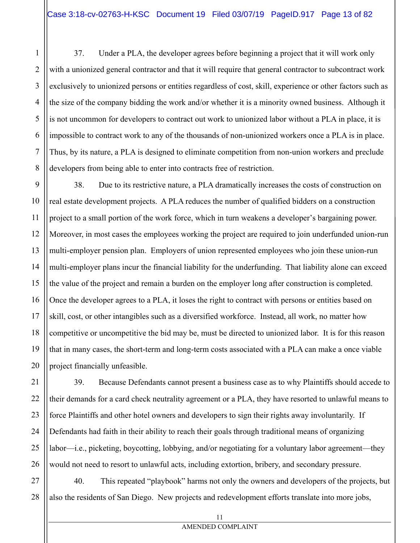37. Under a PLA, the developer agrees before beginning a project that it will work only with a unionized general contractor and that it will require that general contractor to subcontract work exclusively to unionized persons or entities regardless of cost, skill, experience or other factors such as the size of the company bidding the work and/or whether it is a minority owned business. Although it is not uncommon for developers to contract out work to unionized labor without a PLA in place, it is impossible to contract work to any of the thousands of non-unionized workers once a PLA is in place. Thus, by its nature, a PLA is designed to eliminate competition from non-union workers and preclude developers from being able to enter into contracts free of restriction.

9 10 11 12 13 14 15 16 17 18 19 20 38. Due to its restrictive nature, a PLA dramatically increases the costs of construction on real estate development projects. A PLA reduces the number of qualified bidders on a construction project to a small portion of the work force, which in turn weakens a developer's bargaining power. Moreover, in most cases the employees working the project are required to join underfunded union-run multi-employer pension plan. Employers of union represented employees who join these union-run multi-employer plans incur the financial liability for the underfunding. That liability alone can exceed the value of the project and remain a burden on the employer long after construction is completed. Once the developer agrees to a PLA, it loses the right to contract with persons or entities based on skill, cost, or other intangibles such as a diversified workforce. Instead, all work, no matter how competitive or uncompetitive the bid may be, must be directed to unionized labor. It is for this reason that in many cases, the short-term and long-term costs associated with a PLA can make a once viable project financially unfeasible.

21 22 23 24 25 26 39. Because Defendants cannot present a business case as to why Plaintiffs should accede to their demands for a card check neutrality agreement or a PLA, they have resorted to unlawful means to force Plaintiffs and other hotel owners and developers to sign their rights away involuntarily. If Defendants had faith in their ability to reach their goals through traditional means of organizing labor—i.e., picketing, boycotting, lobbying, and/or negotiating for a voluntary labor agreement—they would not need to resort to unlawful acts, including extortion, bribery, and secondary pressure.

27 28 40. This repeated "playbook" harms not only the owners and developers of the projects, but also the residents of San Diego. New projects and redevelopment efforts translate into more jobs,

1

2

3

4

5

6

7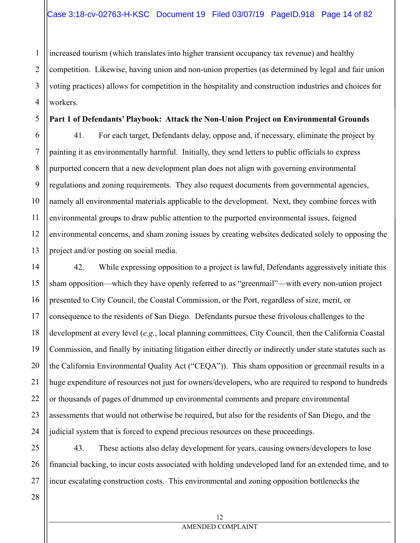2 3 4 increased tourism (which translates into higher transient occupancy tax revenue) and healthy competition. Likewise, having union and non-union properties (as determined by legal and fair union voting practices) allows for competition in the hospitality and construction industries and choices for workers.

#### **Part 1 of Defendants' Playbook: Attack the Non-Union Project on Environmental Grounds**

41. For each target, Defendants delay, oppose and, if necessary, eliminate the project by painting it as environmentally harmful. Initially, they send letters to public officials to express purported concern that a new development plan does not align with governing environmental regulations and zoning requirements. They also request documents from governmental agencies, namely all environmental materials applicable to the development. Next, they combine forces with environmental groups to draw public attention to the purported environmental issues, feigned environmental concerns, and sham zoning issues by creating websites dedicated solely to opposing the project and/or posting on social media.

14 15 16 17 18 19 20 21 22 23 24 42. While expressing opposition to a project is lawful, Defendants aggressively initiate this sham opposition—which they have openly referred to as "greenmail"—with every non-union project presented to City Council, the Coastal Commission, or the Port, regardless of size, merit, or consequence to the residents of San Diego. Defendants pursue these frivolous challenges to the development at every level (*e.g.*, local planning committees, City Council, then the California Coastal Commission, and finally by initiating litigation either directly or indirectly under state statutes such as the California Environmental Quality Act ("CEQA")). This sham opposition or greenmail results in a huge expenditure of resources not just for owners/developers, who are required to respond to hundreds or thousands of pages of drummed up environmental comments and prepare environmental assessments that would not otherwise be required, but also for the residents of San Diego, and the judicial system that is forced to expend precious resources on these proceedings.

25 26 27 43. These actions also delay development for years, causing owners/developers to lose financial backing, to incur costs associated with holding undeveloped land for an extended time, and to incur escalating construction costs. This environmental and zoning opposition bottlenecks the

28

1

5

6

7

8

9

10

11

12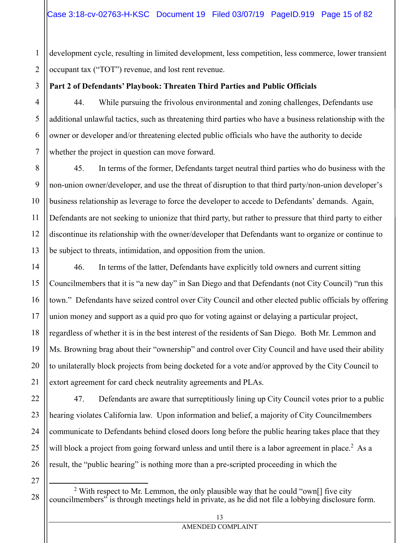1 2 development cycle, resulting in limited development, less competition, less commerce, lower transient occupant tax ("TOT") revenue, and lost rent revenue.

## **Part 2 of Defendants' Playbook: Threaten Third Parties and Public Officials**

44. While pursuing the frivolous environmental and zoning challenges, Defendants use additional unlawful tactics, such as threatening third parties who have a business relationship with the owner or developer and/or threatening elected public officials who have the authority to decide whether the project in question can move forward.

8 9 10 11 12 13 45. In terms of the former, Defendants target neutral third parties who do business with the non-union owner/developer, and use the threat of disruption to that third party/non-union developer's business relationship as leverage to force the developer to accede to Defendants' demands. Again, Defendants are not seeking to unionize that third party, but rather to pressure that third party to either discontinue its relationship with the owner/developer that Defendants want to organize or continue to be subject to threats, intimidation, and opposition from the union.

46. In terms of the latter, Defendants have explicitly told owners and current sitting Councilmembers that it is "a new day" in San Diego and that Defendants (not City Council) "run this town." Defendants have seized control over City Council and other elected public officials by offering union money and support as a quid pro quo for voting against or delaying a particular project, regardless of whether it is in the best interest of the residents of San Diego. Both Mr. Lemmon and Ms. Browning brag about their "ownership" and control over City Council and have used their ability to unilaterally block projects from being docketed for a vote and/or approved by the City Council to extort agreement for card check neutrality agreements and PLAs.

47. Defendants are aware that surreptitiously lining up City Council votes prior to a public hearing violates California law. Upon information and belief, a majority of City Councilmembers communicate to Defendants behind closed doors long before the public hearing takes place that they will block a project from going forward unless and until there is a labor agreement in place.<sup>2</sup> As a result, the "public hearing" is nothing more than a pre-scripted proceeding in which the

27

 $\overline{\phantom{0}}$ 

28

3

4

5

6

7

14

15

16

17

18

19

20

21

22

23

24

25

<sup>&</sup>lt;sup>2</sup> With respect to Mr. Lemmon, the only plausible way that he could "own<sup>[]</sup> five city councilmembers" is through meetings held in private, as he did not file a lobbying disclosure form.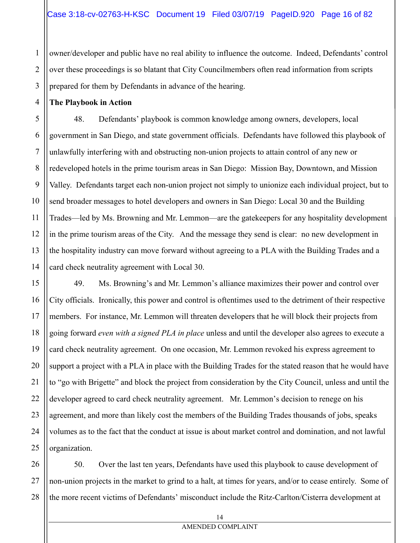owner/developer and public have no real ability to influence the outcome. Indeed, Defendants' control over these proceedings is so blatant that City Councilmembers often read information from scripts prepared for them by Defendants in advance of the hearing.

**The Playbook in Action** 

48. Defendants' playbook is common knowledge among owners, developers, local government in San Diego, and state government officials. Defendants have followed this playbook of unlawfully interfering with and obstructing non-union projects to attain control of any new or redeveloped hotels in the prime tourism areas in San Diego: Mission Bay, Downtown, and Mission Valley. Defendants target each non-union project not simply to unionize each individual project, but to send broader messages to hotel developers and owners in San Diego: Local 30 and the Building Trades—led by Ms. Browning and Mr. Lemmon—are the gatekeepers for any hospitality development in the prime tourism areas of the City. And the message they send is clear: no new development in the hospitality industry can move forward without agreeing to a PLA with the Building Trades and a card check neutrality agreement with Local 30.

49. Ms. Browning's and Mr. Lemmon's alliance maximizes their power and control over City officials. Ironically, this power and control is oftentimes used to the detriment of their respective members. For instance, Mr. Lemmon will threaten developers that he will block their projects from going forward *even with a signed PLA in place* unless and until the developer also agrees to execute a card check neutrality agreement. On one occasion, Mr. Lemmon revoked his express agreement to support a project with a PLA in place with the Building Trades for the stated reason that he would have to "go with Brigette" and block the project from consideration by the City Council, unless and until the developer agreed to card check neutrality agreement. Mr. Lemmon's decision to renege on his agreement, and more than likely cost the members of the Building Trades thousands of jobs, speaks volumes as to the fact that the conduct at issue is about market control and domination, and not lawful organization.

28 50. Over the last ten years, Defendants have used this playbook to cause development of non-union projects in the market to grind to a halt, at times for years, and/or to cease entirely. Some of the more recent victims of Defendants' misconduct include the Ritz-Carlton/Cisterra development at

1

2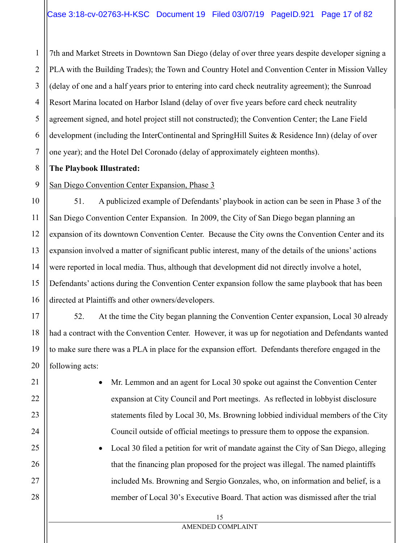1 2 3 4 5 6 7 7th and Market Streets in Downtown San Diego (delay of over three years despite developer signing a PLA with the Building Trades); the Town and Country Hotel and Convention Center in Mission Valley (delay of one and a half years prior to entering into card check neutrality agreement); the Sunroad Resort Marina located on Harbor Island (delay of over five years before card check neutrality agreement signed, and hotel project still not constructed); the Convention Center; the Lane Field development (including the InterContinental and SpringHill Suites & Residence Inn) (delay of over one year); and the Hotel Del Coronado (delay of approximately eighteen months).

## **The Playbook Illustrated:**

8

9

17

21

22

23

24

25

26

27

28

San Diego Convention Center Expansion, Phase 3

10 11 12 13 14 15 16 51. A publicized example of Defendants' playbook in action can be seen in Phase 3 of the San Diego Convention Center Expansion. In 2009, the City of San Diego began planning an expansion of its downtown Convention Center. Because the City owns the Convention Center and its expansion involved a matter of significant public interest, many of the details of the unions' actions were reported in local media. Thus, although that development did not directly involve a hotel, Defendants' actions during the Convention Center expansion follow the same playbook that has been directed at Plaintiffs and other owners/developers.

18 19 20 52. At the time the City began planning the Convention Center expansion, Local 30 already had a contract with the Convention Center. However, it was up for negotiation and Defendants wanted to make sure there was a PLA in place for the expansion effort. Defendants therefore engaged in the following acts:

> Mr. Lemmon and an agent for Local 30 spoke out against the Convention Center expansion at City Council and Port meetings. As reflected in lobbyist disclosure statements filed by Local 30, Ms. Browning lobbied individual members of the City Council outside of official meetings to pressure them to oppose the expansion.

 Local 30 filed a petition for writ of mandate against the City of San Diego, alleging that the financing plan proposed for the project was illegal. The named plaintiffs included Ms. Browning and Sergio Gonzales, who, on information and belief, is a member of Local 30's Executive Board. That action was dismissed after the trial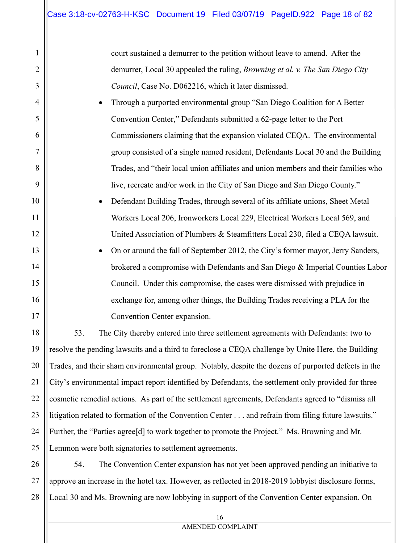1

2

3

4

5

6

7

8

9

10

11

12

13

14

15

16

17

18

19

20

21

22

23

24

25

court sustained a demurrer to the petition without leave to amend. After the demurrer, Local 30 appealed the ruling, *Browning et al. v. The San Diego City Council*, Case No. D062216, which it later dismissed.

- Through a purported environmental group "San Diego Coalition for A Better Convention Center," Defendants submitted a 62-page letter to the Port Commissioners claiming that the expansion violated CEQA. The environmental group consisted of a single named resident, Defendants Local 30 and the Building Trades, and "their local union affiliates and union members and their families who live, recreate and/or work in the City of San Diego and San Diego County."
	- Defendant Building Trades, through several of its affiliate unions, Sheet Metal Workers Local 206, Ironworkers Local 229, Electrical Workers Local 569, and United Association of Plumbers & Steamfitters Local 230, filed a CEQA lawsuit.
	- On or around the fall of September 2012, the City's former mayor, Jerry Sanders, brokered a compromise with Defendants and San Diego & Imperial Counties Labor Council. Under this compromise, the cases were dismissed with prejudice in exchange for, among other things, the Building Trades receiving a PLA for the Convention Center expansion.

53. The City thereby entered into three settlement agreements with Defendants: two to resolve the pending lawsuits and a third to foreclose a CEQA challenge by Unite Here, the Building Trades, and their sham environmental group. Notably, despite the dozens of purported defects in the City's environmental impact report identified by Defendants, the settlement only provided for three cosmetic remedial actions. As part of the settlement agreements, Defendants agreed to "dismiss all litigation related to formation of the Convention Center . . . and refrain from filing future lawsuits." Further, the "Parties agree<sup>[d]</sup> to work together to promote the Project." Ms. Browning and Mr. Lemmon were both signatories to settlement agreements.

26 27 28 54. The Convention Center expansion has not yet been approved pending an initiative to approve an increase in the hotel tax. However, as reflected in 2018-2019 lobbyist disclosure forms, Local 30 and Ms. Browning are now lobbying in support of the Convention Center expansion. On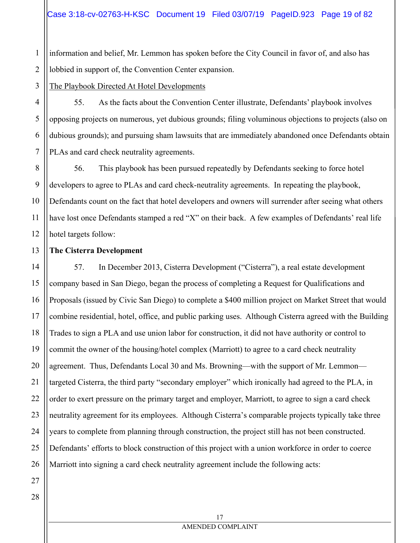1 2 information and belief, Mr. Lemmon has spoken before the City Council in favor of, and also has lobbied in support of, the Convention Center expansion.

3 The Playbook Directed At Hotel Developments

55. As the facts about the Convention Center illustrate, Defendants' playbook involves opposing projects on numerous, yet dubious grounds; filing voluminous objections to projects (also on dubious grounds); and pursuing sham lawsuits that are immediately abandoned once Defendants obtain PLAs and card check neutrality agreements.

8 9 10 11 12 56. This playbook has been pursued repeatedly by Defendants seeking to force hotel developers to agree to PLAs and card check-neutrality agreements. In repeating the playbook, Defendants count on the fact that hotel developers and owners will surrender after seeing what others have lost once Defendants stamped a red "X" on their back. A few examples of Defendants' real life hotel targets follow:

#### 13 **The Cisterra Development**

14 15 16 17 18 19 20 21 22 23 24 25 26 57. In December 2013, Cisterra Development ("Cisterra"), a real estate development company based in San Diego, began the process of completing a Request for Qualifications and Proposals (issued by Civic San Diego) to complete a \$400 million project on Market Street that would combine residential, hotel, office, and public parking uses. Although Cisterra agreed with the Building Trades to sign a PLA and use union labor for construction, it did not have authority or control to commit the owner of the housing/hotel complex (Marriott) to agree to a card check neutrality agreement. Thus, Defendants Local 30 and Ms. Browning—with the support of Mr. Lemmon targeted Cisterra, the third party "secondary employer" which ironically had agreed to the PLA, in order to exert pressure on the primary target and employer, Marriott, to agree to sign a card check neutrality agreement for its employees. Although Cisterra's comparable projects typically take three years to complete from planning through construction, the project still has not been constructed. Defendants' efforts to block construction of this project with a union workforce in order to coerce Marriott into signing a card check neutrality agreement include the following acts:

27 28

4

5

6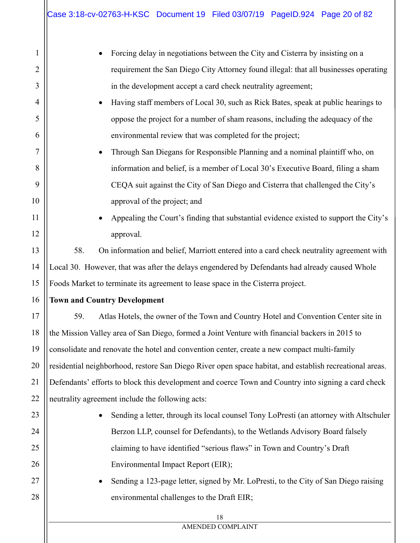| 1<br>Forcing delay in negotiations between the City and Cisterra by insisting on a<br>2<br>requirement the San Diego City Attorney found illegal: that all businesses operating<br>3<br>in the development accept a card check neutrality agreement;<br>Having staff members of Local 30, such as Rick Bates, speak at public hearings to<br>4<br>$\bullet$<br>5<br>oppose the project for a number of sham reasons, including the adequacy of the<br>environmental review that was completed for the project;<br>6<br>7<br>Through San Diegans for Responsible Planning and a nominal plaintiff who, on<br>$\bullet$<br>8<br>information and belief, is a member of Local 30's Executive Board, filing a sham<br>9<br>CEQA suit against the City of San Diego and Cisterra that challenged the City's<br>10<br>approval of the project; and<br>11<br>Appealing the Court's finding that substantial evidence existed to support the City's<br>$\bullet$<br>12<br>approval.<br>13<br>58.<br>On information and belief, Marriott entered into a card check neutrality agreement with |  |  |
|-------------------------------------------------------------------------------------------------------------------------------------------------------------------------------------------------------------------------------------------------------------------------------------------------------------------------------------------------------------------------------------------------------------------------------------------------------------------------------------------------------------------------------------------------------------------------------------------------------------------------------------------------------------------------------------------------------------------------------------------------------------------------------------------------------------------------------------------------------------------------------------------------------------------------------------------------------------------------------------------------------------------------------------------------------------------------------------|--|--|
|                                                                                                                                                                                                                                                                                                                                                                                                                                                                                                                                                                                                                                                                                                                                                                                                                                                                                                                                                                                                                                                                                     |  |  |
|                                                                                                                                                                                                                                                                                                                                                                                                                                                                                                                                                                                                                                                                                                                                                                                                                                                                                                                                                                                                                                                                                     |  |  |
|                                                                                                                                                                                                                                                                                                                                                                                                                                                                                                                                                                                                                                                                                                                                                                                                                                                                                                                                                                                                                                                                                     |  |  |
|                                                                                                                                                                                                                                                                                                                                                                                                                                                                                                                                                                                                                                                                                                                                                                                                                                                                                                                                                                                                                                                                                     |  |  |
|                                                                                                                                                                                                                                                                                                                                                                                                                                                                                                                                                                                                                                                                                                                                                                                                                                                                                                                                                                                                                                                                                     |  |  |
|                                                                                                                                                                                                                                                                                                                                                                                                                                                                                                                                                                                                                                                                                                                                                                                                                                                                                                                                                                                                                                                                                     |  |  |
|                                                                                                                                                                                                                                                                                                                                                                                                                                                                                                                                                                                                                                                                                                                                                                                                                                                                                                                                                                                                                                                                                     |  |  |
|                                                                                                                                                                                                                                                                                                                                                                                                                                                                                                                                                                                                                                                                                                                                                                                                                                                                                                                                                                                                                                                                                     |  |  |
|                                                                                                                                                                                                                                                                                                                                                                                                                                                                                                                                                                                                                                                                                                                                                                                                                                                                                                                                                                                                                                                                                     |  |  |
|                                                                                                                                                                                                                                                                                                                                                                                                                                                                                                                                                                                                                                                                                                                                                                                                                                                                                                                                                                                                                                                                                     |  |  |
|                                                                                                                                                                                                                                                                                                                                                                                                                                                                                                                                                                                                                                                                                                                                                                                                                                                                                                                                                                                                                                                                                     |  |  |
|                                                                                                                                                                                                                                                                                                                                                                                                                                                                                                                                                                                                                                                                                                                                                                                                                                                                                                                                                                                                                                                                                     |  |  |
|                                                                                                                                                                                                                                                                                                                                                                                                                                                                                                                                                                                                                                                                                                                                                                                                                                                                                                                                                                                                                                                                                     |  |  |
| 14<br>Local 30. However, that was after the delays engendered by Defendants had already caused Whole                                                                                                                                                                                                                                                                                                                                                                                                                                                                                                                                                                                                                                                                                                                                                                                                                                                                                                                                                                                |  |  |
| 15<br>Foods Market to terminate its agreement to lease space in the Cisterra project.                                                                                                                                                                                                                                                                                                                                                                                                                                                                                                                                                                                                                                                                                                                                                                                                                                                                                                                                                                                               |  |  |
| 16<br><b>Town and Country Development</b>                                                                                                                                                                                                                                                                                                                                                                                                                                                                                                                                                                                                                                                                                                                                                                                                                                                                                                                                                                                                                                           |  |  |
| 17<br>Atlas Hotels, the owner of the Town and Country Hotel and Convention Center site in<br>59.                                                                                                                                                                                                                                                                                                                                                                                                                                                                                                                                                                                                                                                                                                                                                                                                                                                                                                                                                                                    |  |  |
| 18<br>the Mission Valley area of San Diego, formed a Joint Venture with financial backers in 2015 to                                                                                                                                                                                                                                                                                                                                                                                                                                                                                                                                                                                                                                                                                                                                                                                                                                                                                                                                                                                |  |  |
| consolidate and renovate the hotel and convention center, create a new compact multi-family                                                                                                                                                                                                                                                                                                                                                                                                                                                                                                                                                                                                                                                                                                                                                                                                                                                                                                                                                                                         |  |  |
| residential neighborhood, restore San Diego River open space habitat, and establish recreational areas.                                                                                                                                                                                                                                                                                                                                                                                                                                                                                                                                                                                                                                                                                                                                                                                                                                                                                                                                                                             |  |  |
| Defendants' efforts to block this development and coerce Town and Country into signing a card check                                                                                                                                                                                                                                                                                                                                                                                                                                                                                                                                                                                                                                                                                                                                                                                                                                                                                                                                                                                 |  |  |
| neutrality agreement include the following acts:                                                                                                                                                                                                                                                                                                                                                                                                                                                                                                                                                                                                                                                                                                                                                                                                                                                                                                                                                                                                                                    |  |  |
| 23<br>Sending a letter, through its local counsel Tony LoPresti (an attorney with Altschuler                                                                                                                                                                                                                                                                                                                                                                                                                                                                                                                                                                                                                                                                                                                                                                                                                                                                                                                                                                                        |  |  |
| Berzon LLP, counsel for Defendants), to the Wetlands Advisory Board falsely                                                                                                                                                                                                                                                                                                                                                                                                                                                                                                                                                                                                                                                                                                                                                                                                                                                                                                                                                                                                         |  |  |
| claiming to have identified "serious flaws" in Town and Country's Draft                                                                                                                                                                                                                                                                                                                                                                                                                                                                                                                                                                                                                                                                                                                                                                                                                                                                                                                                                                                                             |  |  |
| 26<br>Environmental Impact Report (EIR);                                                                                                                                                                                                                                                                                                                                                                                                                                                                                                                                                                                                                                                                                                                                                                                                                                                                                                                                                                                                                                            |  |  |
| 27<br>Sending a 123-page letter, signed by Mr. LoPresti, to the City of San Diego raising<br>$\bullet$                                                                                                                                                                                                                                                                                                                                                                                                                                                                                                                                                                                                                                                                                                                                                                                                                                                                                                                                                                              |  |  |
| 28<br>environmental challenges to the Draft EIR;                                                                                                                                                                                                                                                                                                                                                                                                                                                                                                                                                                                                                                                                                                                                                                                                                                                                                                                                                                                                                                    |  |  |
| 18                                                                                                                                                                                                                                                                                                                                                                                                                                                                                                                                                                                                                                                                                                                                                                                                                                                                                                                                                                                                                                                                                  |  |  |
| AMENDED COMPLAINT                                                                                                                                                                                                                                                                                                                                                                                                                                                                                                                                                                                                                                                                                                                                                                                                                                                                                                                                                                                                                                                                   |  |  |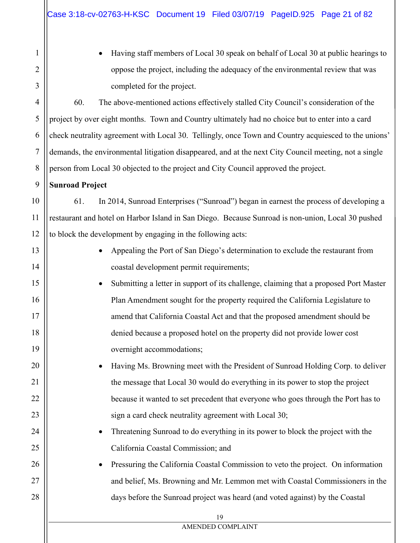| $\mathbf{1}$        |
|---------------------|
| $\overline{2}$      |
| 3                   |
| $\overline{4}$      |
| 5                   |
| 6                   |
| $\overline{7}$      |
| 8                   |
| 9                   |
| 10                  |
| $\frac{11}{2}$      |
| 12                  |
| 13                  |
| $\overline{14}$     |
| 15                  |
| 16                  |
| $\frac{17}{2}$      |
| 18                  |
| 19                  |
| $\overline{2}$<br>) |
| !1                  |
|                     |
|                     |
| 4                   |
| ,                   |
| ) (                 |
|                     |
| $\mathbf{S}$        |

19 AMENDED COMPLAINT Having staff members of Local 30 speak on behalf of Local 30 at public hearings to oppose the project, including the adequacy of the environmental review that was completed for the project. 60. The above-mentioned actions effectively stalled City Council's consideration of the project by over eight months. Town and Country ultimately had no choice but to enter into a card check neutrality agreement with Local 30. Tellingly, once Town and Country acquiesced to the unions' demands, the environmental litigation disappeared, and at the next City Council meeting, not a single person from Local 30 objected to the project and City Council approved the project. **Sunroad Project**  61. In 2014, Sunroad Enterprises ("Sunroad") began in earnest the process of developing a restaurant and hotel on Harbor Island in San Diego. Because Sunroad is non-union, Local 30 pushed to block the development by engaging in the following acts: Appealing the Port of San Diego's determination to exclude the restaurant from coastal development permit requirements; Submitting a letter in support of its challenge, claiming that a proposed Port Master Plan Amendment sought for the property required the California Legislature to amend that California Coastal Act and that the proposed amendment should be denied because a proposed hotel on the property did not provide lower cost overnight accommodations; Having Ms. Browning meet with the President of Sunroad Holding Corp. to deliver the message that Local 30 would do everything in its power to stop the project because it wanted to set precedent that everyone who goes through the Port has to sign a card check neutrality agreement with Local 30; Threatening Sunroad to do everything in its power to block the project with the California Coastal Commission; and Pressuring the California Coastal Commission to veto the project. On information and belief, Ms. Browning and Mr. Lemmon met with Coastal Commissioners in the days before the Sunroad project was heard (and voted against) by the Coastal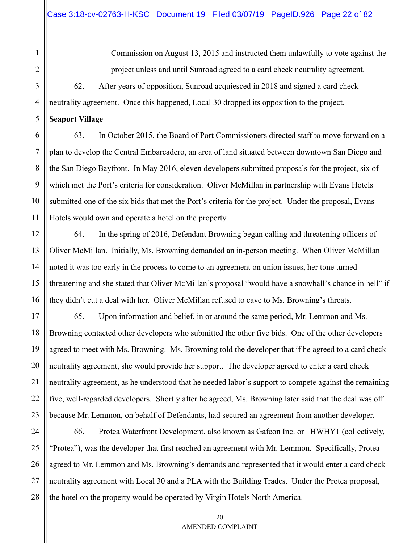Commission on August 13, 2015 and instructed them unlawfully to vote against the project unless and until Sunroad agreed to a card check neutrality agreement.

62. After years of opposition, Sunroad acquiesced in 2018 and signed a card check neutrality agreement. Once this happened, Local 30 dropped its opposition to the project.

#### **Seaport Village**

63. In October 2015, the Board of Port Commissioners directed staff to move forward on a plan to develop the Central Embarcadero, an area of land situated between downtown San Diego and the San Diego Bayfront. In May 2016, eleven developers submitted proposals for the project, six of which met the Port's criteria for consideration. Oliver McMillan in partnership with Evans Hotels submitted one of the six bids that met the Port's criteria for the project. Under the proposal, Evans Hotels would own and operate a hotel on the property.

64. In the spring of 2016, Defendant Browning began calling and threatening officers of Oliver McMillan. Initially, Ms. Browning demanded an in-person meeting. When Oliver McMillan noted it was too early in the process to come to an agreement on union issues, her tone turned threatening and she stated that Oliver McMillan's proposal "would have a snowball's chance in hell" if they didn't cut a deal with her. Oliver McMillan refused to cave to Ms. Browning's threats.

65. Upon information and belief, in or around the same period, Mr. Lemmon and Ms. Browning contacted other developers who submitted the other five bids. One of the other developers agreed to meet with Ms. Browning. Ms. Browning told the developer that if he agreed to a card check neutrality agreement, she would provide her support. The developer agreed to enter a card check neutrality agreement, as he understood that he needed labor's support to compete against the remaining five, well-regarded developers. Shortly after he agreed, Ms. Browning later said that the deal was off because Mr. Lemmon, on behalf of Defendants, had secured an agreement from another developer.

66. Protea Waterfront Development, also known as Gafcon Inc. or 1HWHY1 (collectively, "Protea"), was the developer that first reached an agreement with Mr. Lemmon. Specifically, Protea agreed to Mr. Lemmon and Ms. Browning's demands and represented that it would enter a card check neutrality agreement with Local 30 and a PLA with the Building Trades. Under the Protea proposal, the hotel on the property would be operated by Virgin Hotels North America.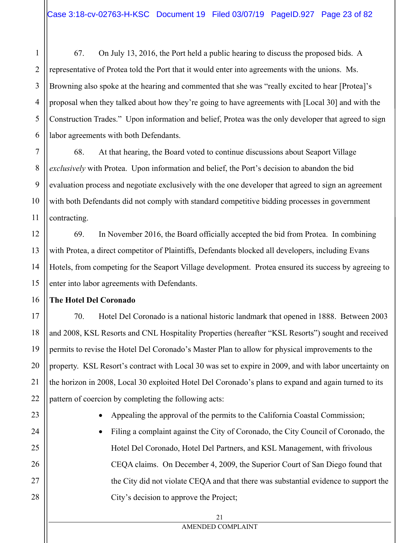67. On July 13, 2016, the Port held a public hearing to discuss the proposed bids. A representative of Protea told the Port that it would enter into agreements with the unions. Ms. Browning also spoke at the hearing and commented that she was "really excited to hear [Protea]'s proposal when they talked about how they're going to have agreements with [Local 30] and with the Construction Trades." Upon information and belief, Protea was the only developer that agreed to sign labor agreements with both Defendants.

68. At that hearing, the Board voted to continue discussions about Seaport Village *exclusively* with Protea. Upon information and belief, the Port's decision to abandon the bid evaluation process and negotiate exclusively with the one developer that agreed to sign an agreement with both Defendants did not comply with standard competitive bidding processes in government contracting.

69. In November 2016, the Board officially accepted the bid from Protea. In combining with Protea, a direct competitor of Plaintiffs, Defendants blocked all developers, including Evans Hotels, from competing for the Seaport Village development. Protea ensured its success by agreeing to enter into labor agreements with Defendants.

### **The Hotel Del Coronado**

70. Hotel Del Coronado is a national historic landmark that opened in 1888. Between 2003 and 2008, KSL Resorts and CNL Hospitality Properties (hereafter "KSL Resorts") sought and received permits to revise the Hotel Del Coronado's Master Plan to allow for physical improvements to the property. KSL Resort's contract with Local 30 was set to expire in 2009, and with labor uncertainty on the horizon in 2008, Local 30 exploited Hotel Del Coronado's plans to expand and again turned to its pattern of coercion by completing the following acts:

- Appealing the approval of the permits to the California Coastal Commission;
- Filing a complaint against the City of Coronado, the City Council of Coronado, the Hotel Del Coronado, Hotel Del Partners, and KSL Management, with frivolous CEQA claims. On December 4, 2009, the Superior Court of San Diego found that the City did not violate CEQA and that there was substantial evidence to support the City's decision to approve the Project;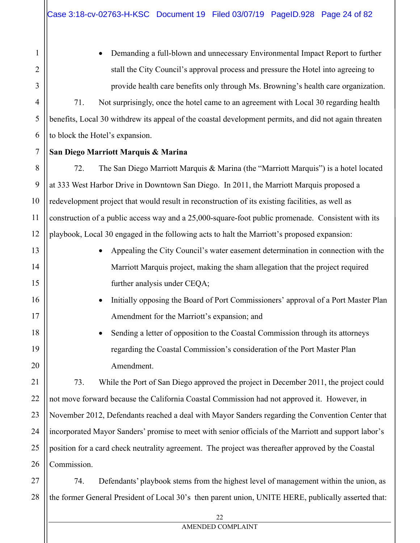Demanding a full-blown and unnecessary Environmental Impact Report to further stall the City Council's approval process and pressure the Hotel into agreeing to provide health care benefits only through Ms. Browning's health care organization.

71. Not surprisingly, once the hotel came to an agreement with Local 30 regarding health benefits, Local 30 withdrew its appeal of the coastal development permits, and did not again threaten to block the Hotel's expansion.

### **San Diego Marriott Marquis & Marina**

72. The San Diego Marriott Marquis & Marina (the "Marriott Marquis") is a hotel located at 333 West Harbor Drive in Downtown San Diego. In 2011, the Marriott Marquis proposed a redevelopment project that would result in reconstruction of its existing facilities, as well as construction of a public access way and a 25,000-square-foot public promenade. Consistent with its playbook, Local 30 engaged in the following acts to halt the Marriott's proposed expansion:

- Appealing the City Council's water easement determination in connection with the Marriott Marquis project, making the sham allegation that the project required further analysis under CEQA;
- Initially opposing the Board of Port Commissioners' approval of a Port Master Plan Amendment for the Marriott's expansion; and
- Sending a letter of opposition to the Coastal Commission through its attorneys regarding the Coastal Commission's consideration of the Port Master Plan Amendment.

73. While the Port of San Diego approved the project in December 2011, the project could not move forward because the California Coastal Commission had not approved it. However, in November 2012, Defendants reached a deal with Mayor Sanders regarding the Convention Center that incorporated Mayor Sanders' promise to meet with senior officials of the Marriott and support labor's position for a card check neutrality agreement. The project was thereafter approved by the Coastal Commission.

28 74. Defendants' playbook stems from the highest level of management within the union, as the former General President of Local 30's then parent union, UNITE HERE, publically asserted that: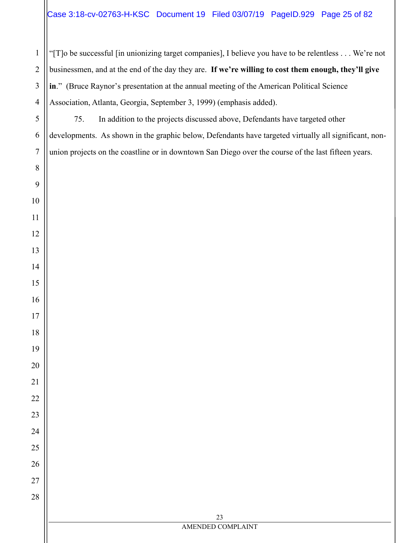"[T]o be successful [in unionizing target companies], I believe you have to be relentless . . . We're not businessmen, and at the end of the day they are. **If we're willing to cost them enough, they'll give in**." (Bruce Raynor's presentation at the annual meeting of the American Political Science Association, Atlanta, Georgia, September 3, 1999) (emphasis added).

75. In addition to the projects discussed above, Defendants have targeted other developments. As shown in the graphic below, Defendants have targeted virtually all significant, nonunion projects on the coastline or in downtown San Diego over the course of the last fifteen years.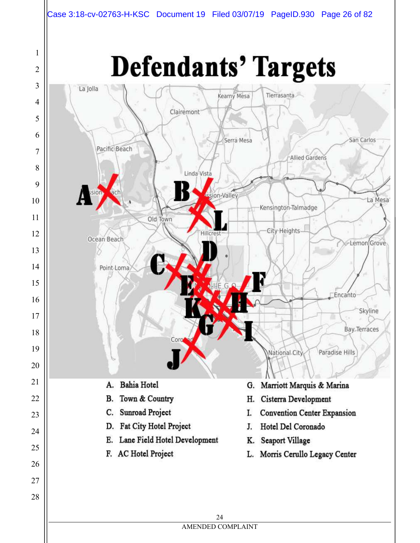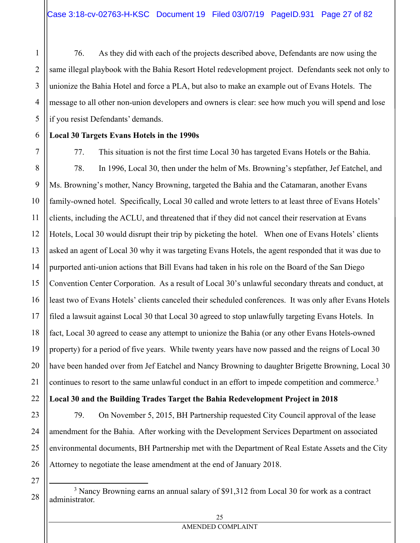76. As they did with each of the projects described above, Defendants are now using the same illegal playbook with the Bahia Resort Hotel redevelopment project. Defendants seek not only to unionize the Bahia Hotel and force a PLA, but also to make an example out of Evans Hotels. The message to all other non-union developers and owners is clear: see how much you will spend and lose if you resist Defendants' demands.

## **Local 30 Targets Evans Hotels in the 1990s**

7 8 9 10 11 12 13 14 15 16 17 18 19 20 21 77. This situation is not the first time Local 30 has targeted Evans Hotels or the Bahia. 78. In 1996, Local 30, then under the helm of Ms. Browning's stepfather, Jef Eatchel, and Ms. Browning's mother, Nancy Browning, targeted the Bahia and the Catamaran, another Evans family-owned hotel. Specifically, Local 30 called and wrote letters to at least three of Evans Hotels' clients, including the ACLU, and threatened that if they did not cancel their reservation at Evans Hotels, Local 30 would disrupt their trip by picketing the hotel. When one of Evans Hotels' clients asked an agent of Local 30 why it was targeting Evans Hotels, the agent responded that it was due to purported anti-union actions that Bill Evans had taken in his role on the Board of the San Diego Convention Center Corporation. As a result of Local 30's unlawful secondary threats and conduct, at least two of Evans Hotels' clients canceled their scheduled conferences. It was only after Evans Hotels filed a lawsuit against Local 30 that Local 30 agreed to stop unlawfully targeting Evans Hotels. In fact, Local 30 agreed to cease any attempt to unionize the Bahia (or any other Evans Hotels-owned property) for a period of five years. While twenty years have now passed and the reigns of Local 30 have been handed over from Jef Eatchel and Nancy Browning to daughter Brigette Browning, Local 30 continues to resort to the same unlawful conduct in an effort to impede competition and commerce.<sup>3</sup>

## **Local 30 and the Building Trades Target the Bahia Redevelopment Project in 2018**

79. On November 5, 2015, BH Partnership requested City Council approval of the lease amendment for the Bahia. After working with the Development Services Department on associated environmental documents, BH Partnership met with the Department of Real Estate Assets and the City Attorney to negotiate the lease amendment at the end of January 2018.

27 28  $\overline{\phantom{0}}$ 

22

23

24

25

26

1

2

3

4

5

<sup>&</sup>lt;sup>3</sup> Nancy Browning earns an annual salary of \$91.312 from Local 30 for work as a contract administrator.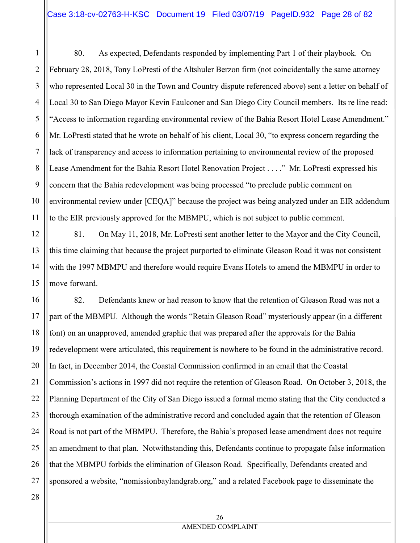80. As expected, Defendants responded by implementing Part 1 of their playbook. On February 28, 2018, Tony LoPresti of the Altshuler Berzon firm (not coincidentally the same attorney who represented Local 30 in the Town and Country dispute referenced above) sent a letter on behalf of Local 30 to San Diego Mayor Kevin Faulconer and San Diego City Council members. Its re line read: "Access to information regarding environmental review of the Bahia Resort Hotel Lease Amendment." Mr. LoPresti stated that he wrote on behalf of his client, Local 30, "to express concern regarding the lack of transparency and access to information pertaining to environmental review of the proposed Lease Amendment for the Bahia Resort Hotel Renovation Project . . . ." Mr. LoPresti expressed his concern that the Bahia redevelopment was being processed "to preclude public comment on environmental review under [CEQA]" because the project was being analyzed under an EIR addendum to the EIR previously approved for the MBMPU, which is not subject to public comment.

81. On May 11, 2018, Mr. LoPresti sent another letter to the Mayor and the City Council, this time claiming that because the project purported to eliminate Gleason Road it was not consistent with the 1997 MBMPU and therefore would require Evans Hotels to amend the MBMPU in order to move forward.

16 17 18 19 20 21 22 23 24 25 26 27 82. Defendants knew or had reason to know that the retention of Gleason Road was not a part of the MBMPU. Although the words "Retain Gleason Road" mysteriously appear (in a different font) on an unapproved, amended graphic that was prepared after the approvals for the Bahia redevelopment were articulated, this requirement is nowhere to be found in the administrative record. In fact, in December 2014, the Coastal Commission confirmed in an email that the Coastal Commission's actions in 1997 did not require the retention of Gleason Road. On October 3, 2018, the Planning Department of the City of San Diego issued a formal memo stating that the City conducted a thorough examination of the administrative record and concluded again that the retention of Gleason Road is not part of the MBMPU. Therefore, the Bahia's proposed lease amendment does not require an amendment to that plan. Notwithstanding this, Defendants continue to propagate false information that the MBMPU forbids the elimination of Gleason Road. Specifically, Defendants created and sponsored a website, "nomissionbaylandgrab.org," and a related Facebook page to disseminate the

28

1

2

3

4

5

6

7

8

9

10

11

12

13

14

15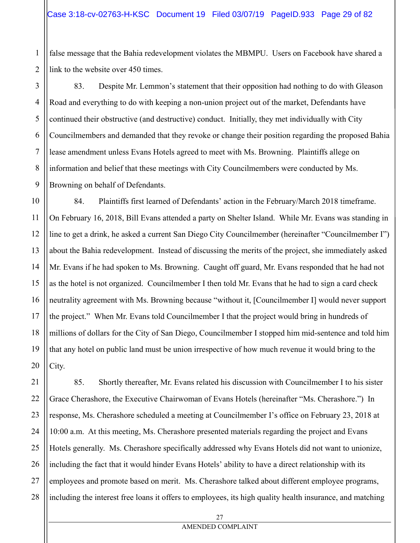2 false message that the Bahia redevelopment violates the MBMPU. Users on Facebook have shared a link to the website over 450 times.

3 83. Despite Mr. Lemmon's statement that their opposition had nothing to do with Gleason Road and everything to do with keeping a non-union project out of the market, Defendants have continued their obstructive (and destructive) conduct. Initially, they met individually with City Councilmembers and demanded that they revoke or change their position regarding the proposed Bahia lease amendment unless Evans Hotels agreed to meet with Ms. Browning. Plaintiffs allege on information and belief that these meetings with City Councilmembers were conducted by Ms. Browning on behalf of Defendants.

84. Plaintiffs first learned of Defendants' action in the February/March 2018 timeframe. On February 16, 2018, Bill Evans attended a party on Shelter Island. While Mr. Evans was standing in line to get a drink, he asked a current San Diego City Councilmember (hereinafter "Councilmember I") about the Bahia redevelopment. Instead of discussing the merits of the project, she immediately asked Mr. Evans if he had spoken to Ms. Browning. Caught off guard, Mr. Evans responded that he had not as the hotel is not organized. Councilmember I then told Mr. Evans that he had to sign a card check neutrality agreement with Ms. Browning because "without it, [Councilmember I] would never support the project." When Mr. Evans told Councilmember I that the project would bring in hundreds of millions of dollars for the City of San Diego, Councilmember I stopped him mid-sentence and told him that any hotel on public land must be union irrespective of how much revenue it would bring to the City.

85. Shortly thereafter, Mr. Evans related his discussion with Councilmember I to his sister Grace Cherashore, the Executive Chairwoman of Evans Hotels (hereinafter "Ms. Cherashore.") In response, Ms. Cherashore scheduled a meeting at Councilmember I's office on February 23, 2018 at 10:00 a.m. At this meeting, Ms. Cherashore presented materials regarding the project and Evans Hotels generally. Ms. Cherashore specifically addressed why Evans Hotels did not want to unionize, including the fact that it would hinder Evans Hotels' ability to have a direct relationship with its employees and promote based on merit. Ms. Cherashore talked about different employee programs, including the interest free loans it offers to employees, its high quality health insurance, and matching

1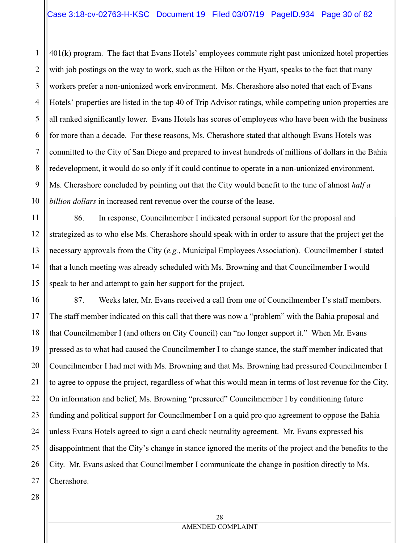2 3 4 5 401(k) program. The fact that Evans Hotels' employees commute right past unionized hotel properties with job postings on the way to work, such as the Hilton or the Hyatt, speaks to the fact that many workers prefer a non-unionized work environment. Ms. Cherashore also noted that each of Evans Hotels' properties are listed in the top 40 of Trip Advisor ratings, while competing union properties are all ranked significantly lower. Evans Hotels has scores of employees who have been with the business for more than a decade. For these reasons, Ms. Cherashore stated that although Evans Hotels was committed to the City of San Diego and prepared to invest hundreds of millions of dollars in the Bahia redevelopment, it would do so only if it could continue to operate in a non-unionized environment. Ms. Cherashore concluded by pointing out that the City would benefit to the tune of almost *half a billion dollars* in increased rent revenue over the course of the lease.

86. In response, Councilmember I indicated personal support for the proposal and strategized as to who else Ms. Cherashore should speak with in order to assure that the project get the necessary approvals from the City (*e.g.*, Municipal Employees Association). Councilmember I stated that a lunch meeting was already scheduled with Ms. Browning and that Councilmember I would speak to her and attempt to gain her support for the project.

87. Weeks later, Mr. Evans received a call from one of Councilmember I's staff members. The staff member indicated on this call that there was now a "problem" with the Bahia proposal and that Councilmember I (and others on City Council) can "no longer support it." When Mr. Evans pressed as to what had caused the Councilmember I to change stance, the staff member indicated that Councilmember I had met with Ms. Browning and that Ms. Browning had pressured Councilmember I to agree to oppose the project, regardless of what this would mean in terms of lost revenue for the City. On information and belief, Ms. Browning "pressured" Councilmember I by conditioning future funding and political support for Councilmember I on a quid pro quo agreement to oppose the Bahia unless Evans Hotels agreed to sign a card check neutrality agreement. Mr. Evans expressed his disappointment that the City's change in stance ignored the merits of the project and the benefits to the City. Mr. Evans asked that Councilmember I communicate the change in position directly to Ms. Cherashore.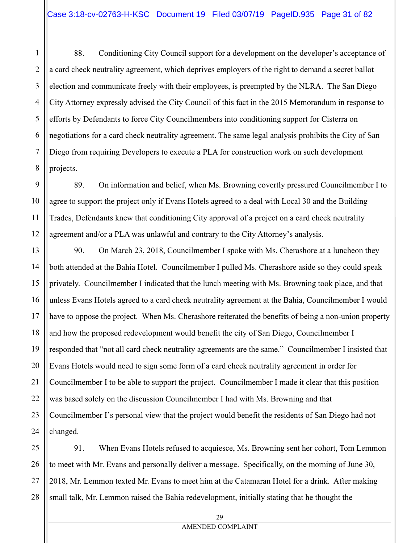1 2 3 4 5 6 7 8 88. Conditioning City Council support for a development on the developer's acceptance of a card check neutrality agreement, which deprives employers of the right to demand a secret ballot election and communicate freely with their employees, is preempted by the NLRA. The San Diego City Attorney expressly advised the City Council of this fact in the 2015 Memorandum in response to efforts by Defendants to force City Councilmembers into conditioning support for Cisterra on negotiations for a card check neutrality agreement. The same legal analysis prohibits the City of San Diego from requiring Developers to execute a PLA for construction work on such development projects.

9 10 89. On information and belief, when Ms. Browning covertly pressured Councilmember I to agree to support the project only if Evans Hotels agreed to a deal with Local 30 and the Building Trades, Defendants knew that conditioning City approval of a project on a card check neutrality agreement and/or a PLA was unlawful and contrary to the City Attorney's analysis.

11

12

13 14 15 16 17 18 19 20 21 22 23 24 90. On March 23, 2018, Councilmember I spoke with Ms. Cherashore at a luncheon they both attended at the Bahia Hotel. Councilmember I pulled Ms. Cherashore aside so they could speak privately. Councilmember I indicated that the lunch meeting with Ms. Browning took place, and that unless Evans Hotels agreed to a card check neutrality agreement at the Bahia, Councilmember I would have to oppose the project. When Ms. Cherashore reiterated the benefits of being a non-union property and how the proposed redevelopment would benefit the city of San Diego, Councilmember I responded that "not all card check neutrality agreements are the same." Councilmember I insisted that Evans Hotels would need to sign some form of a card check neutrality agreement in order for Councilmember I to be able to support the project. Councilmember I made it clear that this position was based solely on the discussion Councilmember I had with Ms. Browning and that Councilmember I's personal view that the project would benefit the residents of San Diego had not changed.

25 26 27 28 91. When Evans Hotels refused to acquiesce, Ms. Browning sent her cohort, Tom Lemmon to meet with Mr. Evans and personally deliver a message. Specifically, on the morning of June 30, 2018, Mr. Lemmon texted Mr. Evans to meet him at the Catamaran Hotel for a drink. After making small talk, Mr. Lemmon raised the Bahia redevelopment, initially stating that he thought the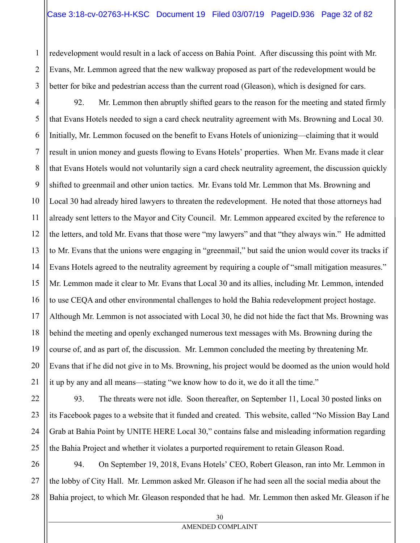redevelopment would result in a lack of access on Bahia Point. After discussing this point with Mr. Evans, Mr. Lemmon agreed that the new walkway proposed as part of the redevelopment would be better for bike and pedestrian access than the current road (Gleason), which is designed for cars.

1

2

3

5

6

7

11

12

17

21

22

23

24

25

4 8 9 10 13 14 15 16 18 19 20 92. Mr. Lemmon then abruptly shifted gears to the reason for the meeting and stated firmly that Evans Hotels needed to sign a card check neutrality agreement with Ms. Browning and Local 30. Initially, Mr. Lemmon focused on the benefit to Evans Hotels of unionizing—claiming that it would result in union money and guests flowing to Evans Hotels' properties. When Mr. Evans made it clear that Evans Hotels would not voluntarily sign a card check neutrality agreement, the discussion quickly shifted to greenmail and other union tactics. Mr. Evans told Mr. Lemmon that Ms. Browning and Local 30 had already hired lawyers to threaten the redevelopment. He noted that those attorneys had already sent letters to the Mayor and City Council. Mr. Lemmon appeared excited by the reference to the letters, and told Mr. Evans that those were "my lawyers" and that "they always win." He admitted to Mr. Evans that the unions were engaging in "greenmail," but said the union would cover its tracks if Evans Hotels agreed to the neutrality agreement by requiring a couple of "small mitigation measures." Mr. Lemmon made it clear to Mr. Evans that Local 30 and its allies, including Mr. Lemmon, intended to use CEQA and other environmental challenges to hold the Bahia redevelopment project hostage. Although Mr. Lemmon is not associated with Local 30, he did not hide the fact that Ms. Browning was behind the meeting and openly exchanged numerous text messages with Ms. Browning during the course of, and as part of, the discussion. Mr. Lemmon concluded the meeting by threatening Mr. Evans that if he did not give in to Ms. Browning, his project would be doomed as the union would hold it up by any and all means—stating "we know how to do it, we do it all the time."

93. The threats were not idle. Soon thereafter, on September 11, Local 30 posted links on its Facebook pages to a website that it funded and created. This website, called "No Mission Bay Land Grab at Bahia Point by UNITE HERE Local 30," contains false and misleading information regarding the Bahia Project and whether it violates a purported requirement to retain Gleason Road.

26 27 28 94. On September 19, 2018, Evans Hotels' CEO, Robert Gleason, ran into Mr. Lemmon in the lobby of City Hall. Mr. Lemmon asked Mr. Gleason if he had seen all the social media about the Bahia project, to which Mr. Gleason responded that he had. Mr. Lemmon then asked Mr. Gleason if he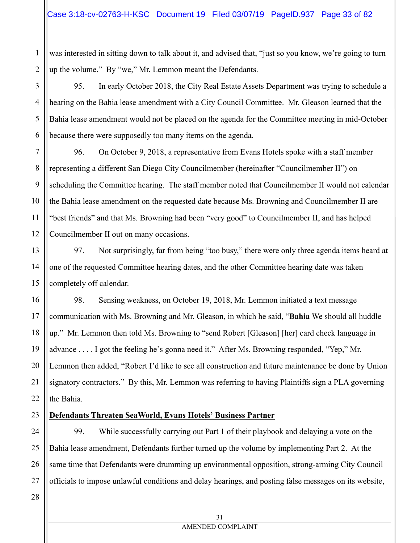1 2 was interested in sitting down to talk about it, and advised that, "just so you know, we're going to turn up the volume." By "we," Mr. Lemmon meant the Defendants.

95. In early October 2018, the City Real Estate Assets Department was trying to schedule a hearing on the Bahia lease amendment with a City Council Committee. Mr. Gleason learned that the Bahia lease amendment would not be placed on the agenda for the Committee meeting in mid-October because there were supposedly too many items on the agenda.

96. On October 9, 2018, a representative from Evans Hotels spoke with a staff member representing a different San Diego City Councilmember (hereinafter "Councilmember II") on scheduling the Committee hearing. The staff member noted that Councilmember II would not calendar the Bahia lease amendment on the requested date because Ms. Browning and Councilmember II are "best friends" and that Ms. Browning had been "very good" to Councilmember II, and has helped Councilmember II out on many occasions.

97. Not surprisingly, far from being "too busy," there were only three agenda items heard at one of the requested Committee hearing dates, and the other Committee hearing date was taken completely off calendar.

98. Sensing weakness, on October 19, 2018, Mr. Lemmon initiated a text message communication with Ms. Browning and Mr. Gleason, in which he said, "**Bahia** We should all huddle up." Mr. Lemmon then told Ms. Browning to "send Robert [Gleason] [her] card check language in advance . . . . I got the feeling he's gonna need it." After Ms. Browning responded, "Yep," Mr. Lemmon then added, "Robert I'd like to see all construction and future maintenance be done by Union signatory contractors." By this, Mr. Lemmon was referring to having Plaintiffs sign a PLA governing the Bahia.

#### 23 **Defendants Threaten SeaWorld, Evans Hotels' Business Partner**

24 25 26 27 99. While successfully carrying out Part 1 of their playbook and delaying a vote on the Bahia lease amendment, Defendants further turned up the volume by implementing Part 2. At the same time that Defendants were drumming up environmental opposition, strong-arming City Council officials to impose unlawful conditions and delay hearings, and posting false messages on its website,

28

3

4

5

6

7

8

9

10

11

12

13

14

15

16

17

18

19

20

21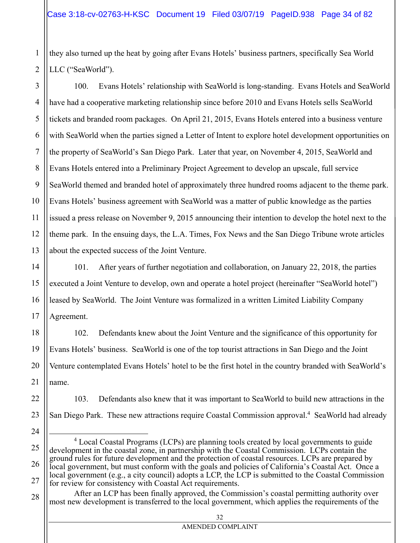they also turned up the heat by going after Evans Hotels' business partners, specifically Sea World LLC ("SeaWorld").

3 4 5 6 7 8 9 10 11 100. Evans Hotels' relationship with SeaWorld is long-standing. Evans Hotels and SeaWorld have had a cooperative marketing relationship since before 2010 and Evans Hotels sells SeaWorld tickets and branded room packages. On April 21, 2015, Evans Hotels entered into a business venture with SeaWorld when the parties signed a Letter of Intent to explore hotel development opportunities on the property of SeaWorld's San Diego Park. Later that year, on November 4, 2015, SeaWorld and Evans Hotels entered into a Preliminary Project Agreement to develop an upscale, full service SeaWorld themed and branded hotel of approximately three hundred rooms adjacent to the theme park. Evans Hotels' business agreement with SeaWorld was a matter of public knowledge as the parties issued a press release on November 9, 2015 announcing their intention to develop the hotel next to the theme park. In the ensuing days, the L.A. Times, Fox News and the San Diego Tribune wrote articles about the expected success of the Joint Venture.

101. After years of further negotiation and collaboration, on January 22, 2018, the parties executed a Joint Venture to develop, own and operate a hotel project (hereinafter "SeaWorld hotel") leased by SeaWorld. The Joint Venture was formalized in a written Limited Liability Company Agreement.

102. Defendants knew about the Joint Venture and the significance of this opportunity for Evans Hotels' business. SeaWorld is one of the top tourist attractions in San Diego and the Joint Venture contemplated Evans Hotels' hotel to be the first hotel in the country branded with SeaWorld's name.

103. Defendants also knew that it was important to SeaWorld to build new attractions in the San Diego Park. These new attractions require Coastal Commission approval.<sup>4</sup> SeaWorld had already

1

 $\overline{\phantom{0}}$ <sup>4</sup> Local Coastal Programs (LCPs) are planning tools created by local governments to guide development in the coastal zone, in partnership with the Coastal Commission. LCPs contain the ground rules for future development and the protection of coastal resources. LCPs are prepared by local government, but must conform with the goals and policies of California's Coastal Act. Once a local government (e.g., a city council) adopts a LCP, the LCP is submitted to the Coastal Commission for review for consistency with Coastal Act requirements.

After an LCP has been finally approved, the Commission's coastal permitting authority over most new development is transferred to the local government, which applies the requirements of the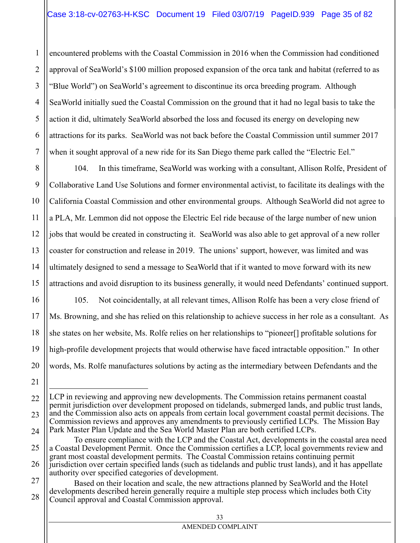1 2 3 4 5 6 7 encountered problems with the Coastal Commission in 2016 when the Commission had conditioned approval of SeaWorld's \$100 million proposed expansion of the orca tank and habitat (referred to as "Blue World") on SeaWorld's agreement to discontinue its orca breeding program. Although SeaWorld initially sued the Coastal Commission on the ground that it had no legal basis to take the action it did, ultimately SeaWorld absorbed the loss and focused its energy on developing new attractions for its parks. SeaWorld was not back before the Coastal Commission until summer 2017 when it sought approval of a new ride for its San Diego theme park called the "Electric Eel."

8 9 10 11 12 13 14 15 104. In this timeframe, SeaWorld was working with a consultant, Allison Rolfe, President of Collaborative Land Use Solutions and former environmental activist, to facilitate its dealings with the California Coastal Commission and other environmental groups. Although SeaWorld did not agree to a PLA, Mr. Lemmon did not oppose the Electric Eel ride because of the large number of new union jobs that would be created in constructing it. SeaWorld was also able to get approval of a new roller coaster for construction and release in 2019. The unions' support, however, was limited and was ultimately designed to send a message to SeaWorld that if it wanted to move forward with its new attractions and avoid disruption to its business generally, it would need Defendants' continued support.

105. Not coincidentally, at all relevant times, Allison Rolfe has been a very close friend of Ms. Browning, and she has relied on this relationship to achieve success in her role as a consultant. As she states on her website, Ms. Rolfe relies on her relationships to "pioneer[] profitable solutions for high-profile development projects that would otherwise have faced intractable opposition." In other words, Ms. Rolfe manufactures solutions by acting as the intermediary between Defendants and the

16

17

18

19

20

21

 $\overline{\phantom{0}}$ 

- 25 26 To ensure compliance with the LCP and the Coastal Act, developments in the coastal area need a Coastal Development Permit. Once the Commission certifies a LCP, local governments review and grant most coastal development permits. The Coastal Commission retains continuing permit jurisdiction over certain specified lands (such as tidelands and public trust lands), and it has appellate authority over specified categories of development.
- 27 28 Based on their location and scale, the new attractions planned by SeaWorld and the Hotel developments described herein generally require a multiple step process which includes both City Council approval and Coastal Commission approval.

<sup>22</sup> 23 24 LCP in reviewing and approving new developments. The Commission retains permanent coastal permit jurisdiction over development proposed on tidelands, submerged lands, and public trust lands, and the Commission also acts on appeals from certain local government coastal permit decisions. The Commission reviews and approves any amendments to previously certified LCPs. The Mission Bay Park Master Plan Update and the Sea World Master Plan are both certified LCPs.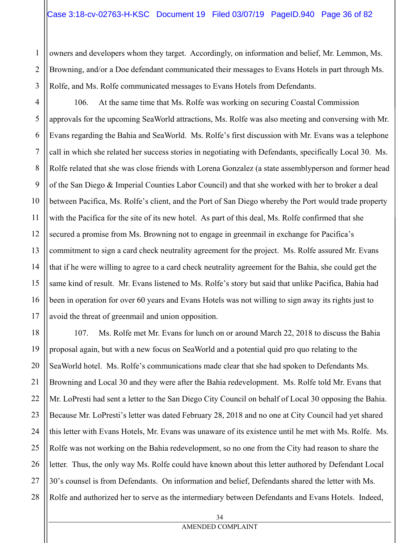owners and developers whom they target. Accordingly, on information and belief, Mr. Lemmon, Ms. Browning, and/or a Doe defendant communicated their messages to Evans Hotels in part through Ms. Rolfe, and Ms. Rolfe communicated messages to Evans Hotels from Defendants.

1

2

3

5

11

17

4 6 7 8 9 10 12 13 14 15 16 106. At the same time that Ms. Rolfe was working on securing Coastal Commission approvals for the upcoming SeaWorld attractions, Ms. Rolfe was also meeting and conversing with Mr. Evans regarding the Bahia and SeaWorld. Ms. Rolfe's first discussion with Mr. Evans was a telephone call in which she related her success stories in negotiating with Defendants, specifically Local 30. Ms. Rolfe related that she was close friends with Lorena Gonzalez (a state assemblyperson and former head of the San Diego & Imperial Counties Labor Council) and that she worked with her to broker a deal between Pacifica, Ms. Rolfe's client, and the Port of San Diego whereby the Port would trade property with the Pacifica for the site of its new hotel. As part of this deal, Ms. Rolfe confirmed that she secured a promise from Ms. Browning not to engage in greenmail in exchange for Pacifica's commitment to sign a card check neutrality agreement for the project. Ms. Rolfe assured Mr. Evans that if he were willing to agree to a card check neutrality agreement for the Bahia, she could get the same kind of result. Mr. Evans listened to Ms. Rolfe's story but said that unlike Pacifica, Bahia had been in operation for over 60 years and Evans Hotels was not willing to sign away its rights just to avoid the threat of greenmail and union opposition.

18 19 20 21 22 23 24 25 26 27 28 107. Ms. Rolfe met Mr. Evans for lunch on or around March 22, 2018 to discuss the Bahia proposal again, but with a new focus on SeaWorld and a potential quid pro quo relating to the SeaWorld hotel. Ms. Rolfe's communications made clear that she had spoken to Defendants Ms. Browning and Local 30 and they were after the Bahia redevelopment. Ms. Rolfe told Mr. Evans that Mr. LoPresti had sent a letter to the San Diego City Council on behalf of Local 30 opposing the Bahia. Because Mr. LoPresti's letter was dated February 28, 2018 and no one at City Council had yet shared this letter with Evans Hotels, Mr. Evans was unaware of its existence until he met with Ms. Rolfe. Ms. Rolfe was not working on the Bahia redevelopment, so no one from the City had reason to share the letter. Thus, the only way Ms. Rolfe could have known about this letter authored by Defendant Local 30's counsel is from Defendants. On information and belief, Defendants shared the letter with Ms. Rolfe and authorized her to serve as the intermediary between Defendants and Evans Hotels. Indeed,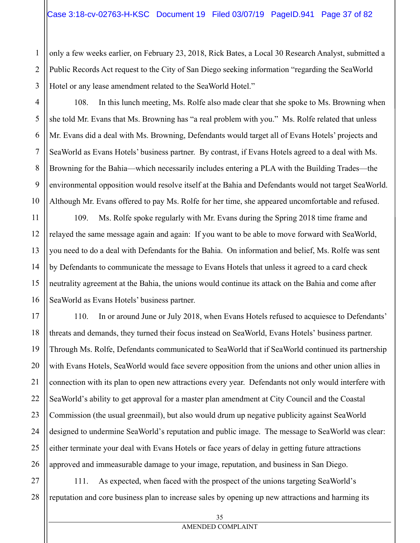only a few weeks earlier, on February 23, 2018, Rick Bates, a Local 30 Research Analyst, submitted a Public Records Act request to the City of San Diego seeking information "regarding the SeaWorld Hotel or any lease amendment related to the SeaWorld Hotel."

108. In this lunch meeting, Ms. Rolfe also made clear that she spoke to Ms. Browning when she told Mr. Evans that Ms. Browning has "a real problem with you." Ms. Rolfe related that unless Mr. Evans did a deal with Ms. Browning, Defendants would target all of Evans Hotels' projects and SeaWorld as Evans Hotels' business partner. By contrast, if Evans Hotels agreed to a deal with Ms. Browning for the Bahia—which necessarily includes entering a PLA with the Building Trades—the environmental opposition would resolve itself at the Bahia and Defendants would not target SeaWorld. Although Mr. Evans offered to pay Ms. Rolfe for her time, she appeared uncomfortable and refused.

109. Ms. Rolfe spoke regularly with Mr. Evans during the Spring 2018 time frame and relayed the same message again and again: If you want to be able to move forward with SeaWorld, you need to do a deal with Defendants for the Bahia. On information and belief, Ms. Rolfe was sent by Defendants to communicate the message to Evans Hotels that unless it agreed to a card check neutrality agreement at the Bahia, the unions would continue its attack on the Bahia and come after SeaWorld as Evans Hotels' business partner.

110. In or around June or July 2018, when Evans Hotels refused to acquiesce to Defendants' threats and demands, they turned their focus instead on SeaWorld, Evans Hotels' business partner. Through Ms. Rolfe, Defendants communicated to SeaWorld that if SeaWorld continued its partnership with Evans Hotels, SeaWorld would face severe opposition from the unions and other union allies in connection with its plan to open new attractions every year. Defendants not only would interfere with SeaWorld's ability to get approval for a master plan amendment at City Council and the Coastal Commission (the usual greenmail), but also would drum up negative publicity against SeaWorld designed to undermine SeaWorld's reputation and public image. The message to SeaWorld was clear: either terminate your deal with Evans Hotels or face years of delay in getting future attractions approved and immeasurable damage to your image, reputation, and business in San Diego.

28 111. As expected, when faced with the prospect of the unions targeting SeaWorld's reputation and core business plan to increase sales by opening up new attractions and harming its

1

2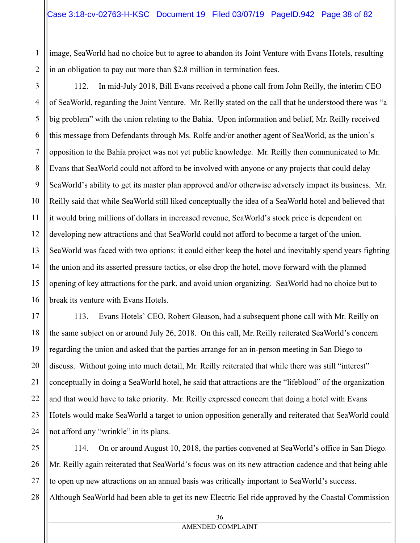image, SeaWorld had no choice but to agree to abandon its Joint Venture with Evans Hotels, resulting in an obligation to pay out more than \$2.8 million in termination fees.

112. In mid-July 2018, Bill Evans received a phone call from John Reilly, the interim CEO of SeaWorld, regarding the Joint Venture. Mr. Reilly stated on the call that he understood there was "a big problem" with the union relating to the Bahia. Upon information and belief, Mr. Reilly received this message from Defendants through Ms. Rolfe and/or another agent of SeaWorld, as the union's opposition to the Bahia project was not yet public knowledge. Mr. Reilly then communicated to Mr. Evans that SeaWorld could not afford to be involved with anyone or any projects that could delay SeaWorld's ability to get its master plan approved and/or otherwise adversely impact its business. Mr. Reilly said that while SeaWorld still liked conceptually the idea of a SeaWorld hotel and believed that it would bring millions of dollars in increased revenue, SeaWorld's stock price is dependent on developing new attractions and that SeaWorld could not afford to become a target of the union. SeaWorld was faced with two options: it could either keep the hotel and inevitably spend years fighting the union and its asserted pressure tactics, or else drop the hotel, move forward with the planned opening of key attractions for the park, and avoid union organizing. SeaWorld had no choice but to break its venture with Evans Hotels.

113. Evans Hotels' CEO, Robert Gleason, had a subsequent phone call with Mr. Reilly on the same subject on or around July 26, 2018. On this call, Mr. Reilly reiterated SeaWorld's concern regarding the union and asked that the parties arrange for an in-person meeting in San Diego to discuss. Without going into much detail, Mr. Reilly reiterated that while there was still "interest" conceptually in doing a SeaWorld hotel, he said that attractions are the "lifeblood" of the organization and that would have to take priority. Mr. Reilly expressed concern that doing a hotel with Evans Hotels would make SeaWorld a target to union opposition generally and reiterated that SeaWorld could not afford any "wrinkle" in its plans.

114. On or around August 10, 2018, the parties convened at SeaWorld's office in San Diego. Mr. Reilly again reiterated that SeaWorld's focus was on its new attraction cadence and that being able to open up new attractions on an annual basis was critically important to SeaWorld's success. Although SeaWorld had been able to get its new Electric Eel ride approved by the Coastal Commission

1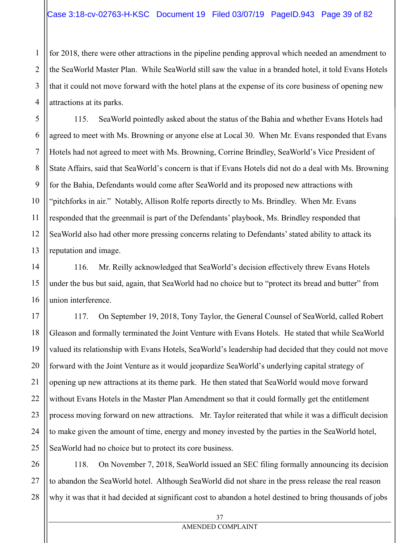for 2018, there were other attractions in the pipeline pending approval which needed an amendment to the SeaWorld Master Plan. While SeaWorld still saw the value in a branded hotel, it told Evans Hotels that it could not move forward with the hotel plans at the expense of its core business of opening new attractions at its parks.

115. SeaWorld pointedly asked about the status of the Bahia and whether Evans Hotels had agreed to meet with Ms. Browning or anyone else at Local 30. When Mr. Evans responded that Evans Hotels had not agreed to meet with Ms. Browning, Corrine Brindley, SeaWorld's Vice President of State Affairs, said that SeaWorld's concern is that if Evans Hotels did not do a deal with Ms. Browning for the Bahia, Defendants would come after SeaWorld and its proposed new attractions with "pitchforks in air." Notably, Allison Rolfe reports directly to Ms. Brindley. When Mr. Evans responded that the greenmail is part of the Defendants' playbook, Ms. Brindley responded that SeaWorld also had other more pressing concerns relating to Defendants' stated ability to attack its reputation and image.

116. Mr. Reilly acknowledged that SeaWorld's decision effectively threw Evans Hotels under the bus but said, again, that SeaWorld had no choice but to "protect its bread and butter" from union interference.

117. On September 19, 2018, Tony Taylor, the General Counsel of SeaWorld, called Robert Gleason and formally terminated the Joint Venture with Evans Hotels. He stated that while SeaWorld valued its relationship with Evans Hotels, SeaWorld's leadership had decided that they could not move forward with the Joint Venture as it would jeopardize SeaWorld's underlying capital strategy of opening up new attractions at its theme park. He then stated that SeaWorld would move forward without Evans Hotels in the Master Plan Amendment so that it could formally get the entitlement process moving forward on new attractions. Mr. Taylor reiterated that while it was a difficult decision to make given the amount of time, energy and money invested by the parties in the SeaWorld hotel, SeaWorld had no choice but to protect its core business.

118. On November 7, 2018, SeaWorld issued an SEC filing formally announcing its decision to abandon the SeaWorld hotel. Although SeaWorld did not share in the press release the real reason why it was that it had decided at significant cost to abandon a hotel destined to bring thousands of jobs

1

2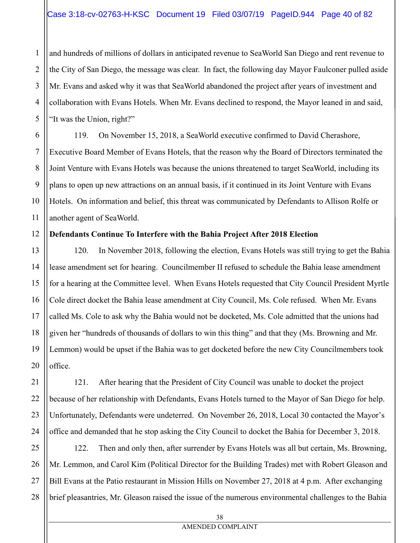and hundreds of millions of dollars in anticipated revenue to SeaWorld San Diego and rent revenue to the City of San Diego, the message was clear. In fact, the following day Mayor Faulconer pulled aside Mr. Evans and asked why it was that SeaWorld abandoned the project after years of investment and collaboration with Evans Hotels. When Mr. Evans declined to respond, the Mayor leaned in and said, "It was the Union, right?"

119. On November 15, 2018, a SeaWorld executive confirmed to David Cherashore, Executive Board Member of Evans Hotels, that the reason why the Board of Directors terminated the Joint Venture with Evans Hotels was because the unions threatened to target SeaWorld, including its plans to open up new attractions on an annual basis, if it continued in its Joint Venture with Evans Hotels. On information and belief, this threat was communicated by Defendants to Allison Rolfe or another agent of SeaWorld.

# **Defendants Continue To Interfere with the Bahia Project After 2018 Election**

120. In November 2018, following the election, Evans Hotels was still trying to get the Bahia lease amendment set for hearing. Councilmember II refused to schedule the Bahia lease amendment for a hearing at the Committee level. When Evans Hotels requested that City Council President Myrtle Cole direct docket the Bahia lease amendment at City Council, Ms. Cole refused. When Mr. Evans called Ms. Cole to ask why the Bahia would not be docketed, Ms. Cole admitted that the unions had given her "hundreds of thousands of dollars to win this thing" and that they (Ms. Browning and Mr. Lemmon) would be upset if the Bahia was to get docketed before the new City Councilmembers took office.

121. After hearing that the President of City Council was unable to docket the project because of her relationship with Defendants, Evans Hotels turned to the Mayor of San Diego for help. Unfortunately, Defendants were undeterred. On November 26, 2018, Local 30 contacted the Mayor's office and demanded that he stop asking the City Council to docket the Bahia for December 3, 2018.

122. Then and only then, after surrender by Evans Hotels was all but certain, Ms. Browning, Mr. Lemmon, and Carol Kim (Political Director for the Building Trades) met with Robert Gleason and Bill Evans at the Patio restaurant in Mission Hills on November 27, 2018 at 4 p.m. After exchanging brief pleasantries, Mr. Gleason raised the issue of the numerous environmental challenges to the Bahia

1

2

3

4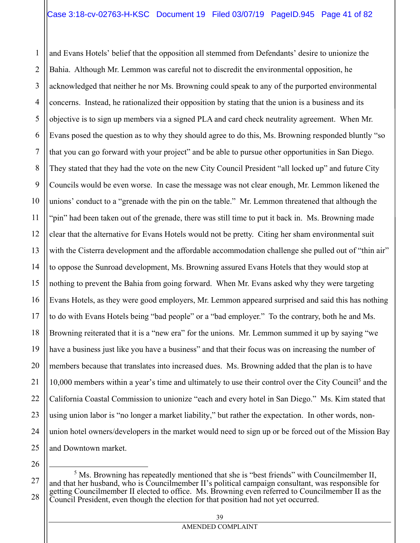1 2 3 4 5 6 7 8 9 10 11 12 13 14 15 16 17 18 19 20 21 22 23 24 25 and Evans Hotels' belief that the opposition all stemmed from Defendants' desire to unionize the Bahia. Although Mr. Lemmon was careful not to discredit the environmental opposition, he acknowledged that neither he nor Ms. Browning could speak to any of the purported environmental concerns. Instead, he rationalized their opposition by stating that the union is a business and its objective is to sign up members via a signed PLA and card check neutrality agreement. When Mr. Evans posed the question as to why they should agree to do this, Ms. Browning responded bluntly "so that you can go forward with your project" and be able to pursue other opportunities in San Diego. They stated that they had the vote on the new City Council President "all locked up" and future City Councils would be even worse. In case the message was not clear enough, Mr. Lemmon likened the unions' conduct to a "grenade with the pin on the table." Mr. Lemmon threatened that although the "pin" had been taken out of the grenade, there was still time to put it back in. Ms. Browning made clear that the alternative for Evans Hotels would not be pretty. Citing her sham environmental suit with the Cisterra development and the affordable accommodation challenge she pulled out of "thin air" to oppose the Sunroad development, Ms. Browning assured Evans Hotels that they would stop at nothing to prevent the Bahia from going forward. When Mr. Evans asked why they were targeting Evans Hotels, as they were good employers, Mr. Lemmon appeared surprised and said this has nothing to do with Evans Hotels being "bad people" or a "bad employer." To the contrary, both he and Ms. Browning reiterated that it is a "new era" for the unions. Mr. Lemmon summed it up by saying "we have a business just like you have a business" and that their focus was on increasing the number of members because that translates into increased dues. Ms. Browning added that the plan is to have 10,000 members within a year's time and ultimately to use their control over the City Council<sup>5</sup> and the California Coastal Commission to unionize "each and every hotel in San Diego." Ms. Kim stated that using union labor is "no longer a market liability," but rather the expectation. In other words, nonunion hotel owners/developers in the market would need to sign up or be forced out of the Mission Bay and Downtown market.

 $\overline{\phantom{0}}$ 

<sup>26</sup>

<sup>27</sup> 28  $<sup>5</sup>$  Ms. Browning has repeatedly mentioned that she is "best friends" with Councilmember II,</sup> and that her husband, who is Councilmember II's political campaign consultant, was responsible for getting Councilmember II elected to office. Ms. Browning even referred to Councilmember II as the Council President, even though the election for that position had not yet occurred.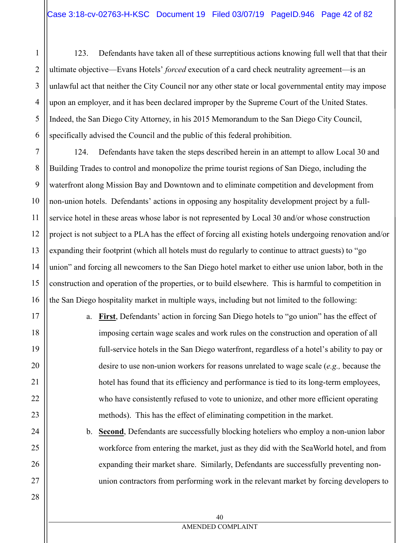1

2

3

4

5

6

7

8

9

11

12

17

18

19

20

21

22

23

24

25

26

27

28

123. Defendants have taken all of these surreptitious actions knowing full well that that their ultimate objective—Evans Hotels' *forced* execution of a card check neutrality agreement—is an unlawful act that neither the City Council nor any other state or local governmental entity may impose upon an employer, and it has been declared improper by the Supreme Court of the United States. Indeed, the San Diego City Attorney, in his 2015 Memorandum to the San Diego City Council, specifically advised the Council and the public of this federal prohibition.

10 13 14 15 16 124. Defendants have taken the steps described herein in an attempt to allow Local 30 and Building Trades to control and monopolize the prime tourist regions of San Diego, including the waterfront along Mission Bay and Downtown and to eliminate competition and development from non-union hotels. Defendants' actions in opposing any hospitality development project by a fullservice hotel in these areas whose labor is not represented by Local 30 and/or whose construction project is not subject to a PLA has the effect of forcing all existing hotels undergoing renovation and/or expanding their footprint (which all hotels must do regularly to continue to attract guests) to "go union" and forcing all newcomers to the San Diego hotel market to either use union labor, both in the construction and operation of the properties, or to build elsewhere. This is harmful to competition in the San Diego hospitality market in multiple ways, including but not limited to the following:

> a. **First**, Defendants' action in forcing San Diego hotels to "go union" has the effect of imposing certain wage scales and work rules on the construction and operation of all full-service hotels in the San Diego waterfront, regardless of a hotel's ability to pay or desire to use non-union workers for reasons unrelated to wage scale (*e.g.,* because the hotel has found that its efficiency and performance is tied to its long-term employees, who have consistently refused to vote to unionize, and other more efficient operating methods). This has the effect of eliminating competition in the market.

b. **Second**, Defendants are successfully blocking hoteliers who employ a non-union labor workforce from entering the market, just as they did with the SeaWorld hotel, and from expanding their market share. Similarly, Defendants are successfully preventing nonunion contractors from performing work in the relevant market by forcing developers to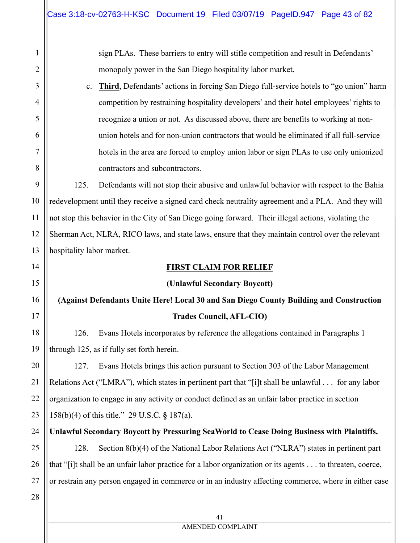sign PLAs. These barriers to entry will stifle competition and result in Defendants' monopoly power in the San Diego hospitality labor market.

c. **Third**, Defendants' actions in forcing San Diego full-service hotels to "go union" harm competition by restraining hospitality developers' and their hotel employees' rights to recognize a union or not. As discussed above, there are benefits to working at nonunion hotels and for non-union contractors that would be eliminated if all full-service hotels in the area are forced to employ union labor or sign PLAs to use only unionized contractors and subcontractors.

125. Defendants will not stop their abusive and unlawful behavior with respect to the Bahia redevelopment until they receive a signed card check neutrality agreement and a PLA. And they will not stop this behavior in the City of San Diego going forward. Their illegal actions, violating the Sherman Act, NLRA, RICO laws, and state laws, ensure that they maintain control over the relevant hospitality labor market.

#### **FIRST CLAIM FOR RELIEF**

## **(Unlawful Secondary Boycott)**

# **(Against Defendants Unite Here! Local 30 and San Diego County Building and Construction Trades Council, AFL-CIO)**

126. Evans Hotels incorporates by reference the allegations contained in Paragraphs 1 through 125, as if fully set forth herein.

127. Evans Hotels brings this action pursuant to Section 303 of the Labor Management Relations Act ("LMRA"), which states in pertinent part that "[i]t shall be unlawful . . . for any labor organization to engage in any activity or conduct defined as an unfair labor practice in section 158(b)(4) of this title." 29 U.S.C. **§** 187(a).

**Unlawful Secondary Boycott by Pressuring SeaWorld to Cease Doing Business with Plaintiffs.** 

128. Section 8(b)(4) of the National Labor Relations Act ("NLRA") states in pertinent part that "[i]t shall be an unfair labor practice for a labor organization or its agents . . . to threaten, coerce, or restrain any person engaged in commerce or in an industry affecting commerce, where in either case

1

2

3

4

5

6

7

8

9

10

11

12

13

14

15

16

17

18

19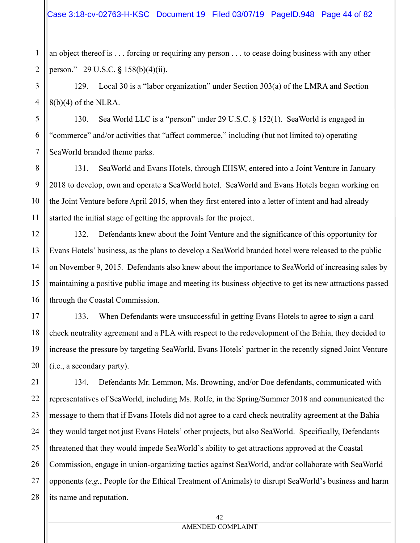an object thereof is . . . forcing or requiring any person . . . to cease doing business with any other person." 29 U.S.C. **§** 158(b)(4)(ii).

1

2

3

4

5

6

7

8

9

10

11

12

13

14

15

16

17

21

129. Local 30 is a "labor organization" under Section 303(a) of the LMRA and Section  $8(b)(4)$  of the NLRA.

130. Sea World LLC is a "person" under 29 U.S.C. § 152(1). SeaWorld is engaged in "commerce" and/or activities that "affect commerce," including (but not limited to) operating SeaWorld branded theme parks.

131. SeaWorld and Evans Hotels, through EHSW, entered into a Joint Venture in January 2018 to develop, own and operate a SeaWorld hotel. SeaWorld and Evans Hotels began working on the Joint Venture before April 2015, when they first entered into a letter of intent and had already started the initial stage of getting the approvals for the project.

132. Defendants knew about the Joint Venture and the significance of this opportunity for Evans Hotels' business, as the plans to develop a SeaWorld branded hotel were released to the public on November 9, 2015. Defendants also knew about the importance to SeaWorld of increasing sales by maintaining a positive public image and meeting its business objective to get its new attractions passed through the Coastal Commission.

18 19 20 133. When Defendants were unsuccessful in getting Evans Hotels to agree to sign a card check neutrality agreement and a PLA with respect to the redevelopment of the Bahia, they decided to increase the pressure by targeting SeaWorld, Evans Hotels' partner in the recently signed Joint Venture (i.e., a secondary party).

22 23 24 25 26 27 28 134. Defendants Mr. Lemmon, Ms. Browning, and/or Doe defendants, communicated with representatives of SeaWorld, including Ms. Rolfe, in the Spring/Summer 2018 and communicated the message to them that if Evans Hotels did not agree to a card check neutrality agreement at the Bahia they would target not just Evans Hotels' other projects, but also SeaWorld. Specifically, Defendants threatened that they would impede SeaWorld's ability to get attractions approved at the Coastal Commission, engage in union-organizing tactics against SeaWorld, and/or collaborate with SeaWorld opponents (*e.g.*, People for the Ethical Treatment of Animals) to disrupt SeaWorld's business and harm its name and reputation.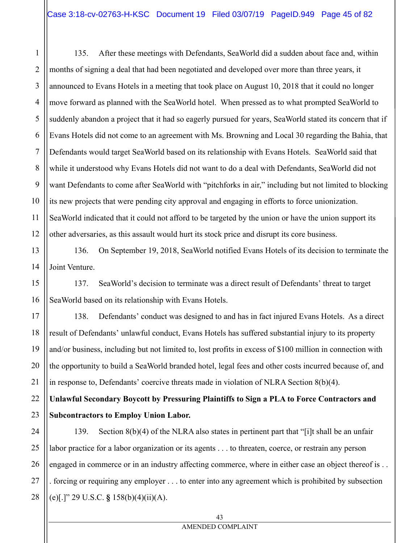135. After these meetings with Defendants, SeaWorld did a sudden about face and, within months of signing a deal that had been negotiated and developed over more than three years, it announced to Evans Hotels in a meeting that took place on August 10, 2018 that it could no longer move forward as planned with the SeaWorld hotel. When pressed as to what prompted SeaWorld to suddenly abandon a project that it had so eagerly pursued for years, SeaWorld stated its concern that if Evans Hotels did not come to an agreement with Ms. Browning and Local 30 regarding the Bahia, that Defendants would target SeaWorld based on its relationship with Evans Hotels. SeaWorld said that while it understood why Evans Hotels did not want to do a deal with Defendants, SeaWorld did not want Defendants to come after SeaWorld with "pitchforks in air," including but not limited to blocking its new projects that were pending city approval and engaging in efforts to force unionization. SeaWorld indicated that it could not afford to be targeted by the union or have the union support its other adversaries, as this assault would hurt its stock price and disrupt its core business.

136. On September 19, 2018, SeaWorld notified Evans Hotels of its decision to terminate the Joint Venture.

137. SeaWorld's decision to terminate was a direct result of Defendants' threat to target SeaWorld based on its relationship with Evans Hotels.

138. Defendants' conduct was designed to and has in fact injured Evans Hotels. As a direct result of Defendants' unlawful conduct, Evans Hotels has suffered substantial injury to its property and/or business, including but not limited to, lost profits in excess of \$100 million in connection with the opportunity to build a SeaWorld branded hotel, legal fees and other costs incurred because of, and in response to, Defendants' coercive threats made in violation of NLRA Section 8(b)(4).

**Unlawful Secondary Boycott by Pressuring Plaintiffs to Sign a PLA to Force Contractors and Subcontractors to Employ Union Labor.** 

27 28 139. Section 8(b)(4) of the NLRA also states in pertinent part that "[i]t shall be an unfair labor practice for a labor organization or its agents . . . to threaten, coerce, or restrain any person engaged in commerce or in an industry affecting commerce, where in either case an object thereof is . . . forcing or requiring any employer . . . to enter into any agreement which is prohibited by subsection (e)[.]" 29 U.S.C. **§** 158(b)(4)(ii)(A).

1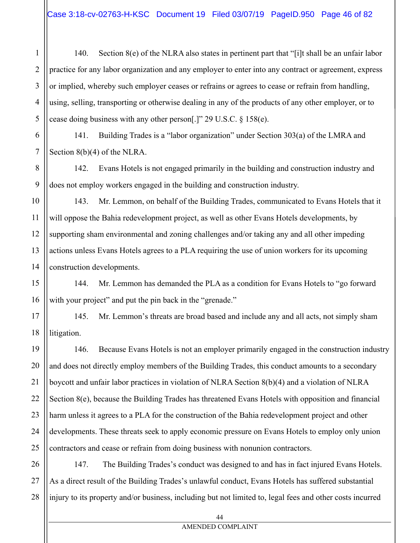4 140. Section 8(e) of the NLRA also states in pertinent part that "[i]t shall be an unfair labor practice for any labor organization and any employer to enter into any contract or agreement, express or implied, whereby such employer ceases or refrains or agrees to cease or refrain from handling, using, selling, transporting or otherwise dealing in any of the products of any other employer, or to cease doing business with any other person[.]" 29 U.S.C. § 158(e).

141. Building Trades is a "labor organization" under Section 303(a) of the LMRA and Section 8(b)(4) of the NLRA.

142. Evans Hotels is not engaged primarily in the building and construction industry and does not employ workers engaged in the building and construction industry.

143. Mr. Lemmon, on behalf of the Building Trades, communicated to Evans Hotels that it will oppose the Bahia redevelopment project, as well as other Evans Hotels developments, by supporting sham environmental and zoning challenges and/or taking any and all other impeding actions unless Evans Hotels agrees to a PLA requiring the use of union workers for its upcoming construction developments.

144. Mr. Lemmon has demanded the PLA as a condition for Evans Hotels to "go forward with your project" and put the pin back in the "grenade."

145. Mr. Lemmon's threats are broad based and include any and all acts, not simply sham litigation.

146. Because Evans Hotels is not an employer primarily engaged in the construction industry and does not directly employ members of the Building Trades, this conduct amounts to a secondary boycott and unfair labor practices in violation of NLRA Section 8(b)(4) and a violation of NLRA Section 8(e), because the Building Trades has threatened Evans Hotels with opposition and financial harm unless it agrees to a PLA for the construction of the Bahia redevelopment project and other developments. These threats seek to apply economic pressure on Evans Hotels to employ only union contractors and cease or refrain from doing business with nonunion contractors.

147. The Building Trades's conduct was designed to and has in fact injured Evans Hotels. As a direct result of the Building Trades's unlawful conduct, Evans Hotels has suffered substantial injury to its property and/or business, including but not limited to, legal fees and other costs incurred

1

2

3

5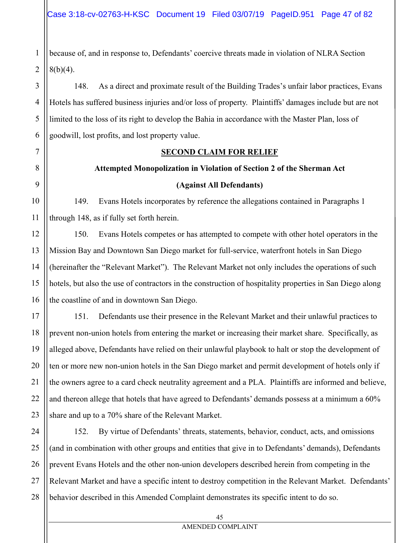because of, and in response to, Defendants' coercive threats made in violation of NLRA Section  $8(b)(4)$ .

148. As a direct and proximate result of the Building Trades's unfair labor practices, Evans Hotels has suffered business injuries and/or loss of property. Plaintiffs' damages include but are not limited to the loss of its right to develop the Bahia in accordance with the Master Plan, loss of goodwill, lost profits, and lost property value.

## **SECOND CLAIM FOR RELIEF**

# **Attempted Monopolization in Violation of Section 2 of the Sherman Act (Against All Defendants)**

149. Evans Hotels incorporates by reference the allegations contained in Paragraphs 1 through 148, as if fully set forth herein.

150. Evans Hotels competes or has attempted to compete with other hotel operators in the Mission Bay and Downtown San Diego market for full-service, waterfront hotels in San Diego (hereinafter the "Relevant Market"). The Relevant Market not only includes the operations of such hotels, but also the use of contractors in the construction of hospitality properties in San Diego along the coastline of and in downtown San Diego.

151. Defendants use their presence in the Relevant Market and their unlawful practices to prevent non-union hotels from entering the market or increasing their market share. Specifically, as alleged above, Defendants have relied on their unlawful playbook to halt or stop the development of ten or more new non-union hotels in the San Diego market and permit development of hotels only if the owners agree to a card check neutrality agreement and a PLA. Plaintiffs are informed and believe, and thereon allege that hotels that have agreed to Defendants' demands possess at a minimum a 60% share and up to a 70% share of the Relevant Market.

152. By virtue of Defendants' threats, statements, behavior, conduct, acts, and omissions (and in combination with other groups and entities that give in to Defendants' demands), Defendants prevent Evans Hotels and the other non-union developers described herein from competing in the Relevant Market and have a specific intent to destroy competition in the Relevant Market. Defendants' behavior described in this Amended Complaint demonstrates its specific intent to do so.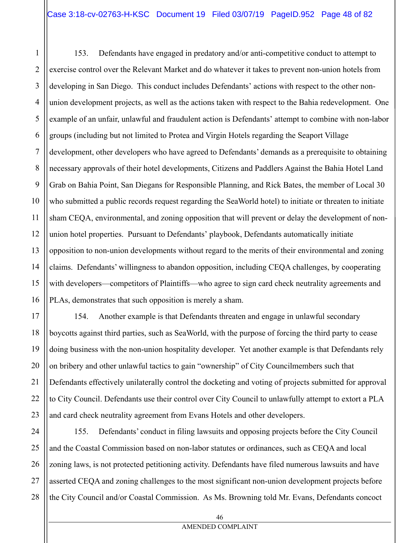1 2 3 4 5 6 7 8 9 10 11 12 13 14 15 16 153. Defendants have engaged in predatory and/or anti-competitive conduct to attempt to exercise control over the Relevant Market and do whatever it takes to prevent non-union hotels from developing in San Diego. This conduct includes Defendants' actions with respect to the other nonunion development projects, as well as the actions taken with respect to the Bahia redevelopment. One example of an unfair, unlawful and fraudulent action is Defendants' attempt to combine with non-labor groups (including but not limited to Protea and Virgin Hotels regarding the Seaport Village development, other developers who have agreed to Defendants' demands as a prerequisite to obtaining necessary approvals of their hotel developments, Citizens and Paddlers Against the Bahia Hotel Land Grab on Bahia Point, San Diegans for Responsible Planning, and Rick Bates, the member of Local 30 who submitted a public records request regarding the SeaWorld hotel) to initiate or threaten to initiate sham CEQA, environmental, and zoning opposition that will prevent or delay the development of nonunion hotel properties. Pursuant to Defendants' playbook, Defendants automatically initiate opposition to non-union developments without regard to the merits of their environmental and zoning claims. Defendants' willingness to abandon opposition, including CEQA challenges, by cooperating with developers—competitors of Plaintiffs—who agree to sign card check neutrality agreements and PLAs, demonstrates that such opposition is merely a sham.

17 18 19 20 21 22 23 154. Another example is that Defendants threaten and engage in unlawful secondary boycotts against third parties, such as SeaWorld, with the purpose of forcing the third party to cease doing business with the non-union hospitality developer. Yet another example is that Defendants rely on bribery and other unlawful tactics to gain "ownership" of City Councilmembers such that Defendants effectively unilaterally control the docketing and voting of projects submitted for approval to City Council. Defendants use their control over City Council to unlawfully attempt to extort a PLA and card check neutrality agreement from Evans Hotels and other developers.

24 25 26 27 28 155. Defendants' conduct in filing lawsuits and opposing projects before the City Council and the Coastal Commission based on non-labor statutes or ordinances, such as CEQA and local zoning laws, is not protected petitioning activity. Defendants have filed numerous lawsuits and have asserted CEQA and zoning challenges to the most significant non-union development projects before the City Council and/or Coastal Commission. As Ms. Browning told Mr. Evans, Defendants concoct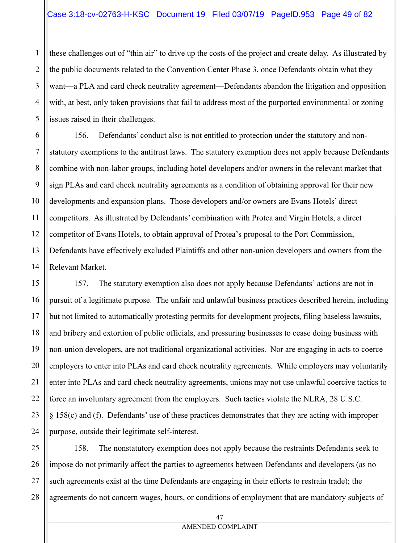these challenges out of "thin air" to drive up the costs of the project and create delay. As illustrated by the public documents related to the Convention Center Phase 3, once Defendants obtain what they want—a PLA and card check neutrality agreement—Defendants abandon the litigation and opposition with, at best, only token provisions that fail to address most of the purported environmental or zoning issues raised in their challenges.

156. Defendants' conduct also is not entitled to protection under the statutory and nonstatutory exemptions to the antitrust laws. The statutory exemption does not apply because Defendants combine with non-labor groups, including hotel developers and/or owners in the relevant market that sign PLAs and card check neutrality agreements as a condition of obtaining approval for their new developments and expansion plans. Those developers and/or owners are Evans Hotels' direct competitors. As illustrated by Defendants' combination with Protea and Virgin Hotels, a direct competitor of Evans Hotels, to obtain approval of Protea's proposal to the Port Commission, Defendants have effectively excluded Plaintiffs and other non-union developers and owners from the Relevant Market.

157. The statutory exemption also does not apply because Defendants' actions are not in pursuit of a legitimate purpose. The unfair and unlawful business practices described herein, including but not limited to automatically protesting permits for development projects, filing baseless lawsuits, and bribery and extortion of public officials, and pressuring businesses to cease doing business with non-union developers, are not traditional organizational activities. Nor are engaging in acts to coerce employers to enter into PLAs and card check neutrality agreements. While employers may voluntarily enter into PLAs and card check neutrality agreements, unions may not use unlawful coercive tactics to force an involuntary agreement from the employers. Such tactics violate the NLRA, 28 U.S.C. § 158(c) and (f). Defendants' use of these practices demonstrates that they are acting with improper purpose, outside their legitimate self-interest.

158. The nonstatutory exemption does not apply because the restraints Defendants seek to impose do not primarily affect the parties to agreements between Defendants and developers (as no such agreements exist at the time Defendants are engaging in their efforts to restrain trade); the agreements do not concern wages, hours, or conditions of employment that are mandatory subjects of

1

2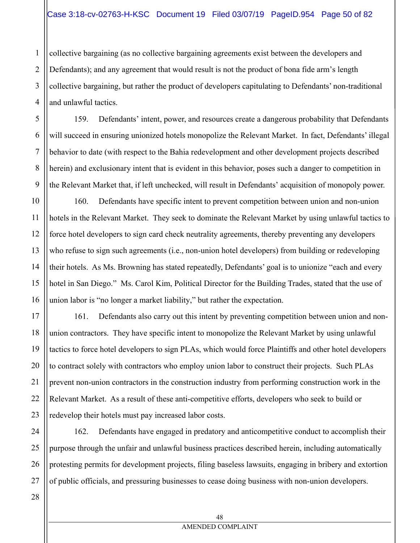collective bargaining (as no collective bargaining agreements exist between the developers and Defendants); and any agreement that would result is not the product of bona fide arm's length collective bargaining, but rather the product of developers capitulating to Defendants' non-traditional and unlawful tactics.

159. Defendants' intent, power, and resources create a dangerous probability that Defendants will succeed in ensuring unionized hotels monopolize the Relevant Market. In fact, Defendants' illegal behavior to date (with respect to the Bahia redevelopment and other development projects described herein) and exclusionary intent that is evident in this behavior, poses such a danger to competition in the Relevant Market that, if left unchecked, will result in Defendants' acquisition of monopoly power.

160. Defendants have specific intent to prevent competition between union and non-union hotels in the Relevant Market. They seek to dominate the Relevant Market by using unlawful tactics to force hotel developers to sign card check neutrality agreements, thereby preventing any developers who refuse to sign such agreements (i.e., non-union hotel developers) from building or redeveloping their hotels. As Ms. Browning has stated repeatedly, Defendants' goal is to unionize "each and every hotel in San Diego." Ms. Carol Kim, Political Director for the Building Trades, stated that the use of union labor is "no longer a market liability," but rather the expectation.

161. Defendants also carry out this intent by preventing competition between union and nonunion contractors. They have specific intent to monopolize the Relevant Market by using unlawful tactics to force hotel developers to sign PLAs, which would force Plaintiffs and other hotel developers to contract solely with contractors who employ union labor to construct their projects. Such PLAs prevent non-union contractors in the construction industry from performing construction work in the Relevant Market. As a result of these anti-competitive efforts, developers who seek to build or redevelop their hotels must pay increased labor costs.

24 25 26 27 162. Defendants have engaged in predatory and anticompetitive conduct to accomplish their purpose through the unfair and unlawful business practices described herein, including automatically protesting permits for development projects, filing baseless lawsuits, engaging in bribery and extortion of public officials, and pressuring businesses to cease doing business with non-union developers.

1

2

3

4

5

6

7

8

9

10

11

12

13

14

15

16

17

18

19

20

21

22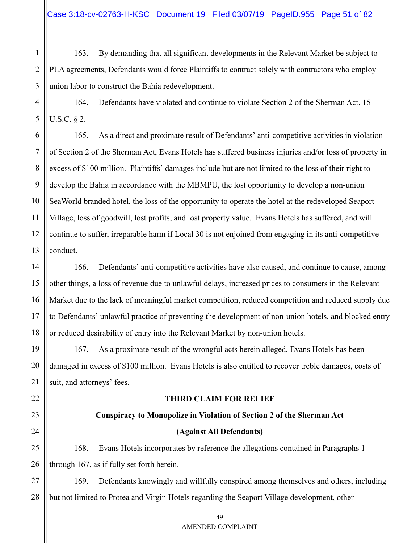163. By demanding that all significant developments in the Relevant Market be subject to PLA agreements, Defendants would force Plaintiffs to contract solely with contractors who employ union labor to construct the Bahia redevelopment.

164. Defendants have violated and continue to violate Section 2 of the Sherman Act, 15 U.S.C. § 2.

165. As a direct and proximate result of Defendants' anti-competitive activities in violation of Section 2 of the Sherman Act, Evans Hotels has suffered business injuries and/or loss of property in excess of \$100 million. Plaintiffs' damages include but are not limited to the loss of their right to develop the Bahia in accordance with the MBMPU, the lost opportunity to develop a non-union SeaWorld branded hotel, the loss of the opportunity to operate the hotel at the redeveloped Seaport Village, loss of goodwill, lost profits, and lost property value. Evans Hotels has suffered, and will continue to suffer, irreparable harm if Local 30 is not enjoined from engaging in its anti-competitive conduct.

166. Defendants' anti-competitive activities have also caused, and continue to cause, among other things, a loss of revenue due to unlawful delays, increased prices to consumers in the Relevant Market due to the lack of meaningful market competition, reduced competition and reduced supply due to Defendants' unlawful practice of preventing the development of non-union hotels, and blocked entry or reduced desirability of entry into the Relevant Market by non-union hotels.

167. As a proximate result of the wrongful acts herein alleged, Evans Hotels has been damaged in excess of \$100 million. Evans Hotels is also entitled to recover treble damages, costs of suit, and attorneys' fees.

# **THIRD CLAIM FOR RELIEF**

# **Conspiracy to Monopolize in Violation of Section 2 of the Sherman Act**

# **(Against All Defendants)**

168. Evans Hotels incorporates by reference the allegations contained in Paragraphs 1 through 167, as if fully set forth herein.

169. Defendants knowingly and willfully conspired among themselves and others, including but not limited to Protea and Virgin Hotels regarding the Seaport Village development, other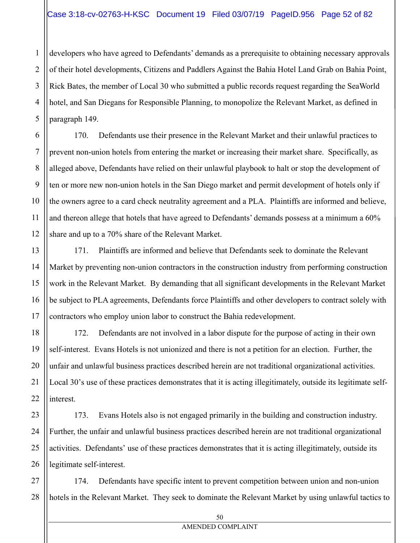## Case 3:18-cv-02763-H-KSC Document 19 Filed 03/07/19 PageID.956 Page 52 of 82

developers who have agreed to Defendants' demands as a prerequisite to obtaining necessary approvals of their hotel developments, Citizens and Paddlers Against the Bahia Hotel Land Grab on Bahia Point, Rick Bates, the member of Local 30 who submitted a public records request regarding the SeaWorld hotel, and San Diegans for Responsible Planning, to monopolize the Relevant Market, as defined in paragraph 149.

170. Defendants use their presence in the Relevant Market and their unlawful practices to prevent non-union hotels from entering the market or increasing their market share. Specifically, as alleged above, Defendants have relied on their unlawful playbook to halt or stop the development of ten or more new non-union hotels in the San Diego market and permit development of hotels only if the owners agree to a card check neutrality agreement and a PLA. Plaintiffs are informed and believe, and thereon allege that hotels that have agreed to Defendants' demands possess at a minimum a 60% share and up to a 70% share of the Relevant Market.

171. Plaintiffs are informed and believe that Defendants seek to dominate the Relevant Market by preventing non-union contractors in the construction industry from performing construction work in the Relevant Market. By demanding that all significant developments in the Relevant Market be subject to PLA agreements, Defendants force Plaintiffs and other developers to contract solely with contractors who employ union labor to construct the Bahia redevelopment.

172. Defendants are not involved in a labor dispute for the purpose of acting in their own self-interest. Evans Hotels is not unionized and there is not a petition for an election. Further, the unfair and unlawful business practices described herein are not traditional organizational activities. Local 30's use of these practices demonstrates that it is acting illegitimately, outside its legitimate selfinterest.

173. Evans Hotels also is not engaged primarily in the building and construction industry. Further, the unfair and unlawful business practices described herein are not traditional organizational activities. Defendants' use of these practices demonstrates that it is acting illegitimately, outside its legitimate self-interest.

174. Defendants have specific intent to prevent competition between union and non-union hotels in the Relevant Market. They seek to dominate the Relevant Market by using unlawful tactics to

1

2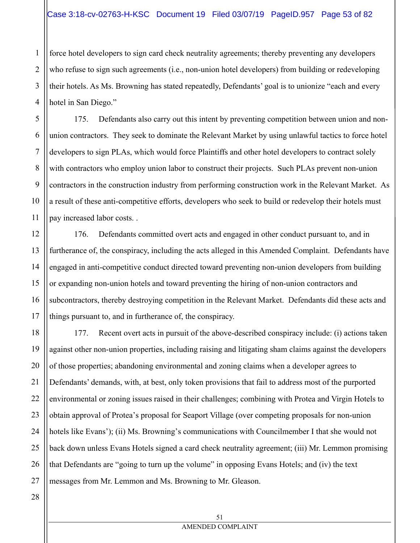force hotel developers to sign card check neutrality agreements; thereby preventing any developers who refuse to sign such agreements (i.e., non-union hotel developers) from building or redeveloping their hotels. As Ms. Browning has stated repeatedly, Defendants' goal is to unionize "each and every hotel in San Diego."

175. Defendants also carry out this intent by preventing competition between union and nonunion contractors. They seek to dominate the Relevant Market by using unlawful tactics to force hotel developers to sign PLAs, which would force Plaintiffs and other hotel developers to contract solely with contractors who employ union labor to construct their projects. Such PLAs prevent non-union contractors in the construction industry from performing construction work in the Relevant Market. As a result of these anti-competitive efforts, developers who seek to build or redevelop their hotels must pay increased labor costs. .

176. Defendants committed overt acts and engaged in other conduct pursuant to, and in furtherance of, the conspiracy, including the acts alleged in this Amended Complaint. Defendants have engaged in anti-competitive conduct directed toward preventing non-union developers from building or expanding non-union hotels and toward preventing the hiring of non-union contractors and subcontractors, thereby destroying competition in the Relevant Market. Defendants did these acts and things pursuant to, and in furtherance of, the conspiracy.

18 19 22 23 24 25 26 177. Recent overt acts in pursuit of the above-described conspiracy include: (i) actions taken against other non-union properties, including raising and litigating sham claims against the developers of those properties; abandoning environmental and zoning claims when a developer agrees to Defendants' demands, with, at best, only token provisions that fail to address most of the purported environmental or zoning issues raised in their challenges; combining with Protea and Virgin Hotels to obtain approval of Protea's proposal for Seaport Village (over competing proposals for non-union hotels like Evans'); (ii) Ms. Browning's communications with Councilmember I that she would not back down unless Evans Hotels signed a card check neutrality agreement; (iii) Mr. Lemmon promising that Defendants are "going to turn up the volume" in opposing Evans Hotels; and (iv) the text messages from Mr. Lemmon and Ms. Browning to Mr. Gleason.

27

1

2

3

4

5

6

7

8

9

10

11

12

13

14

15

16

17

20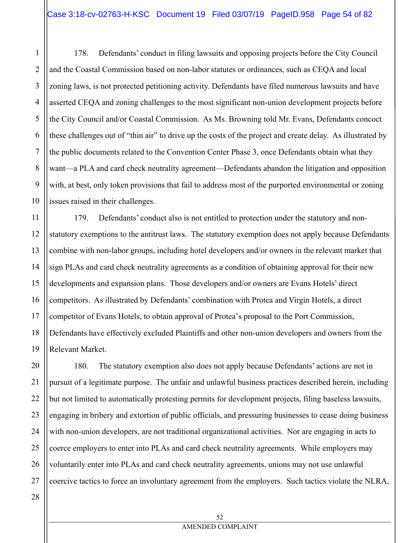178. Defendants' conduct in filing lawsuits and opposing projects before the City Council and the Coastal Commission based on non-labor statutes or ordinances, such as CEQA and local zoning laws, is not protected petitioning activity. Defendants have filed numerous lawsuits and have asserted CEQA and zoning challenges to the most significant non-union development projects before the City Council and/or Coastal Commission. As Ms. Browning told Mr. Evans, Defendants concoct these challenges out of "thin air" to drive up the costs of the project and create delay. As illustrated by the public documents related to the Convention Center Phase 3, once Defendants obtain what they want—a PLA and card check neutrality agreement—Defendants abandon the litigation and opposition with, at best, only token provisions that fail to address most of the purported environmental or zoning issues raised in their challenges.

12 13 14 15 16 17 18 19 179. Defendants' conduct also is not entitled to protection under the statutory and nonstatutory exemptions to the antitrust laws. The statutory exemption does not apply because Defendants combine with non-labor groups, including hotel developers and/or owners in the relevant market that sign PLAs and card check neutrality agreements as a condition of obtaining approval for their new developments and expansion plans. Those developers and/or owners are Evans Hotels' direct competitors. As illustrated by Defendants' combination with Protea and Virgin Hotels, a direct competitor of Evans Hotels, to obtain approval of Protea's proposal to the Port Commission, Defendants have effectively excluded Plaintiffs and other non-union developers and owners from the Relevant Market.

20 21 22 23 24 25 26 27 180. The statutory exemption also does not apply because Defendants' actions are not in pursuit of a legitimate purpose. The unfair and unlawful business practices described herein, including but not limited to automatically protesting permits for development projects, filing baseless lawsuits, engaging in bribery and extortion of public officials, and pressuring businesses to cease doing business with non-union developers, are not traditional organizational activities. Nor are engaging in acts to coerce employers to enter into PLAs and card check neutrality agreements. While employers may voluntarily enter into PLAs and card check neutrality agreements, unions may not use unlawful coercive tactics to force an involuntary agreement from the employers. Such tactics violate the NLRA,

1

2

3

4

5

6

7

8

9

10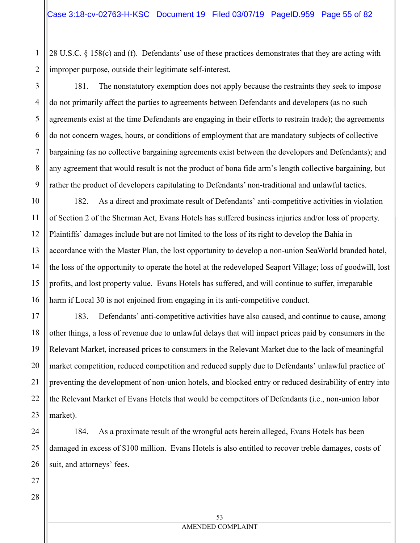28 U.S.C. § 158(c) and (f). Defendants' use of these practices demonstrates that they are acting with improper purpose, outside their legitimate self-interest.

181. The nonstatutory exemption does not apply because the restraints they seek to impose do not primarily affect the parties to agreements between Defendants and developers (as no such agreements exist at the time Defendants are engaging in their efforts to restrain trade); the agreements do not concern wages, hours, or conditions of employment that are mandatory subjects of collective bargaining (as no collective bargaining agreements exist between the developers and Defendants); and

any agreement that would result is not the product of bona fide arm's length collective bargaining, but rather the product of developers capitulating to Defendants' non-traditional and unlawful tactics.

182. As a direct and proximate result of Defendants' anti-competitive activities in violation of Section 2 of the Sherman Act, Evans Hotels has suffered business injuries and/or loss of property. Plaintiffs' damages include but are not limited to the loss of its right to develop the Bahia in accordance with the Master Plan, the lost opportunity to develop a non-union SeaWorld branded hotel, the loss of the opportunity to operate the hotel at the redeveloped Seaport Village; loss of goodwill, lost profits, and lost property value. Evans Hotels has suffered, and will continue to suffer, irreparable harm if Local 30 is not enjoined from engaging in its anti-competitive conduct.

183. Defendants' anti-competitive activities have also caused, and continue to cause, among other things, a loss of revenue due to unlawful delays that will impact prices paid by consumers in the Relevant Market, increased prices to consumers in the Relevant Market due to the lack of meaningful market competition, reduced competition and reduced supply due to Defendants' unlawful practice of preventing the development of non-union hotels, and blocked entry or reduced desirability of entry into the Relevant Market of Evans Hotels that would be competitors of Defendants (i.e., non-union labor market).

184. As a proximate result of the wrongful acts herein alleged, Evans Hotels has been damaged in excess of \$100 million. Evans Hotels is also entitled to recover treble damages, costs of suit, and attorneys' fees.

1

2

3

4

5

6

7

8

9

10

11

12

13

14

15

16

17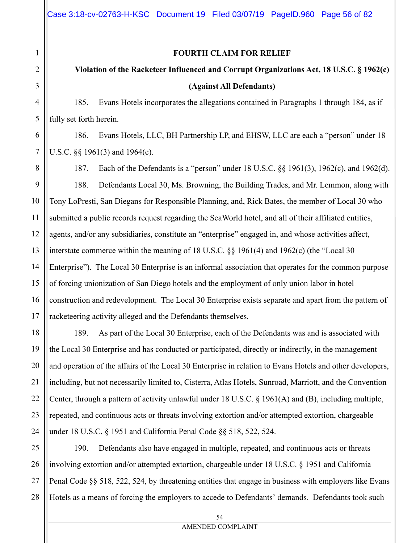#### **FOURTH CLAIM FOR RELIEF**

# **Violation of the Racketeer Influenced and Corrupt Organizations Act, 18 U.S.C. § 1962(c) (Against All Defendants)**

185. Evans Hotels incorporates the allegations contained in Paragraphs 1 through 184, as if fully set forth herein.

186. Evans Hotels, LLC, BH Partnership LP, and EHSW, LLC are each a "person" under 18 U.S.C. §§ 1961(3) and 1964(c).

187. Each of the Defendants is a "person" under 18 U.S.C. §§ 1961(3), 1962(c), and 1962(d). 188. Defendants Local 30, Ms. Browning, the Building Trades, and Mr. Lemmon, along with Tony LoPresti, San Diegans for Responsible Planning, and, Rick Bates, the member of Local 30 who submitted a public records request regarding the SeaWorld hotel, and all of their affiliated entities, agents, and/or any subsidiaries, constitute an "enterprise" engaged in, and whose activities affect, interstate commerce within the meaning of 18 U.S.C. §§ 1961(4) and 1962(c) (the "Local 30 Enterprise"). The Local 30 Enterprise is an informal association that operates for the common purpose of forcing unionization of San Diego hotels and the employment of only union labor in hotel construction and redevelopment. The Local 30 Enterprise exists separate and apart from the pattern of racketeering activity alleged and the Defendants themselves.

189. As part of the Local 30 Enterprise, each of the Defendants was and is associated with the Local 30 Enterprise and has conducted or participated, directly or indirectly, in the management and operation of the affairs of the Local 30 Enterprise in relation to Evans Hotels and other developers, including, but not necessarily limited to, Cisterra, Atlas Hotels, Sunroad, Marriott, and the Convention Center, through a pattern of activity unlawful under 18 U.S.C. § 1961(A) and (B), including multiple, repeated, and continuous acts or threats involving extortion and/or attempted extortion, chargeable under 18 U.S.C. § 1951 and California Penal Code §§ 518, 522, 524.

190. Defendants also have engaged in multiple, repeated, and continuous acts or threats involving extortion and/or attempted extortion, chargeable under 18 U.S.C. § 1951 and California Penal Code §§ 518, 522, 524, by threatening entities that engage in business with employers like Evans Hotels as a means of forcing the employers to accede to Defendants' demands. Defendants took such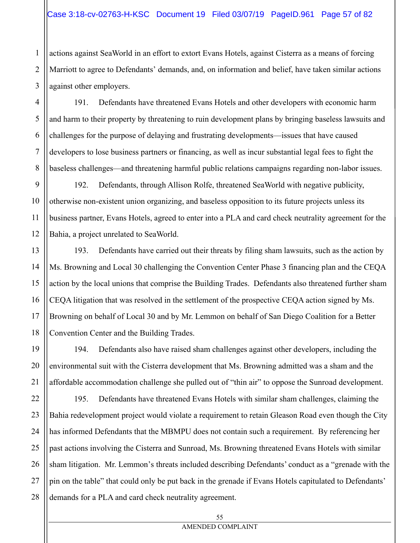actions against SeaWorld in an effort to extort Evans Hotels, against Cisterra as a means of forcing Marriott to agree to Defendants' demands, and, on information and belief, have taken similar actions against other employers.

191. Defendants have threatened Evans Hotels and other developers with economic harm and harm to their property by threatening to ruin development plans by bringing baseless lawsuits and challenges for the purpose of delaying and frustrating developments—issues that have caused developers to lose business partners or financing, as well as incur substantial legal fees to fight the baseless challenges—and threatening harmful public relations campaigns regarding non-labor issues.

192. Defendants, through Allison Rolfe, threatened SeaWorld with negative publicity, otherwise non-existent union organizing, and baseless opposition to its future projects unless its business partner, Evans Hotels, agreed to enter into a PLA and card check neutrality agreement for the Bahia, a project unrelated to SeaWorld.

193. Defendants have carried out their threats by filing sham lawsuits, such as the action by Ms. Browning and Local 30 challenging the Convention Center Phase 3 financing plan and the CEQA action by the local unions that comprise the Building Trades. Defendants also threatened further sham CEQA litigation that was resolved in the settlement of the prospective CEQA action signed by Ms. Browning on behalf of Local 30 and by Mr. Lemmon on behalf of San Diego Coalition for a Better Convention Center and the Building Trades.

194. Defendants also have raised sham challenges against other developers, including the environmental suit with the Cisterra development that Ms. Browning admitted was a sham and the affordable accommodation challenge she pulled out of "thin air" to oppose the Sunroad development.

195. Defendants have threatened Evans Hotels with similar sham challenges, claiming the Bahia redevelopment project would violate a requirement to retain Gleason Road even though the City has informed Defendants that the MBMPU does not contain such a requirement. By referencing her past actions involving the Cisterra and Sunroad, Ms. Browning threatened Evans Hotels with similar sham litigation. Mr. Lemmon's threats included describing Defendants' conduct as a "grenade with the pin on the table" that could only be put back in the grenade if Evans Hotels capitulated to Defendants' demands for a PLA and card check neutrality agreement.

1

2

3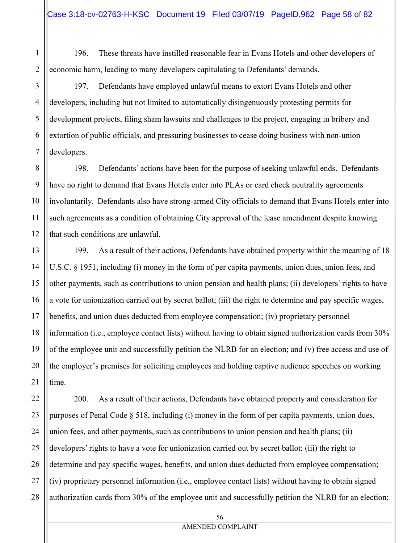196. These threats have instilled reasonable fear in Evans Hotels and other developers of economic harm, leading to many developers capitulating to Defendants' demands.

197. Defendants have employed unlawful means to extort Evans Hotels and other developers, including but not limited to automatically disingenuously protesting permits for development projects, filing sham lawsuits and challenges to the project, engaging in bribery and extortion of public officials, and pressuring businesses to cease doing business with non-union developers.

198. Defendants' actions have been for the purpose of seeking unlawful ends. Defendants have no right to demand that Evans Hotels enter into PLAs or card check neutrality agreements involuntarily. Defendants also have strong-armed City officials to demand that Evans Hotels enter into such agreements as a condition of obtaining City approval of the lease amendment despite knowing that such conditions are unlawful.

199. As a result of their actions, Defendants have obtained property within the meaning of 18 U.S.C. § 1951, including (i) money in the form of per capita payments, union dues, union fees, and other payments, such as contributions to union pension and health plans; (ii) developers' rights to have a vote for unionization carried out by secret ballot; (iii) the right to determine and pay specific wages, benefits, and union dues deducted from employee compensation; (iv) proprietary personnel information (i.e., employee contact lists) without having to obtain signed authorization cards from 30% of the employee unit and successfully petition the NLRB for an election; and (v) free access and use of the employer's premises for soliciting employees and holding captive audience speeches on working time.

200. As a result of their actions, Defendants have obtained property and consideration for purposes of Penal Code § 518, including (i) money in the form of per capita payments, union dues, union fees, and other payments, such as contributions to union pension and health plans; (ii) developers' rights to have a vote for unionization carried out by secret ballot; (iii) the right to determine and pay specific wages, benefits, and union dues deducted from employee compensation; (iv) proprietary personnel information (i.e., employee contact lists) without having to obtain signed authorization cards from 30% of the employee unit and successfully petition the NLRB for an election;

1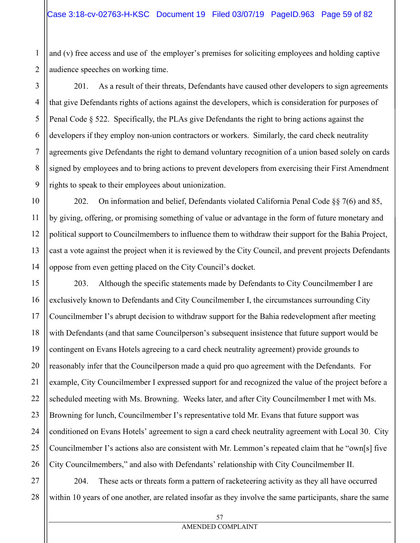and (v) free access and use of the employer's premises for soliciting employees and holding captive audience speeches on working time.

201. As a result of their threats, Defendants have caused other developers to sign agreements that give Defendants rights of actions against the developers, which is consideration for purposes of Penal Code § 522. Specifically, the PLAs give Defendants the right to bring actions against the developers if they employ non-union contractors or workers. Similarly, the card check neutrality agreements give Defendants the right to demand voluntary recognition of a union based solely on cards signed by employees and to bring actions to prevent developers from exercising their First Amendment rights to speak to their employees about unionization.

202. On information and belief, Defendants violated California Penal Code §§ 7(6) and 85, by giving, offering, or promising something of value or advantage in the form of future monetary and political support to Councilmembers to influence them to withdraw their support for the Bahia Project, cast a vote against the project when it is reviewed by the City Council, and prevent projects Defendants oppose from even getting placed on the City Council's docket.

203. Although the specific statements made by Defendants to City Councilmember I are exclusively known to Defendants and City Councilmember I, the circumstances surrounding City Councilmember I's abrupt decision to withdraw support for the Bahia redevelopment after meeting with Defendants (and that same Councilperson's subsequent insistence that future support would be contingent on Evans Hotels agreeing to a card check neutrality agreement) provide grounds to reasonably infer that the Councilperson made a quid pro quo agreement with the Defendants. For example, City Councilmember I expressed support for and recognized the value of the project before a scheduled meeting with Ms. Browning. Weeks later, and after City Councilmember I met with Ms. Browning for lunch, Councilmember I's representative told Mr. Evans that future support was conditioned on Evans Hotels' agreement to sign a card check neutrality agreement with Local 30. City Councilmember I's actions also are consistent with Mr. Lemmon's repeated claim that he "own[s] five City Councilmembers," and also with Defendants' relationship with City Councilmember II.

28 204. These acts or threats form a pattern of racketeering activity as they all have occurred within 10 years of one another, are related insofar as they involve the same participants, share the same

1

2

3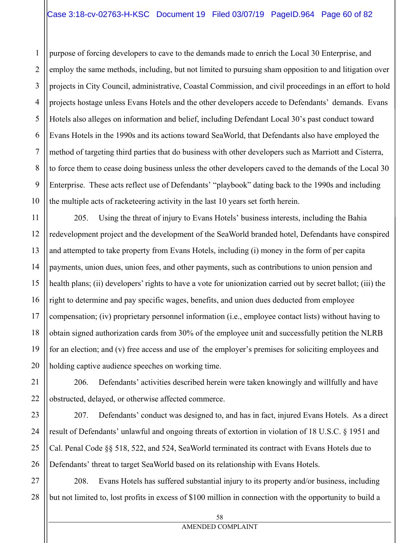3 purpose of forcing developers to cave to the demands made to enrich the Local 30 Enterprise, and employ the same methods, including, but not limited to pursuing sham opposition to and litigation over projects in City Council, administrative, Coastal Commission, and civil proceedings in an effort to hold projects hostage unless Evans Hotels and the other developers accede to Defendants' demands. Evans Hotels also alleges on information and belief, including Defendant Local 30's past conduct toward Evans Hotels in the 1990s and its actions toward SeaWorld, that Defendants also have employed the method of targeting third parties that do business with other developers such as Marriott and Cisterra, to force them to cease doing business unless the other developers caved to the demands of the Local 30 Enterprise. These acts reflect use of Defendants' "playbook" dating back to the 1990s and including the multiple acts of racketeering activity in the last 10 years set forth herein.

205. Using the threat of injury to Evans Hotels' business interests, including the Bahia redevelopment project and the development of the SeaWorld branded hotel, Defendants have conspired and attempted to take property from Evans Hotels, including (i) money in the form of per capita payments, union dues, union fees, and other payments, such as contributions to union pension and health plans; (ii) developers' rights to have a vote for unionization carried out by secret ballot; (iii) the right to determine and pay specific wages, benefits, and union dues deducted from employee compensation; (iv) proprietary personnel information (i.e., employee contact lists) without having to obtain signed authorization cards from 30% of the employee unit and successfully petition the NLRB for an election; and (v) free access and use of the employer's premises for soliciting employees and holding captive audience speeches on working time.

206. Defendants' activities described herein were taken knowingly and willfully and have obstructed, delayed, or otherwise affected commerce.

207. Defendants' conduct was designed to, and has in fact, injured Evans Hotels. As a direct result of Defendants' unlawful and ongoing threats of extortion in violation of 18 U.S.C. § 1951 and Cal. Penal Code §§ 518, 522, and 524, SeaWorld terminated its contract with Evans Hotels due to Defendants' threat to target SeaWorld based on its relationship with Evans Hotels.

28 208. Evans Hotels has suffered substantial injury to its property and/or business, including but not limited to, lost profits in excess of \$100 million in connection with the opportunity to build a

1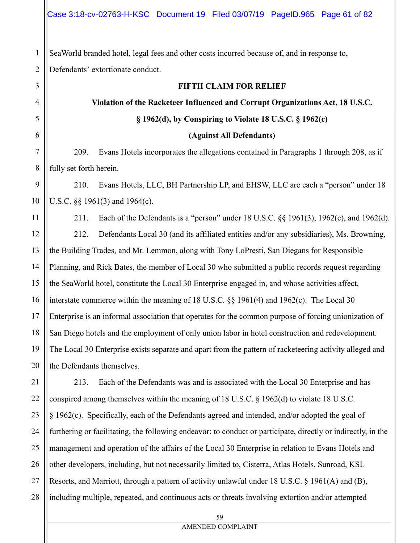SeaWorld branded hotel, legal fees and other costs incurred because of, and in response to, Defendants' extortionate conduct.

# **FIFTH CLAIM FOR RELIEF**

# **Violation of the Racketeer Influenced and Corrupt Organizations Act, 18 U.S.C. § 1962(d), by Conspiring to Violate 18 U.S.C. § 1962(c)**

# **(Against All Defendants)**

209. Evans Hotels incorporates the allegations contained in Paragraphs 1 through 208, as if fully set forth herein.

210. Evans Hotels, LLC, BH Partnership LP, and EHSW, LLC are each a "person" under 18 U.S.C. §§ 1961(3) and 1964(c).

211. Each of the Defendants is a "person" under 18 U.S.C. §§ 1961(3), 1962(c), and 1962(d). 212. Defendants Local 30 (and its affiliated entities and/or any subsidiaries), Ms. Browning, the Building Trades, and Mr. Lemmon, along with Tony LoPresti, San Diegans for Responsible Planning, and Rick Bates, the member of Local 30 who submitted a public records request regarding the SeaWorld hotel, constitute the Local 30 Enterprise engaged in, and whose activities affect, interstate commerce within the meaning of 18 U.S.C. §§ 1961(4) and 1962(c). The Local 30 Enterprise is an informal association that operates for the common purpose of forcing unionization of San Diego hotels and the employment of only union labor in hotel construction and redevelopment. The Local 30 Enterprise exists separate and apart from the pattern of racketeering activity alleged and the Defendants themselves.

23 24 25 26 27 28 213. Each of the Defendants was and is associated with the Local 30 Enterprise and has conspired among themselves within the meaning of 18 U.S.C. § 1962(d) to violate 18 U.S.C. § 1962(c). Specifically, each of the Defendants agreed and intended, and/or adopted the goal of furthering or facilitating, the following endeavor: to conduct or participate, directly or indirectly, in the management and operation of the affairs of the Local 30 Enterprise in relation to Evans Hotels and other developers, including, but not necessarily limited to, Cisterra, Atlas Hotels, Sunroad, KSL Resorts, and Marriott, through a pattern of activity unlawful under 18 U.S.C. § 1961(A) and (B), including multiple, repeated, and continuous acts or threats involving extortion and/or attempted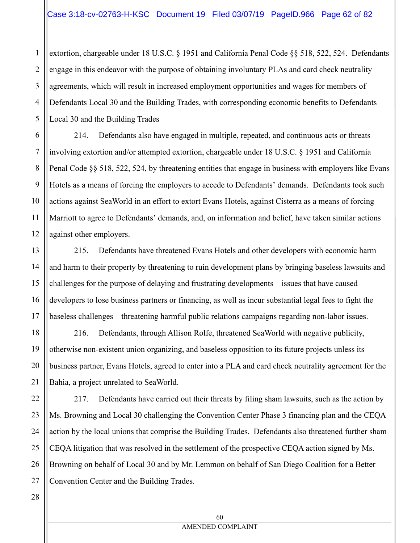4 extortion, chargeable under 18 U.S.C. § 1951 and California Penal Code §§ 518, 522, 524. Defendants engage in this endeavor with the purpose of obtaining involuntary PLAs and card check neutrality agreements, which will result in increased employment opportunities and wages for members of Defendants Local 30 and the Building Trades, with corresponding economic benefits to Defendants Local 30 and the Building Trades

214. Defendants also have engaged in multiple, repeated, and continuous acts or threats involving extortion and/or attempted extortion, chargeable under 18 U.S.C. § 1951 and California Penal Code §§ 518, 522, 524, by threatening entities that engage in business with employers like Evans Hotels as a means of forcing the employers to accede to Defendants' demands. Defendants took such actions against SeaWorld in an effort to extort Evans Hotels, against Cisterra as a means of forcing Marriott to agree to Defendants' demands, and, on information and belief, have taken similar actions against other employers.

215. Defendants have threatened Evans Hotels and other developers with economic harm and harm to their property by threatening to ruin development plans by bringing baseless lawsuits and challenges for the purpose of delaying and frustrating developments—issues that have caused developers to lose business partners or financing, as well as incur substantial legal fees to fight the baseless challenges—threatening harmful public relations campaigns regarding non-labor issues.

216. Defendants, through Allison Rolfe, threatened SeaWorld with negative publicity, otherwise non-existent union organizing, and baseless opposition to its future projects unless its business partner, Evans Hotels, agreed to enter into a PLA and card check neutrality agreement for the Bahia, a project unrelated to SeaWorld.

22 23 24 25 26 217. Defendants have carried out their threats by filing sham lawsuits, such as the action by Ms. Browning and Local 30 challenging the Convention Center Phase 3 financing plan and the CEQA action by the local unions that comprise the Building Trades. Defendants also threatened further sham CEQA litigation that was resolved in the settlement of the prospective CEQA action signed by Ms. Browning on behalf of Local 30 and by Mr. Lemmon on behalf of San Diego Coalition for a Better Convention Center and the Building Trades.

28

27

1

2

3

5

6

7

8

9

10

11

12

13

14

15

16

17

18

19

20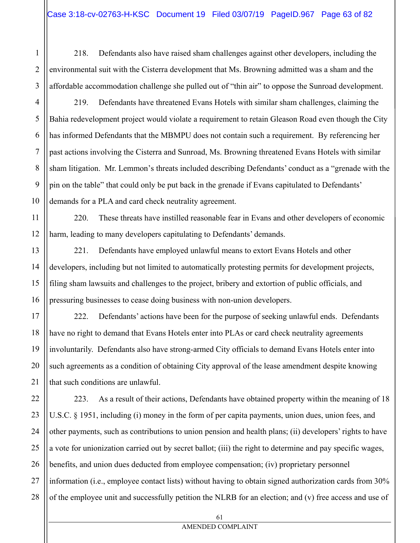218. Defendants also have raised sham challenges against other developers, including the environmental suit with the Cisterra development that Ms. Browning admitted was a sham and the affordable accommodation challenge she pulled out of "thin air" to oppose the Sunroad development.

219. Defendants have threatened Evans Hotels with similar sham challenges, claiming the Bahia redevelopment project would violate a requirement to retain Gleason Road even though the City has informed Defendants that the MBMPU does not contain such a requirement. By referencing her past actions involving the Cisterra and Sunroad, Ms. Browning threatened Evans Hotels with similar sham litigation. Mr. Lemmon's threats included describing Defendants' conduct as a "grenade with the pin on the table" that could only be put back in the grenade if Evans capitulated to Defendants' demands for a PLA and card check neutrality agreement.

220. These threats have instilled reasonable fear in Evans and other developers of economic harm, leading to many developers capitulating to Defendants' demands.

221. Defendants have employed unlawful means to extort Evans Hotels and other developers, including but not limited to automatically protesting permits for development projects, filing sham lawsuits and challenges to the project, bribery and extortion of public officials, and pressuring businesses to cease doing business with non-union developers.

222. Defendants' actions have been for the purpose of seeking unlawful ends. Defendants have no right to demand that Evans Hotels enter into PLAs or card check neutrality agreements involuntarily. Defendants also have strong-armed City officials to demand Evans Hotels enter into such agreements as a condition of obtaining City approval of the lease amendment despite knowing that such conditions are unlawful.

223. As a result of their actions, Defendants have obtained property within the meaning of 18 U.S.C. § 1951, including (i) money in the form of per capita payments, union dues, union fees, and other payments, such as contributions to union pension and health plans; (ii) developers' rights to have a vote for unionization carried out by secret ballot; (iii) the right to determine and pay specific wages, benefits, and union dues deducted from employee compensation; (iv) proprietary personnel information (i.e., employee contact lists) without having to obtain signed authorization cards from 30% of the employee unit and successfully petition the NLRB for an election; and (v) free access and use of

1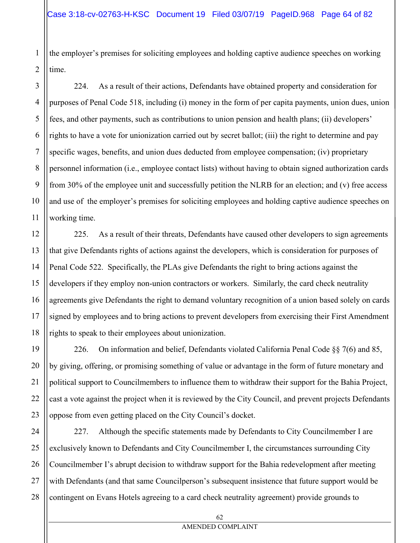the employer's premises for soliciting employees and holding captive audience speeches on working time.

224. As a result of their actions, Defendants have obtained property and consideration for purposes of Penal Code 518, including (i) money in the form of per capita payments, union dues, union fees, and other payments, such as contributions to union pension and health plans; (ii) developers' rights to have a vote for unionization carried out by secret ballot; (iii) the right to determine and pay specific wages, benefits, and union dues deducted from employee compensation; (iv) proprietary personnel information (i.e., employee contact lists) without having to obtain signed authorization cards from 30% of the employee unit and successfully petition the NLRB for an election; and (v) free access and use of the employer's premises for soliciting employees and holding captive audience speeches on working time.

225. As a result of their threats, Defendants have caused other developers to sign agreements that give Defendants rights of actions against the developers, which is consideration for purposes of Penal Code 522. Specifically, the PLAs give Defendants the right to bring actions against the developers if they employ non-union contractors or workers. Similarly, the card check neutrality agreements give Defendants the right to demand voluntary recognition of a union based solely on cards signed by employees and to bring actions to prevent developers from exercising their First Amendment rights to speak to their employees about unionization.

226. On information and belief, Defendants violated California Penal Code  $\S$ § 7(6) and 85, by giving, offering, or promising something of value or advantage in the form of future monetary and political support to Councilmembers to influence them to withdraw their support for the Bahia Project, cast a vote against the project when it is reviewed by the City Council, and prevent projects Defendants oppose from even getting placed on the City Council's docket.

227. Although the specific statements made by Defendants to City Councilmember I are exclusively known to Defendants and City Councilmember I, the circumstances surrounding City Councilmember I's abrupt decision to withdraw support for the Bahia redevelopment after meeting with Defendants (and that same Councilperson's subsequent insistence that future support would be contingent on Evans Hotels agreeing to a card check neutrality agreement) provide grounds to

1

2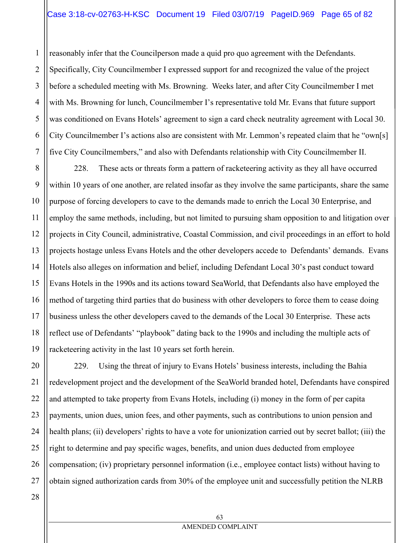1 2 3 4 5 6 7 reasonably infer that the Councilperson made a quid pro quo agreement with the Defendants. Specifically, City Councilmember I expressed support for and recognized the value of the project before a scheduled meeting with Ms. Browning. Weeks later, and after City Councilmember I met with Ms. Browning for lunch, Councilmember I's representative told Mr. Evans that future support was conditioned on Evans Hotels' agreement to sign a card check neutrality agreement with Local 30. City Councilmember I's actions also are consistent with Mr. Lemmon's repeated claim that he "own[s] five City Councilmembers," and also with Defendants relationship with City Councilmember II.

8 9 10 11 12 13 14 15 16 17 18 19 228. These acts or threats form a pattern of racketeering activity as they all have occurred within 10 years of one another, are related insofar as they involve the same participants, share the same purpose of forcing developers to cave to the demands made to enrich the Local 30 Enterprise, and employ the same methods, including, but not limited to pursuing sham opposition to and litigation over projects in City Council, administrative, Coastal Commission, and civil proceedings in an effort to hold projects hostage unless Evans Hotels and the other developers accede to Defendants' demands. Evans Hotels also alleges on information and belief, including Defendant Local 30's past conduct toward Evans Hotels in the 1990s and its actions toward SeaWorld, that Defendants also have employed the method of targeting third parties that do business with other developers to force them to cease doing business unless the other developers caved to the demands of the Local 30 Enterprise. These acts reflect use of Defendants' "playbook" dating back to the 1990s and including the multiple acts of racketeering activity in the last 10 years set forth herein.

20 21 22 23 24 25 26 27 229. Using the threat of injury to Evans Hotels' business interests, including the Bahia redevelopment project and the development of the SeaWorld branded hotel, Defendants have conspired and attempted to take property from Evans Hotels, including (i) money in the form of per capita payments, union dues, union fees, and other payments, such as contributions to union pension and health plans; (ii) developers' rights to have a vote for unionization carried out by secret ballot; (iii) the right to determine and pay specific wages, benefits, and union dues deducted from employee compensation; (iv) proprietary personnel information (i.e., employee contact lists) without having to obtain signed authorization cards from 30% of the employee unit and successfully petition the NLRB

28

63 AMENDED COMPLAINT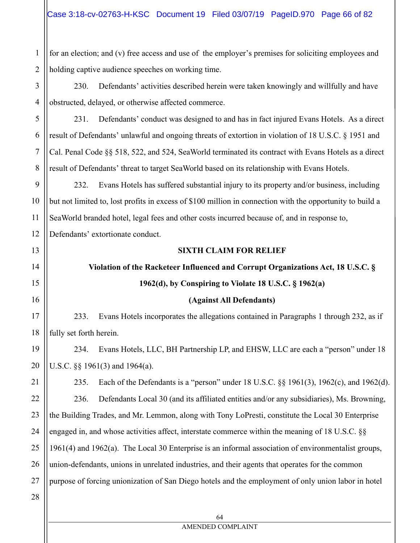1 2 for an election; and (v) free access and use of the employer's premises for soliciting employees and holding captive audience speeches on working time.

4 230. Defendants' activities described herein were taken knowingly and willfully and have obstructed, delayed, or otherwise affected commerce.

231. Defendants' conduct was designed to and has in fact injured Evans Hotels. As a direct result of Defendants' unlawful and ongoing threats of extortion in violation of 18 U.S.C. § 1951 and Cal. Penal Code §§ 518, 522, and 524, SeaWorld terminated its contract with Evans Hotels as a direct result of Defendants' threat to target SeaWorld based on its relationship with Evans Hotels.

9 10 11 12 232. Evans Hotels has suffered substantial injury to its property and/or business, including but not limited to, lost profits in excess of \$100 million in connection with the opportunity to build a SeaWorld branded hotel, legal fees and other costs incurred because of, and in response to,

Defendants' extortionate conduct.

## **SIXTH CLAIM FOR RELIEF**

# **Violation of the Racketeer Influenced and Corrupt Organizations Act, 18 U.S.C. §**

# **1962(d), by Conspiring to Violate 18 U.S.C. § 1962(a)**

## **(Against All Defendants)**

233. Evans Hotels incorporates the allegations contained in Paragraphs 1 through 232, as if fully set forth herein.

234. Evans Hotels, LLC, BH Partnership LP, and EHSW, LLC are each a "person" under 18 U.S.C. §§ 1961(3) and 1964(a).

235. Each of the Defendants is a "person" under 18 U.S.C. §§ 1961(3), 1962(c), and 1962(d). 236. Defendants Local 30 (and its affiliated entities and/or any subsidiaries), Ms. Browning, the Building Trades, and Mr. Lemmon, along with Tony LoPresti, constitute the Local 30 Enterprise engaged in, and whose activities affect, interstate commerce within the meaning of 18 U.S.C. §§ 1961(4) and 1962(a). The Local 30 Enterprise is an informal association of environmentalist groups, union-defendants, unions in unrelated industries, and their agents that operates for the common purpose of forcing unionization of San Diego hotels and the employment of only union labor in hotel

28

3

5

6

7

8

13

14

15

16

17

18

19

20

21

22

23

24

25

26

27

## AMENDED COMPLAINT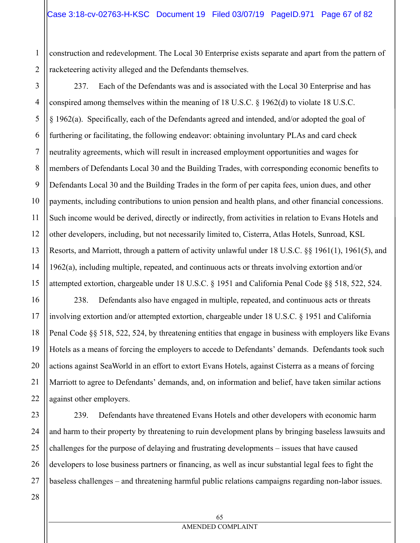1 2 construction and redevelopment. The Local 30 Enterprise exists separate and apart from the pattern of racketeering activity alleged and the Defendants themselves.

237. Each of the Defendants was and is associated with the Local 30 Enterprise and has

16

17

18

19

20

21

22

7 8 9 10 11 12 13 14 15 conspired among themselves within the meaning of 18 U.S.C.  $\S$  1962(d) to violate 18 U.S.C. § 1962(a). Specifically, each of the Defendants agreed and intended, and/or adopted the goal of furthering or facilitating, the following endeavor: obtaining involuntary PLAs and card check neutrality agreements, which will result in increased employment opportunities and wages for members of Defendants Local 30 and the Building Trades, with corresponding economic benefits to Defendants Local 30 and the Building Trades in the form of per capita fees, union dues, and other payments, including contributions to union pension and health plans, and other financial concessions. Such income would be derived, directly or indirectly, from activities in relation to Evans Hotels and other developers, including, but not necessarily limited to, Cisterra, Atlas Hotels, Sunroad, KSL Resorts, and Marriott, through a pattern of activity unlawful under 18 U.S.C. §§ 1961(1), 1961(5), and 1962(a), including multiple, repeated, and continuous acts or threats involving extortion and/or attempted extortion, chargeable under 18 U.S.C. § 1951 and California Penal Code §§ 518, 522, 524.

238. Defendants also have engaged in multiple, repeated, and continuous acts or threats involving extortion and/or attempted extortion, chargeable under 18 U.S.C. § 1951 and California Penal Code §§ 518, 522, 524, by threatening entities that engage in business with employers like Evans Hotels as a means of forcing the employers to accede to Defendants' demands. Defendants took such actions against SeaWorld in an effort to extort Evans Hotels, against Cisterra as a means of forcing Marriott to agree to Defendants' demands, and, on information and belief, have taken similar actions against other employers.

23 24 25 26 27 239. Defendants have threatened Evans Hotels and other developers with economic harm and harm to their property by threatening to ruin development plans by bringing baseless lawsuits and challenges for the purpose of delaying and frustrating developments – issues that have caused developers to lose business partners or financing, as well as incur substantial legal fees to fight the baseless challenges – and threatening harmful public relations campaigns regarding non-labor issues.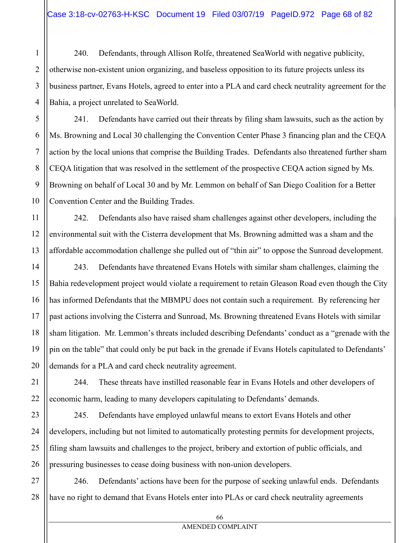240. Defendants, through Allison Rolfe, threatened SeaWorld with negative publicity, otherwise non-existent union organizing, and baseless opposition to its future projects unless its business partner, Evans Hotels, agreed to enter into a PLA and card check neutrality agreement for the Bahia, a project unrelated to SeaWorld.

241. Defendants have carried out their threats by filing sham lawsuits, such as the action by Ms. Browning and Local 30 challenging the Convention Center Phase 3 financing plan and the CEQA action by the local unions that comprise the Building Trades. Defendants also threatened further sham CEQA litigation that was resolved in the settlement of the prospective CEQA action signed by Ms. Browning on behalf of Local 30 and by Mr. Lemmon on behalf of San Diego Coalition for a Better Convention Center and the Building Trades.

242. Defendants also have raised sham challenges against other developers, including the environmental suit with the Cisterra development that Ms. Browning admitted was a sham and the affordable accommodation challenge she pulled out of "thin air" to oppose the Sunroad development.

243. Defendants have threatened Evans Hotels with similar sham challenges, claiming the Bahia redevelopment project would violate a requirement to retain Gleason Road even though the City has informed Defendants that the MBMPU does not contain such a requirement. By referencing her past actions involving the Cisterra and Sunroad, Ms. Browning threatened Evans Hotels with similar sham litigation. Mr. Lemmon's threats included describing Defendants' conduct as a "grenade with the pin on the table" that could only be put back in the grenade if Evans Hotels capitulated to Defendants' demands for a PLA and card check neutrality agreement.

244. These threats have instilled reasonable fear in Evans Hotels and other developers of economic harm, leading to many developers capitulating to Defendants' demands.

245. Defendants have employed unlawful means to extort Evans Hotels and other developers, including but not limited to automatically protesting permits for development projects, filing sham lawsuits and challenges to the project, bribery and extortion of public officials, and pressuring businesses to cease doing business with non-union developers.

246. Defendants' actions have been for the purpose of seeking unlawful ends. Defendants have no right to demand that Evans Hotels enter into PLAs or card check neutrality agreements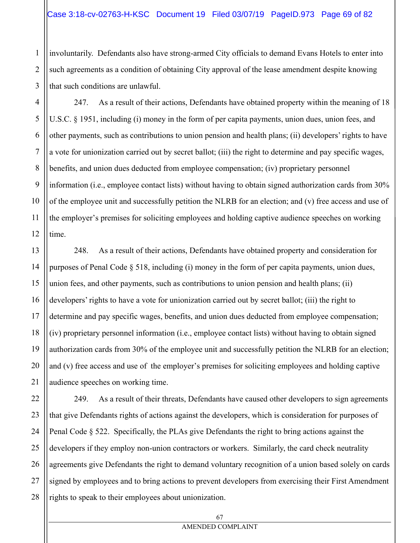# Case 3:18-cv-02763-H-KSC Document 19 Filed 03/07/19 PageID.973 Page 69 of 82

involuntarily. Defendants also have strong-armed City officials to demand Evans Hotels to enter into such agreements as a condition of obtaining City approval of the lease amendment despite knowing that such conditions are unlawful.

247. As a result of their actions, Defendants have obtained property within the meaning of 18 U.S.C. § 1951, including (i) money in the form of per capita payments, union dues, union fees, and other payments, such as contributions to union pension and health plans; (ii) developers' rights to have a vote for unionization carried out by secret ballot; (iii) the right to determine and pay specific wages, benefits, and union dues deducted from employee compensation; (iv) proprietary personnel information (i.e., employee contact lists) without having to obtain signed authorization cards from 30% of the employee unit and successfully petition the NLRB for an election; and (v) free access and use of the employer's premises for soliciting employees and holding captive audience speeches on working time.

248. As a result of their actions, Defendants have obtained property and consideration for purposes of Penal Code § 518, including (i) money in the form of per capita payments, union dues, union fees, and other payments, such as contributions to union pension and health plans; (ii) developers' rights to have a vote for unionization carried out by secret ballot; (iii) the right to determine and pay specific wages, benefits, and union dues deducted from employee compensation; (iv) proprietary personnel information (i.e., employee contact lists) without having to obtain signed authorization cards from 30% of the employee unit and successfully petition the NLRB for an election; and (v) free access and use of the employer's premises for soliciting employees and holding captive audience speeches on working time.

249. As a result of their threats, Defendants have caused other developers to sign agreements that give Defendants rights of actions against the developers, which is consideration for purposes of Penal Code § 522. Specifically, the PLAs give Defendants the right to bring actions against the developers if they employ non-union contractors or workers. Similarly, the card check neutrality agreements give Defendants the right to demand voluntary recognition of a union based solely on cards signed by employees and to bring actions to prevent developers from exercising their First Amendment rights to speak to their employees about unionization.

#### AMENDED COMPLAINT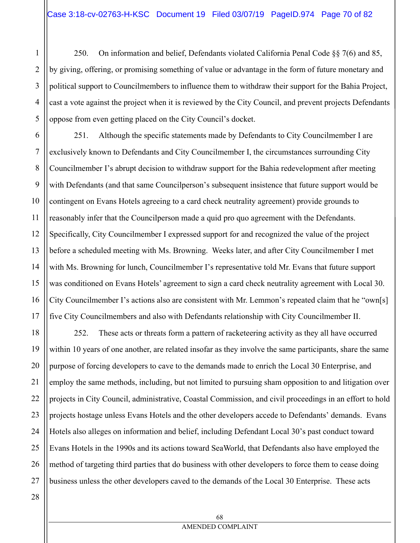250. On information and belief, Defendants violated California Penal Code §§ 7(6) and 85, by giving, offering, or promising something of value or advantage in the form of future monetary and political support to Councilmembers to influence them to withdraw their support for the Bahia Project, cast a vote against the project when it is reviewed by the City Council, and prevent projects Defendants oppose from even getting placed on the City Council's docket.

6 7 8 9 10 11 12 13 14 15 16 17 251. Although the specific statements made by Defendants to City Councilmember I are exclusively known to Defendants and City Councilmember I, the circumstances surrounding City Councilmember I's abrupt decision to withdraw support for the Bahia redevelopment after meeting with Defendants (and that same Councilperson's subsequent insistence that future support would be contingent on Evans Hotels agreeing to a card check neutrality agreement) provide grounds to reasonably infer that the Councilperson made a quid pro quo agreement with the Defendants. Specifically, City Councilmember I expressed support for and recognized the value of the project before a scheduled meeting with Ms. Browning. Weeks later, and after City Councilmember I met with Ms. Browning for lunch, Councilmember I's representative told Mr. Evans that future support was conditioned on Evans Hotels' agreement to sign a card check neutrality agreement with Local 30. City Councilmember I's actions also are consistent with Mr. Lemmon's repeated claim that he "own[s] five City Councilmembers and also with Defendants relationship with City Councilmember II.

18 19 20 21 22 23 24 25 26 27 252. These acts or threats form a pattern of racketeering activity as they all have occurred within 10 years of one another, are related insofar as they involve the same participants, share the same purpose of forcing developers to cave to the demands made to enrich the Local 30 Enterprise, and employ the same methods, including, but not limited to pursuing sham opposition to and litigation over projects in City Council, administrative, Coastal Commission, and civil proceedings in an effort to hold projects hostage unless Evans Hotels and the other developers accede to Defendants' demands. Evans Hotels also alleges on information and belief, including Defendant Local 30's past conduct toward Evans Hotels in the 1990s and its actions toward SeaWorld, that Defendants also have employed the method of targeting third parties that do business with other developers to force them to cease doing business unless the other developers caved to the demands of the Local 30 Enterprise. These acts

1

2

3

4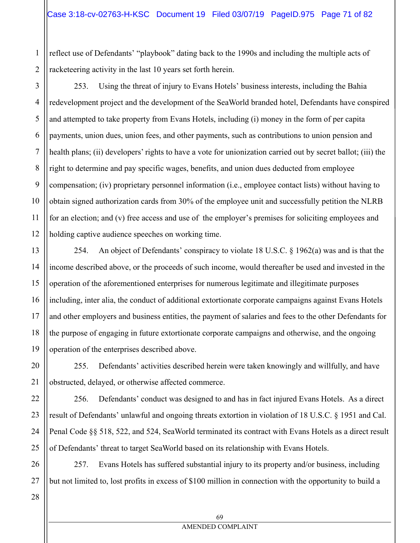reflect use of Defendants' "playbook" dating back to the 1990s and including the multiple acts of racketeering activity in the last 10 years set forth herein.

3 4 5 6 253. Using the threat of injury to Evans Hotels' business interests, including the Bahia redevelopment project and the development of the SeaWorld branded hotel, Defendants have conspired and attempted to take property from Evans Hotels, including (i) money in the form of per capita payments, union dues, union fees, and other payments, such as contributions to union pension and health plans; (ii) developers' rights to have a vote for unionization carried out by secret ballot; (iii) the right to determine and pay specific wages, benefits, and union dues deducted from employee compensation; (iv) proprietary personnel information (i.e., employee contact lists) without having to obtain signed authorization cards from 30% of the employee unit and successfully petition the NLRB for an election; and (v) free access and use of the employer's premises for soliciting employees and holding captive audience speeches on working time.

254. An object of Defendants' conspiracy to violate 18 U.S.C. § 1962(a) was and is that the income described above, or the proceeds of such income, would thereafter be used and invested in the operation of the aforementioned enterprises for numerous legitimate and illegitimate purposes including, inter alia, the conduct of additional extortionate corporate campaigns against Evans Hotels and other employers and business entities, the payment of salaries and fees to the other Defendants for the purpose of engaging in future extortionate corporate campaigns and otherwise, and the ongoing operation of the enterprises described above.

255. Defendants' activities described herein were taken knowingly and willfully, and have obstructed, delayed, or otherwise affected commerce.

256. Defendants' conduct was designed to and has in fact injured Evans Hotels. As a direct result of Defendants' unlawful and ongoing threats extortion in violation of 18 U.S.C. § 1951 and Cal. Penal Code §§ 518, 522, and 524, SeaWorld terminated its contract with Evans Hotels as a direct result of Defendants' threat to target SeaWorld based on its relationship with Evans Hotels.

257. Evans Hotels has suffered substantial injury to its property and/or business, including but not limited to, lost profits in excess of \$100 million in connection with the opportunity to build a

1

2

## AMENDED COMPLAINT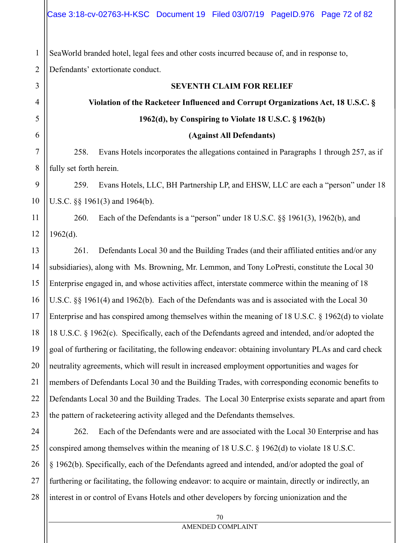1 2 SeaWorld branded hotel, legal fees and other costs incurred because of, and in response to, Defendants' extortionate conduct.

3

4

5

6

7

8

11

12

## **SEVENTH CLAIM FOR RELIEF**

# **Violation of the Racketeer Influenced and Corrupt Organizations Act, 18 U.S.C. § 1962(d), by Conspiring to Violate 18 U.S.C. § 1962(b)**

#### **(Against All Defendants)**

258. Evans Hotels incorporates the allegations contained in Paragraphs 1 through 257, as if fully set forth herein.

9 10 259. Evans Hotels, LLC, BH Partnership LP, and EHSW, LLC are each a "person" under 18 U.S.C. §§ 1961(3) and 1964(b).

260. Each of the Defendants is a "person" under 18 U.S.C. §§ 1961(3), 1962(b), and  $1962(d)$ .

13 14 15 16 17 18 19 20 21 22 23 261. Defendants Local 30 and the Building Trades (and their affiliated entities and/or any subsidiaries), along with Ms. Browning, Mr. Lemmon, and Tony LoPresti, constitute the Local 30 Enterprise engaged in, and whose activities affect, interstate commerce within the meaning of 18 U.S.C. §§ 1961(4) and 1962(b). Each of the Defendants was and is associated with the Local 30 Enterprise and has conspired among themselves within the meaning of 18 U.S.C. § 1962(d) to violate 18 U.S.C. § 1962(c). Specifically, each of the Defendants agreed and intended, and/or adopted the goal of furthering or facilitating, the following endeavor: obtaining involuntary PLAs and card check neutrality agreements, which will result in increased employment opportunities and wages for members of Defendants Local 30 and the Building Trades, with corresponding economic benefits to Defendants Local 30 and the Building Trades. The Local 30 Enterprise exists separate and apart from the pattern of racketeering activity alleged and the Defendants themselves.

24 25 26 27 28 262. Each of the Defendants were and are associated with the Local 30 Enterprise and has conspired among themselves within the meaning of 18 U.S.C. § 1962(d) to violate 18 U.S.C. § 1962(b). Specifically, each of the Defendants agreed and intended, and/or adopted the goal of furthering or facilitating, the following endeavor: to acquire or maintain, directly or indirectly, an interest in or control of Evans Hotels and other developers by forcing unionization and the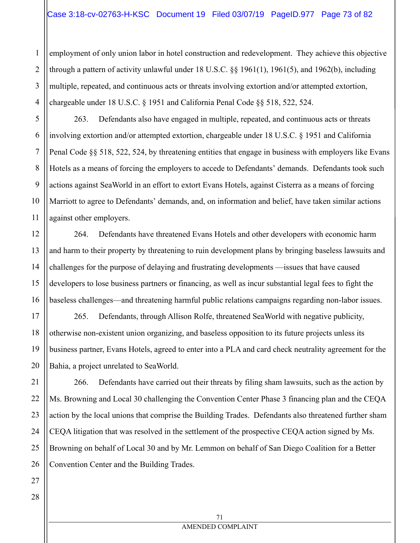employment of only union labor in hotel construction and redevelopment. They achieve this objective through a pattern of activity unlawful under 18 U.S.C. §§ 1961(1), 1961(5), and 1962(b), including multiple, repeated, and continuous acts or threats involving extortion and/or attempted extortion, chargeable under 18 U.S.C. § 1951 and California Penal Code §§ 518, 522, 524.

263. Defendants also have engaged in multiple, repeated, and continuous acts or threats involving extortion and/or attempted extortion, chargeable under 18 U.S.C. § 1951 and California Penal Code §§ 518, 522, 524, by threatening entities that engage in business with employers like Evans Hotels as a means of forcing the employers to accede to Defendants' demands. Defendants took such actions against SeaWorld in an effort to extort Evans Hotels, against Cisterra as a means of forcing Marriott to agree to Defendants' demands, and, on information and belief, have taken similar actions against other employers.

264. Defendants have threatened Evans Hotels and other developers with economic harm and harm to their property by threatening to ruin development plans by bringing baseless lawsuits and challenges for the purpose of delaying and frustrating developments —issues that have caused developers to lose business partners or financing, as well as incur substantial legal fees to fight the baseless challenges—and threatening harmful public relations campaigns regarding non-labor issues.

265. Defendants, through Allison Rolfe, threatened SeaWorld with negative publicity, otherwise non-existent union organizing, and baseless opposition to its future projects unless its business partner, Evans Hotels, agreed to enter into a PLA and card check neutrality agreement for the Bahia, a project unrelated to SeaWorld.

266. Defendants have carried out their threats by filing sham lawsuits, such as the action by Ms. Browning and Local 30 challenging the Convention Center Phase 3 financing plan and the CEQA action by the local unions that comprise the Building Trades. Defendants also threatened further sham CEQA litigation that was resolved in the settlement of the prospective CEQA action signed by Ms. Browning on behalf of Local 30 and by Mr. Lemmon on behalf of San Diego Coalition for a Better Convention Center and the Building Trades.

1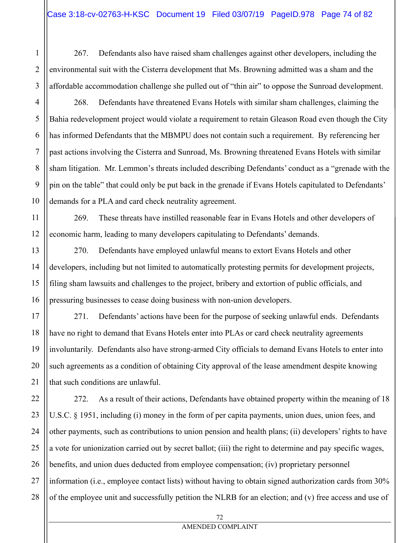267. Defendants also have raised sham challenges against other developers, including the environmental suit with the Cisterra development that Ms. Browning admitted was a sham and the affordable accommodation challenge she pulled out of "thin air" to oppose the Sunroad development.

268. Defendants have threatened Evans Hotels with similar sham challenges, claiming the Bahia redevelopment project would violate a requirement to retain Gleason Road even though the City has informed Defendants that the MBMPU does not contain such a requirement. By referencing her past actions involving the Cisterra and Sunroad, Ms. Browning threatened Evans Hotels with similar sham litigation. Mr. Lemmon's threats included describing Defendants' conduct as a "grenade with the pin on the table" that could only be put back in the grenade if Evans Hotels capitulated to Defendants' demands for a PLA and card check neutrality agreement.

269. These threats have instilled reasonable fear in Evans Hotels and other developers of economic harm, leading to many developers capitulating to Defendants' demands.

270. Defendants have employed unlawful means to extort Evans Hotels and other developers, including but not limited to automatically protesting permits for development projects, filing sham lawsuits and challenges to the project, bribery and extortion of public officials, and pressuring businesses to cease doing business with non-union developers.

271. Defendants' actions have been for the purpose of seeking unlawful ends. Defendants have no right to demand that Evans Hotels enter into PLAs or card check neutrality agreements involuntarily. Defendants also have strong-armed City officials to demand Evans Hotels to enter into such agreements as a condition of obtaining City approval of the lease amendment despite knowing that such conditions are unlawful.

272. As a result of their actions, Defendants have obtained property within the meaning of 18 U.S.C. § 1951, including (i) money in the form of per capita payments, union dues, union fees, and other payments, such as contributions to union pension and health plans; (ii) developers' rights to have a vote for unionization carried out by secret ballot; (iii) the right to determine and pay specific wages, benefits, and union dues deducted from employee compensation; (iv) proprietary personnel information (i.e., employee contact lists) without having to obtain signed authorization cards from 30% of the employee unit and successfully petition the NLRB for an election; and (v) free access and use of

1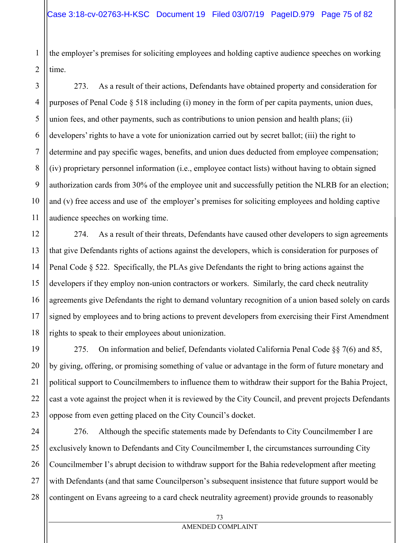the employer's premises for soliciting employees and holding captive audience speeches on working time.

4 10 273. As a result of their actions, Defendants have obtained property and consideration for purposes of Penal Code  $\S 518$  including (i) money in the form of per capita payments, union dues, union fees, and other payments, such as contributions to union pension and health plans; (ii) developers' rights to have a vote for unionization carried out by secret ballot; (iii) the right to determine and pay specific wages, benefits, and union dues deducted from employee compensation; (iv) proprietary personnel information (i.e., employee contact lists) without having to obtain signed authorization cards from 30% of the employee unit and successfully petition the NLRB for an election; and (v) free access and use of the employer's premises for soliciting employees and holding captive audience speeches on working time.

274. As a result of their threats, Defendants have caused other developers to sign agreements that give Defendants rights of actions against the developers, which is consideration for purposes of Penal Code § 522. Specifically, the PLAs give Defendants the right to bring actions against the developers if they employ non-union contractors or workers. Similarly, the card check neutrality agreements give Defendants the right to demand voluntary recognition of a union based solely on cards signed by employees and to bring actions to prevent developers from exercising their First Amendment rights to speak to their employees about unionization.

19 20 22 23 275. On information and belief, Defendants violated California Penal Code  $\S$ § 7(6) and 85, by giving, offering, or promising something of value or advantage in the form of future monetary and political support to Councilmembers to influence them to withdraw their support for the Bahia Project, cast a vote against the project when it is reviewed by the City Council, and prevent projects Defendants oppose from even getting placed on the City Council's docket.

24 25 26 27 28 276. Although the specific statements made by Defendants to City Councilmember I are exclusively known to Defendants and City Councilmember I, the circumstances surrounding City Councilmember I's abrupt decision to withdraw support for the Bahia redevelopment after meeting with Defendants (and that same Councilperson's subsequent insistence that future support would be contingent on Evans agreeing to a card check neutrality agreement) provide grounds to reasonably

1

2

3

5

6

7

8

9

11

12

13

14

15

16

17

18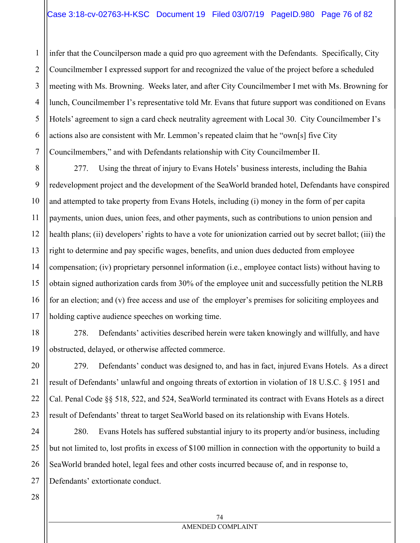1 2 3 4 5 6 7 infer that the Councilperson made a quid pro quo agreement with the Defendants. Specifically, City Councilmember I expressed support for and recognized the value of the project before a scheduled meeting with Ms. Browning. Weeks later, and after City Councilmember I met with Ms. Browning for lunch, Councilmember I's representative told Mr. Evans that future support was conditioned on Evans Hotels' agreement to sign a card check neutrality agreement with Local 30. City Councilmember I's actions also are consistent with Mr. Lemmon's repeated claim that he "own[s] five City Councilmembers," and with Defendants relationship with City Councilmember II.

8 9 10 11 12 13 14 15 16 17 277. Using the threat of injury to Evans Hotels' business interests, including the Bahia redevelopment project and the development of the SeaWorld branded hotel, Defendants have conspired and attempted to take property from Evans Hotels, including (i) money in the form of per capita payments, union dues, union fees, and other payments, such as contributions to union pension and health plans; (ii) developers' rights to have a vote for unionization carried out by secret ballot; (iii) the right to determine and pay specific wages, benefits, and union dues deducted from employee compensation; (iv) proprietary personnel information (i.e., employee contact lists) without having to obtain signed authorization cards from 30% of the employee unit and successfully petition the NLRB for an election; and (v) free access and use of the employer's premises for soliciting employees and holding captive audience speeches on working time.

278. Defendants' activities described herein were taken knowingly and willfully, and have obstructed, delayed, or otherwise affected commerce.

279. Defendants' conduct was designed to, and has in fact, injured Evans Hotels. As a direct result of Defendants' unlawful and ongoing threats of extortion in violation of 18 U.S.C. § 1951 and Cal. Penal Code §§ 518, 522, and 524, SeaWorld terminated its contract with Evans Hotels as a direct result of Defendants' threat to target SeaWorld based on its relationship with Evans Hotels.

24 25 26 27 280. Evans Hotels has suffered substantial injury to its property and/or business, including but not limited to, lost profits in excess of \$100 million in connection with the opportunity to build a SeaWorld branded hotel, legal fees and other costs incurred because of, and in response to, Defendants' extortionate conduct.

28

18

19

20

21

22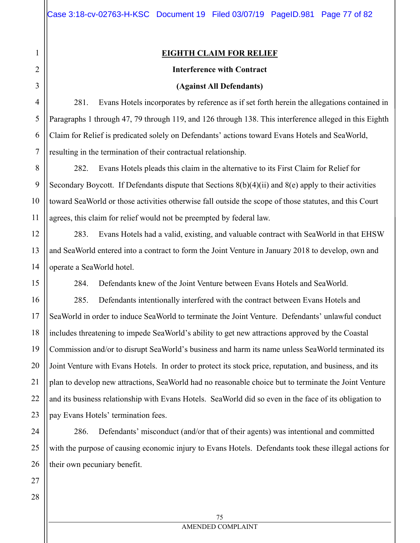# **EIGHTH CLAIM FOR RELIEF**

#### **Interference with Contract**

#### **(Against All Defendants)**

281. Evans Hotels incorporates by reference as if set forth herein the allegations contained in Paragraphs 1 through 47, 79 through 119, and 126 through 138. This interference alleged in this Eighth Claim for Relief is predicated solely on Defendants' actions toward Evans Hotels and SeaWorld, resulting in the termination of their contractual relationship.

282. Evans Hotels pleads this claim in the alternative to its First Claim for Relief for Secondary Boycott. If Defendants dispute that Sections  $8(b)(4)(ii)$  and  $8(e)$  apply to their activities toward SeaWorld or those activities otherwise fall outside the scope of those statutes, and this Court agrees, this claim for relief would not be preempted by federal law.

283. Evans Hotels had a valid, existing, and valuable contract with SeaWorld in that EHSW and SeaWorld entered into a contract to form the Joint Venture in January 2018 to develop, own and operate a SeaWorld hotel.

284. Defendants knew of the Joint Venture between Evans Hotels and SeaWorld.

285. Defendants intentionally interfered with the contract between Evans Hotels and SeaWorld in order to induce SeaWorld to terminate the Joint Venture. Defendants' unlawful conduct includes threatening to impede SeaWorld's ability to get new attractions approved by the Coastal Commission and/or to disrupt SeaWorld's business and harm its name unless SeaWorld terminated its Joint Venture with Evans Hotels. In order to protect its stock price, reputation, and business, and its plan to develop new attractions, SeaWorld had no reasonable choice but to terminate the Joint Venture and its business relationship with Evans Hotels. SeaWorld did so even in the face of its obligation to pay Evans Hotels' termination fees.

286. Defendants' misconduct (and/or that of their agents) was intentional and committed with the purpose of causing economic injury to Evans Hotels. Defendants took these illegal actions for their own pecuniary benefit.

1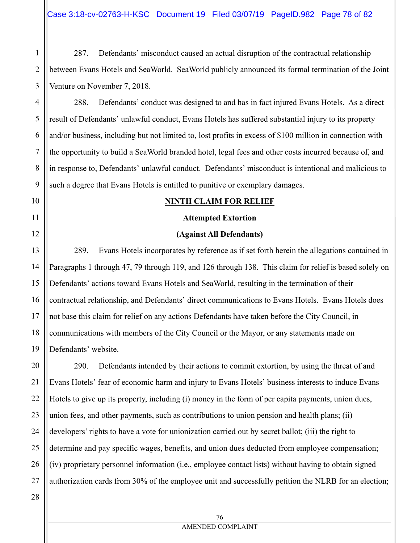287. Defendants' misconduct caused an actual disruption of the contractual relationship between Evans Hotels and SeaWorld. SeaWorld publicly announced its formal termination of the Joint Venture on November 7, 2018.

288. Defendants' conduct was designed to and has in fact injured Evans Hotels. As a direct result of Defendants' unlawful conduct, Evans Hotels has suffered substantial injury to its property and/or business, including but not limited to, lost profits in excess of \$100 million in connection with the opportunity to build a SeaWorld branded hotel, legal fees and other costs incurred because of, and in response to, Defendants' unlawful conduct. Defendants' misconduct is intentional and malicious to such a degree that Evans Hotels is entitled to punitive or exemplary damages.

#### **NINTH CLAIM FOR RELIEF**

#### **Attempted Extortion**

#### **(Against All Defendants)**

13 14 15 16 17 18 19 289. Evans Hotels incorporates by reference as if set forth herein the allegations contained in Paragraphs 1 through 47, 79 through 119, and 126 through 138. This claim for relief is based solely on Defendants' actions toward Evans Hotels and SeaWorld, resulting in the termination of their contractual relationship, and Defendants' direct communications to Evans Hotels. Evans Hotels does not base this claim for relief on any actions Defendants have taken before the City Council, in communications with members of the City Council or the Mayor, or any statements made on Defendants' website.

20 21 22 23 24 25 290. Defendants intended by their actions to commit extortion, by using the threat of and Evans Hotels' fear of economic harm and injury to Evans Hotels' business interests to induce Evans Hotels to give up its property, including (i) money in the form of per capita payments, union dues, union fees, and other payments, such as contributions to union pension and health plans; (ii) developers' rights to have a vote for unionization carried out by secret ballot; (iii) the right to determine and pay specific wages, benefits, and union dues deducted from employee compensation; (iv) proprietary personnel information (i.e., employee contact lists) without having to obtain signed authorization cards from 30% of the employee unit and successfully petition the NLRB for an election;

26 27 28

1

2

3

4

5

6

7

8

9

10

11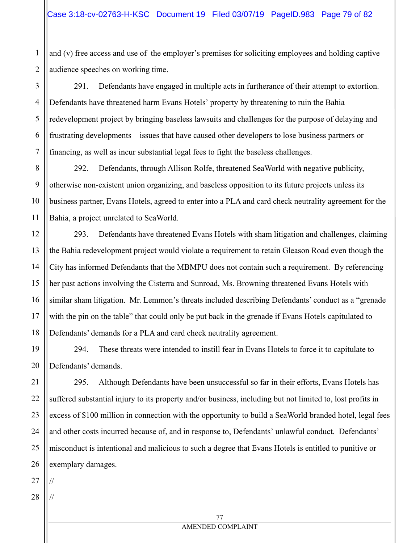and (v) free access and use of the employer's premises for soliciting employees and holding captive audience speeches on working time.

3 4 5 6 7 291. Defendants have engaged in multiple acts in furtherance of their attempt to extortion. Defendants have threatened harm Evans Hotels' property by threatening to ruin the Bahia redevelopment project by bringing baseless lawsuits and challenges for the purpose of delaying and frustrating developments—issues that have caused other developers to lose business partners or financing, as well as incur substantial legal fees to fight the baseless challenges.

292. Defendants, through Allison Rolfe, threatened SeaWorld with negative publicity, otherwise non-existent union organizing, and baseless opposition to its future projects unless its business partner, Evans Hotels, agreed to enter into a PLA and card check neutrality agreement for the Bahia, a project unrelated to SeaWorld.

293. Defendants have threatened Evans Hotels with sham litigation and challenges, claiming the Bahia redevelopment project would violate a requirement to retain Gleason Road even though the City has informed Defendants that the MBMPU does not contain such a requirement. By referencing her past actions involving the Cisterra and Sunroad, Ms. Browning threatened Evans Hotels with similar sham litigation. Mr. Lemmon's threats included describing Defendants' conduct as a "grenade with the pin on the table" that could only be put back in the grenade if Evans Hotels capitulated to Defendants' demands for a PLA and card check neutrality agreement.

294. These threats were intended to instill fear in Evans Hotels to force it to capitulate to Defendants' demands.

295. Although Defendants have been unsuccessful so far in their efforts, Evans Hotels has suffered substantial injury to its property and/or business, including but not limited to, lost profits in excess of \$100 million in connection with the opportunity to build a SeaWorld branded hotel, legal fees and other costs incurred because of, and in response to, Defendants' unlawful conduct. Defendants' misconduct is intentional and malicious to such a degree that Evans Hotels is entitled to punitive or exemplary damages.

27

//

//

1

2

8

9

10

11

12

13

14

15

16

17

18

19

20

21

22

23

24

25

26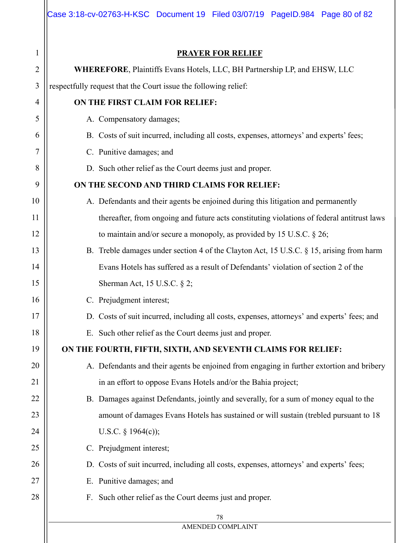|    | Case 3:18-cv-02763-H-KSC Document 19 Filed 03/07/19 PageID.984 Page 80 of 82                |  |  |  |  |
|----|---------------------------------------------------------------------------------------------|--|--|--|--|
| 1  | <b>PRAYER FOR RELIEF</b>                                                                    |  |  |  |  |
| 2  | WHEREFORE, Plaintiffs Evans Hotels, LLC, BH Partnership LP, and EHSW, LLC                   |  |  |  |  |
| 3  | respectfully request that the Court issue the following relief:                             |  |  |  |  |
| 4  | ON THE FIRST CLAIM FOR RELIEF:                                                              |  |  |  |  |
| 5  | A. Compensatory damages;                                                                    |  |  |  |  |
| 6  | B. Costs of suit incurred, including all costs, expenses, attorneys' and experts' fees;     |  |  |  |  |
| 7  | C. Punitive damages; and                                                                    |  |  |  |  |
| 8  | D. Such other relief as the Court deems just and proper.                                    |  |  |  |  |
| 9  | ON THE SECOND AND THIRD CLAIMS FOR RELIEF:                                                  |  |  |  |  |
| 10 | A. Defendants and their agents be enjoined during this litigation and permanently           |  |  |  |  |
| 11 | thereafter, from ongoing and future acts constituting violations of federal antitrust laws  |  |  |  |  |
| 12 | to maintain and/or secure a monopoly, as provided by 15 U.S.C. $\S 26$ ;                    |  |  |  |  |
| 13 | B. Treble damages under section 4 of the Clayton Act, 15 U.S.C. § 15, arising from harm     |  |  |  |  |
| 14 | Evans Hotels has suffered as a result of Defendants' violation of section 2 of the          |  |  |  |  |
| 15 | Sherman Act, 15 U.S.C. § 2;                                                                 |  |  |  |  |
| 16 | C. Prejudgment interest;                                                                    |  |  |  |  |
| 17 | D. Costs of suit incurred, including all costs, expenses, attorneys' and experts' fees; and |  |  |  |  |
| 18 | E. Such other relief as the Court deems just and proper.                                    |  |  |  |  |
| 19 | ON THE FOURTH, FIFTH, SIXTH, AND SEVENTH CLAIMS FOR RELIEF:                                 |  |  |  |  |
| 20 | A. Defendants and their agents be enjoined from engaging in further extortion and bribery   |  |  |  |  |
| 21 | in an effort to oppose Evans Hotels and/or the Bahia project;                               |  |  |  |  |
| 22 | B. Damages against Defendants, jointly and severally, for a sum of money equal to the       |  |  |  |  |
| 23 | amount of damages Evans Hotels has sustained or will sustain (trebled pursuant to 18        |  |  |  |  |
| 24 | U.S.C. $\S$ 1964(c));                                                                       |  |  |  |  |
| 25 | C. Prejudgment interest;                                                                    |  |  |  |  |
| 26 | D. Costs of suit incurred, including all costs, expenses, attorneys' and experts' fees;     |  |  |  |  |
| 27 | E. Punitive damages; and                                                                    |  |  |  |  |
| 28 | Such other relief as the Court deems just and proper.<br>F.                                 |  |  |  |  |
|    | 78                                                                                          |  |  |  |  |
|    | AMENDED COMPLAINT                                                                           |  |  |  |  |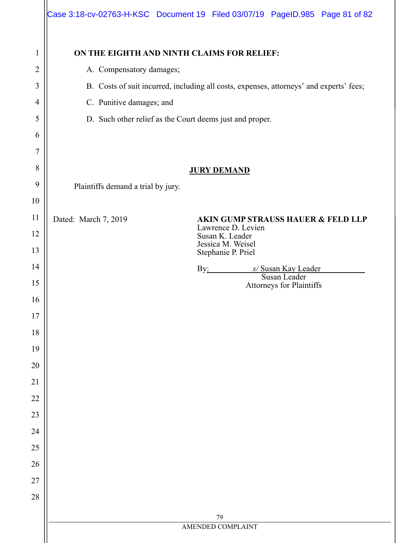|                | Case 3:18-cv-02763-H-KSC Document 19 Filed 03/07/19 PageID.985 Page 81 of 82            |                   |                    |                                               |  |
|----------------|-----------------------------------------------------------------------------------------|-------------------|--------------------|-----------------------------------------------|--|
| $\mathbf 1$    | ON THE EIGHTH AND NINTH CLAIMS FOR RELIEF:                                              |                   |                    |                                               |  |
| $\overline{2}$ | A. Compensatory damages;                                                                |                   |                    |                                               |  |
| 3              | B. Costs of suit incurred, including all costs, expenses, attorneys' and experts' fees; |                   |                    |                                               |  |
| 4              | C. Punitive damages; and                                                                |                   |                    |                                               |  |
| 5              | D. Such other relief as the Court deems just and proper.                                |                   |                    |                                               |  |
| 6              |                                                                                         |                   |                    |                                               |  |
| 7              |                                                                                         |                   |                    |                                               |  |
| 8              | <b>JURY DEMAND</b>                                                                      |                   |                    |                                               |  |
| 9              | Plaintiffs demand a trial by jury.                                                      |                   |                    |                                               |  |
| 10             |                                                                                         |                   |                    |                                               |  |
| 11             | Dated: March 7, 2019                                                                    |                   | Lawrence D. Levien | <b>AKIN GUMP STRAUSS HAUER &amp; FELD LLP</b> |  |
| 12<br>13       | Susan K. Leader<br>Jessica M. Weisel<br>Stephanie P. Priel                              |                   |                    |                                               |  |
| 14             |                                                                                         |                   |                    | By: <i>s/Susan Kay Leader</i>                 |  |
| 15             |                                                                                         |                   |                    | Susan Leader<br>Attorneys for Plaintiffs      |  |
| 16             |                                                                                         |                   |                    |                                               |  |
| 17             |                                                                                         |                   |                    |                                               |  |
| $18\,$         |                                                                                         |                   |                    |                                               |  |
| 19             |                                                                                         |                   |                    |                                               |  |
| 20             |                                                                                         |                   |                    |                                               |  |
| 21             |                                                                                         |                   |                    |                                               |  |
| $22\,$         |                                                                                         |                   |                    |                                               |  |
| 23             |                                                                                         |                   |                    |                                               |  |
| 24             |                                                                                         |                   |                    |                                               |  |
| $25\,$         |                                                                                         |                   |                    |                                               |  |
| 26             |                                                                                         |                   |                    |                                               |  |
| 27             |                                                                                         |                   |                    |                                               |  |
| 28             |                                                                                         |                   |                    |                                               |  |
|                |                                                                                         | 79                |                    |                                               |  |
|                |                                                                                         | AMENDED COMPLAINT |                    |                                               |  |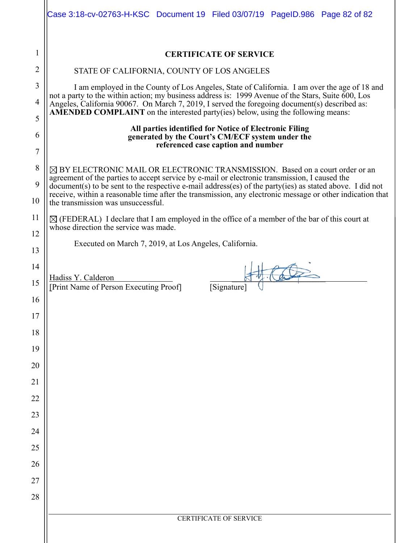|          | Case 3:18-cv-02763-H-KSC Document 19 Filed 03/07/19 PageID.986 Page 82 of 82                                                                                                                                                                                                                         |  |  |  |  |
|----------|------------------------------------------------------------------------------------------------------------------------------------------------------------------------------------------------------------------------------------------------------------------------------------------------------|--|--|--|--|
| 1        | <b>CERTIFICATE OF SERVICE</b>                                                                                                                                                                                                                                                                        |  |  |  |  |
| 2        | STATE OF CALIFORNIA, COUNTY OF LOS ANGELES                                                                                                                                                                                                                                                           |  |  |  |  |
| 3        | I am employed in the County of Los Angeles, State of California. I am over the age of 18 and                                                                                                                                                                                                         |  |  |  |  |
| 4        | not a party to the within action; my business address is: 1999 Avenue of the Stars, Suite 600, Los<br>Angeles, California 90067. On March 7, 2019, I served the foregoing document(s) described as:<br><b>AMENDED COMPLAINT</b> on the interested party(ies) below, using the following means:       |  |  |  |  |
| 5        | All parties identified for Notice of Electronic Filing                                                                                                                                                                                                                                               |  |  |  |  |
| 6<br>7   | generated by the Court's CM/ECF system under the<br>referenced case caption and number                                                                                                                                                                                                               |  |  |  |  |
| 8        |                                                                                                                                                                                                                                                                                                      |  |  |  |  |
| 9        | $\boxtimes$ BY ELECTRONIC MAIL OR ELECTRONIC TRANSMISSION. Based on a court order or an<br>agreement of the parties to accept service by e-mail or electronic transmission, I caused the<br>document(s) to be sent to the respective e-mail address(es) of the party(ies) as stated above. I did not |  |  |  |  |
| 10       | receive, within a reasonable time after the transmission, any electronic message or other indication that<br>the transmission was unsuccessful.                                                                                                                                                      |  |  |  |  |
| 11       | $\boxtimes$ (FEDERAL) I declare that I am employed in the office of a member of the bar of this court at<br>whose direction the service was made.                                                                                                                                                    |  |  |  |  |
| 12       | Executed on March 7, 2019, at Los Angeles, California.                                                                                                                                                                                                                                               |  |  |  |  |
| 13       |                                                                                                                                                                                                                                                                                                      |  |  |  |  |
| 14       | Hadiss Y. Calderon                                                                                                                                                                                                                                                                                   |  |  |  |  |
| 15       | [Print Name of Person Executing Proof]<br>[Signature                                                                                                                                                                                                                                                 |  |  |  |  |
| 16       |                                                                                                                                                                                                                                                                                                      |  |  |  |  |
| 17       |                                                                                                                                                                                                                                                                                                      |  |  |  |  |
| 18       |                                                                                                                                                                                                                                                                                                      |  |  |  |  |
| 19<br>20 |                                                                                                                                                                                                                                                                                                      |  |  |  |  |
| 21       |                                                                                                                                                                                                                                                                                                      |  |  |  |  |
| 22       |                                                                                                                                                                                                                                                                                                      |  |  |  |  |
| 23       |                                                                                                                                                                                                                                                                                                      |  |  |  |  |
| 24       |                                                                                                                                                                                                                                                                                                      |  |  |  |  |
| 25       |                                                                                                                                                                                                                                                                                                      |  |  |  |  |
| 26       |                                                                                                                                                                                                                                                                                                      |  |  |  |  |
| 27       |                                                                                                                                                                                                                                                                                                      |  |  |  |  |
| 28       |                                                                                                                                                                                                                                                                                                      |  |  |  |  |
|          | <b>CERTIFICATE OF SERVICE</b>                                                                                                                                                                                                                                                                        |  |  |  |  |
|          |                                                                                                                                                                                                                                                                                                      |  |  |  |  |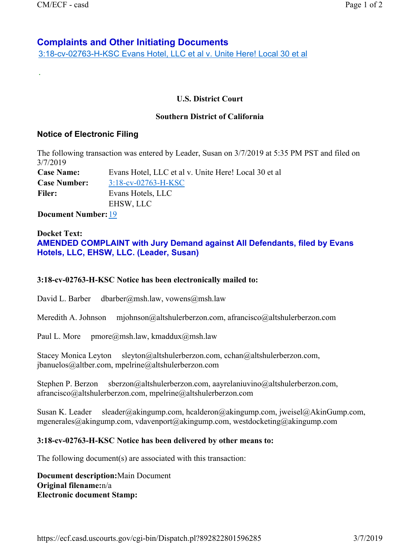.

# **Complaints and Other Initiating Documents**

3:18-cv-02763-H-KSC Evans Hotel, LLC et al v. Unite Here! Local 30 et al

# **U.S. District Court**

### **Southern District of California**

# **Notice of Electronic Filing**

The following transaction was entered by Leader, Susan on 3/7/2019 at 5:35 PM PST and filed on 3/7/2019

| <b>Case Name:</b>   | Evans Hotel, LLC et al v. Unite Here! Local 30 et al |
|---------------------|------------------------------------------------------|
| <b>Case Number:</b> | $3:18$ -cv-02763-H-KSC                               |
| <b>Filer:</b>       | Evans Hotels, LLC                                    |
|                     | EHSW, LLC                                            |

**Document Number:** 19

# **Docket Text: AMENDED COMPLAINT with Jury Demand against All Defendants, filed by Evans Hotels, LLC, EHSW, LLC. (Leader, Susan)**

### **3:18-cv-02763-H-KSC Notice has been electronically mailed to:**

David L. Barber dbarber@msh.law, vowens@msh.law

Meredith A. Johnson mjohnson@altshulerberzon.com, afrancisco@altshulerberzon.com

Paul L. More pmore@msh.law, kmaddux@msh.law

Stacey Monica Leyton sleyton@altshulerberzon.com, cchan@altshulerberzon.com, jbanuelos@altber.com, mpelrine@altshulerberzon.com

Stephen P. Berzon sberzon@altshulerberzon.com, aayrelaniuvino@altshulerberzon.com, afrancisco@altshulerberzon.com, mpelrine@altshulerberzon.com

Susan K. Leader sleader@akingump.com, hcalderon@akingump.com, jweisel@AkinGump.com, mgenerales@akingump.com, vdavenport@akingump.com, westdocketing@akingump.com

### **3:18-cv-02763-H-KSC Notice has been delivered by other means to:**

The following document(s) are associated with this transaction:

**Document description:**Main Document **Original filename:**n/a **Electronic document Stamp:**